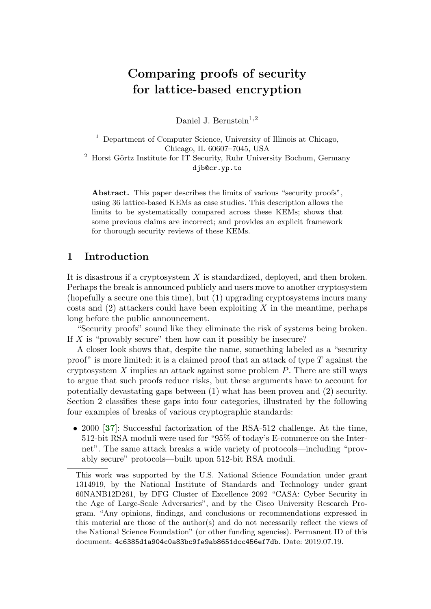# Comparing proofs of security for lattice-based encryption

Daniel J. Bernstein<sup>1,2</sup>

<sup>1</sup> Department of Computer Science, University of Illinois at Chicago, Chicago, IL 60607–7045, USA  $2$  Horst Görtz Institute for IT Security, Ruhr University Bochum, Germany djb@cr.yp.to

Abstract. This paper describes the limits of various "security proofs", using 36 lattice-based KEMs as case studies. This description allows the limits to be systematically compared across these KEMs; shows that some previous claims are incorrect; and provides an explicit framework for thorough security reviews of these KEMs.

# 1 Introduction

It is disastrous if a cryptosystem  $X$  is standardized, deployed, and then broken. Perhaps the break is announced publicly and users move to another cryptosystem (hopefully a secure one this time), but (1) upgrading cryptosystems incurs many costs and  $(2)$  attackers could have been exploiting X in the meantime, perhaps long before the public announcement.

"Security proofs" sound like they eliminate the risk of systems being broken. If  $X$  is "provably secure" then how can it possibly be insecure?

A closer look shows that, despite the name, something labeled as a "security proof" is more limited: it is a claimed proof that an attack of type  $T$  against the cryptosystem  $X$  implies an attack against some problem  $P$ . There are still ways to argue that such proofs reduce risks, but these arguments have to account for potentially devastating gaps between (1) what has been proven and (2) security. Section 2 classifies these gaps into four categories, illustrated by the following four examples of breaks of various cryptographic standards:

<span id="page-0-0"></span>• 2000 [[37](#page-35-0)]: Successful factorization of the RSA-512 challenge. At the time, 512-bit RSA moduli were used for "95% of today's E-commerce on the Internet". The same attack breaks a wide variety of protocols—including "provably secure" protocols—built upon 512-bit RSA moduli.

This work was supported by the U.S. National Science Foundation under grant 1314919, by the National Institute of Standards and Technology under grant 60NANB12D261, by DFG Cluster of Excellence 2092 "CASA: Cyber Security in the Age of Large-Scale Adversaries", and by the Cisco University Research Program. "Any opinions, findings, and conclusions or recommendations expressed in this material are those of the author(s) and do not necessarily reflect the views of the National Science Foundation" (or other funding agencies). Permanent ID of this document: 4c6385d1a904c0a83bc9fe9ab8651dcc456ef7db. Date: 2019.07.19.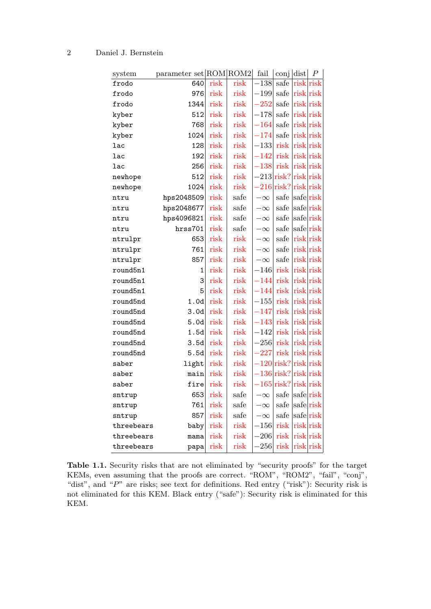| system     | parameter set ROM ROM2 |      |      | fail         | conj dist             |           | $\, P \,$ |
|------------|------------------------|------|------|--------------|-----------------------|-----------|-----------|
| frodo      | 640                    | risk | risk | $-138$       | safe                  | risk risk |           |
| frodo      | 976                    | risk | risk | $-199$       | safe                  | risk risk |           |
| frodo      | 1344                   | risk | risk | 252          | safe                  | risk risk |           |
| kyber      | 512                    | risk | risk | $-178$       | $\operatorname{safe}$ | risk risk |           |
| kyber      | 768                    | risk | risk | $-164$       | safe                  | risk risk |           |
| kyber      | 1024                   | risk | risk | $-174$       | safe                  | risk risk |           |
| lac        | 128                    | risk | risk | $-133$       | risk                  | risk risk |           |
| lac        | 192                    | risk | risk | 142          | risk                  | risk risk |           |
| lac        | 256                    | risk | risk | $-138$       | risk                  | risk risk |           |
| newhope    | 512                    | risk | risk | $-213$ risk? |                       | risk risk |           |
| newhope    | 1024                   | risk | risk | $-216$ risk? |                       | risk risk |           |
| ntru       | hps2048509             | risk | safe | $-\infty$    | safe                  | saferisk  |           |
| ntru       | hps2048677             | risk | safe | $-\infty$    | safe                  | saferisk  |           |
| ntru       | hps4096821             | risk | safe | $-\infty$    | safe                  | safe risk |           |
| ntru       | hrss701                | risk | safe | $-\infty$    | safe                  | saferisk  |           |
| ntrulpr    | 653                    | risk | risk | $-\infty$    | safe                  | risk risk |           |
| ntrulpr    | 761                    | risk | risk | $-\infty$    | safe                  | risk risk |           |
| ntrulpr    | 857                    | risk | risk | $-\infty$    | safe                  | risk risk |           |
| round5n1   | 1                      | risk | risk | $-146$       | risk                  | risk risk |           |
| round5n1   | 3                      | risk | risk | $-144$       | risk                  | risk risk |           |
| round5n1   | 5                      | risk | risk | $-144$       | risk                  | risk risk |           |
| round5nd   | 1.0d                   | risk | risk | $-155$       | risk                  | risk risk |           |
| round5nd   | 3.0d                   | risk | risk | $-147$       | risk                  | risk risk |           |
| round5nd   | 5.0d                   | risk | risk | $-143$       | risk                  | risk risk |           |
| round5nd   | 1.5d                   | risk | risk | $-142$       | risk                  | risk risk |           |
| round5nd   | 3.5d                   | risk | risk | $-256$       | risk                  | risk risk |           |
| round5nd   | 5.5d                   | risk | risk | 227          | risk                  | risk risk |           |
| saber      | light                  | risk | risk |              | $-120$ risk?          | risk risk |           |
| saber      | main                   | risk | risk |              | $136$ risk?           | riskrisk  |           |
| saber      | fire                   | risk | risk | $-165$ risk? |                       | risk risk |           |
| sntrup     | 653                    | risk | safe | $-\infty$    | safe                  | safe risk |           |
| sntrup     | 761                    | risk | safe | $-\infty$    | safe                  | safe risk |           |
| sntrup     | 857                    | risk | safe | $-\infty$    | safe                  | saferisk  |           |
| threebears | baby                   | risk | risk | $-156$       | risk                  | risk risk |           |
| threebears | mama                   | risk | risk | $-206$       | risk                  | risk risk |           |
| threebears | papa                   | risk | risk | 256          | risk                  |           | risk risk |

Table 1.1. Security risks that are not eliminated by "security proofs" for the target KEMs, even assuming that the proofs are correct. "ROM", "ROM2", "fail", "conj", "dist", and "P" are risks; see text for definitions. Red entry ("risk"): Security risk is not eliminated for this KEM. Black entry ("safe"): Security risk is eliminated for this KEM.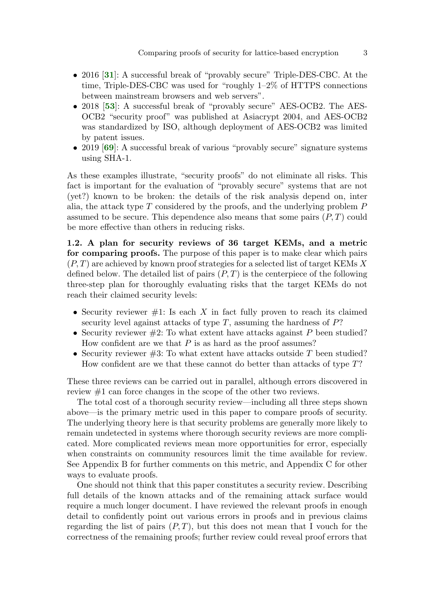- <span id="page-2-0"></span>• 2016 [[31](#page-34-0)]: A successful break of "provably secure" Triple-DES-CBC. At the time, Triple-DES-CBC was used for "roughly 1–2% of HTTPS connections between mainstream browsers and web servers".
- <span id="page-2-1"></span>• 2018 [[53](#page-36-0)]: A successful break of "provably secure" AES-OCB2. The AES-OCB2 "security proof" was published at Asiacrypt 2004, and AES-OCB2 was standardized by ISO, although deployment of AES-OCB2 was limited by patent issues.
- <span id="page-2-2"></span>• 2019 [[69](#page-37-0)]: A successful break of various "provably secure" signature systems using SHA-1.

As these examples illustrate, "security proofs" do not eliminate all risks. This fact is important for the evaluation of "provably secure" systems that are not (yet?) known to be broken: the details of the risk analysis depend on, inter alia, the attack type  $T$  considered by the proofs, and the underlying problem  $P$ assumed to be secure. This dependence also means that some pairs  $(P, T)$  could be more effective than others in reducing risks.

1.2. A plan for security reviews of 36 target KEMs, and a metric for comparing proofs. The purpose of this paper is to make clear which pairs  $(P, T)$  are achieved by known proof strategies for a selected list of target KEMs X defined below. The detailed list of pairs  $(P, T)$  is the centerpiece of the following three-step plan for thoroughly evaluating risks that the target KEMs do not reach their claimed security levels:

- Security reviewer  $\#1$ : Is each X in fact fully proven to reach its claimed security level against attacks of type  $T$ , assuming the hardness of  $P$ ?
- Security reviewer  $#2$ : To what extent have attacks against P been studied? How confident are we that  $P$  is as hard as the proof assumes?
- Security reviewer  $#3$ : To what extent have attacks outside T been studied? How confident are we that these cannot do better than attacks of type T?

These three reviews can be carried out in parallel, although errors discovered in review #1 can force changes in the scope of the other two reviews.

The total cost of a thorough security review—including all three steps shown above—is the primary metric used in this paper to compare proofs of security. The underlying theory here is that security problems are generally more likely to remain undetected in systems where thorough security reviews are more complicated. More complicated reviews mean more opportunities for error, especially when constraints on community resources limit the time available for review. See Appendix B for further comments on this metric, and Appendix C for other ways to evaluate proofs.

One should not think that this paper constitutes a security review. Describing full details of the known attacks and of the remaining attack surface would require a much longer document. I have reviewed the relevant proofs in enough detail to confidently point out various errors in proofs and in previous claims regarding the list of pairs  $(P, T)$ , but this does not mean that I vouch for the correctness of the remaining proofs; further review could reveal proof errors that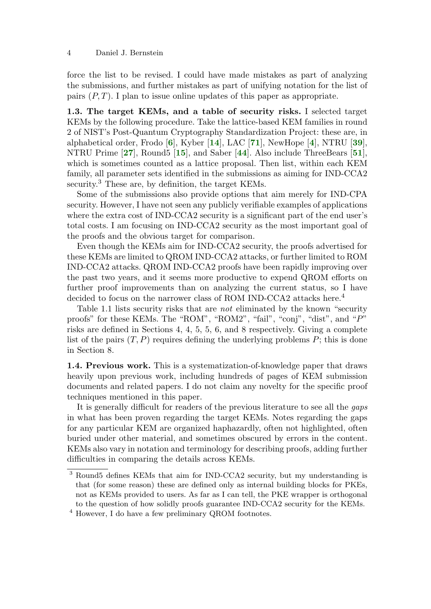force the list to be revised. I could have made mistakes as part of analyzing the submissions, and further mistakes as part of unifying notation for the list of pairs  $(P, T)$ . I plan to issue online updates of this paper as appropriate.

<span id="page-3-8"></span><span id="page-3-7"></span><span id="page-3-6"></span><span id="page-3-5"></span><span id="page-3-4"></span><span id="page-3-3"></span><span id="page-3-2"></span><span id="page-3-1"></span><span id="page-3-0"></span>1.3. The target KEMs, and a table of security risks. I selected target KEMs by the following procedure. Take the lattice-based KEM families in round 2 of NIST's Post-Quantum Cryptography Standardization Project: these are, in alphabetical order, Frodo  $[6]$  $[6]$  $[6]$ , Kyber  $[14]$  $[14]$  $[14]$ , LAC  $[71]$  $[71]$  $[71]$ , NewHope  $[4]$  $[4]$  $[4]$ , NTRU  $[39]$  $[39]$  $[39]$ , NTRU Prime [[27](#page-34-1)], Round5 [[15](#page-33-1)], and Saber [[44](#page-35-2)]. Also include ThreeBears [[51](#page-36-1)], which is sometimes counted as a lattice proposal. Then list, within each KEM family, all parameter sets identified in the submissions as aiming for IND-CCA2 security.<sup>3</sup> These are, by definition, the target KEMs.

Some of the submissions also provide options that aim merely for IND-CPA security. However, I have not seen any publicly verifiable examples of applications where the extra cost of IND-CCA2 security is a significant part of the end user's total costs. I am focusing on IND-CCA2 security as the most important goal of the proofs and the obvious target for comparison.

Even though the KEMs aim for IND-CCA2 security, the proofs advertised for these KEMs are limited to QROM IND-CCA2 attacks, or further limited to ROM IND-CCA2 attacks. QROM IND-CCA2 proofs have been rapidly improving over the past two years, and it seems more productive to expend QROM efforts on further proof improvements than on analyzing the current status, so I have decided to focus on the narrower class of ROM IND-CCA2 attacks here.<sup>4</sup>

Table 1.1 lists security risks that are not eliminated by the known "security proofs" for these KEMs. The "ROM", "ROM2", "fail", "conj", "dist", and "P" risks are defined in Sections 4, 4, 5, 5, 6, and 8 respectively. Giving a complete list of the pairs  $(T, P)$  requires defining the underlying problems P; this is done in Section 8.

1.4. Previous work. This is a systematization-of-knowledge paper that draws heavily upon previous work, including hundreds of pages of KEM submission documents and related papers. I do not claim any novelty for the specific proof techniques mentioned in this paper.

It is generally difficult for readers of the previous literature to see all the gaps in what has been proven regarding the target KEMs. Notes regarding the gaps for any particular KEM are organized haphazardly, often not highlighted, often buried under other material, and sometimes obscured by errors in the content. KEMs also vary in notation and terminology for describing proofs, adding further difficulties in comparing the details across KEMs.

 $\overline{3}$  Round5 defines KEMs that aim for IND-CCA2 security, but my understanding is that (for some reason) these are defined only as internal building blocks for PKEs, not as KEMs provided to users. As far as I can tell, the PKE wrapper is orthogonal to the question of how solidly proofs guarantee IND-CCA2 security for the KEMs.

<sup>4</sup> However, I do have a few preliminary QROM footnotes.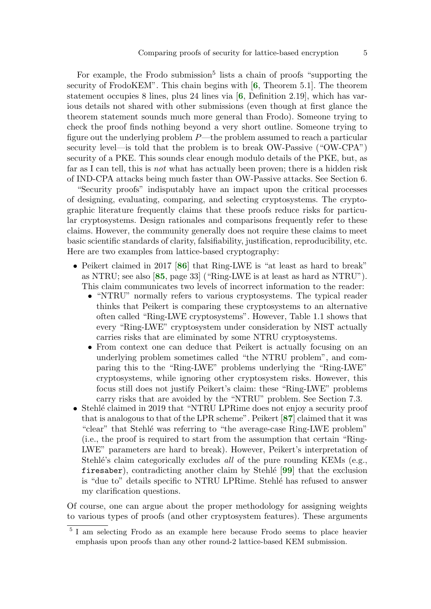<span id="page-4-1"></span><span id="page-4-0"></span>For example, the Frodo submission<sup>5</sup> lists a chain of proofs "supporting the security of FrodoKEM". This chain begins with [[6](#page-32-0), Theorem 5.1]. The theorem statement occupies 8 lines, plus 24 lines via [[6](#page-32-0), Definition 2.19], which has various details not shared with other submissions (even though at first glance the theorem statement sounds much more general than Frodo). Someone trying to check the proof finds nothing beyond a very short outline. Someone trying to figure out the underlying problem  $P$ —the problem assumed to reach a particular security level—is told that the problem is to break OW-Passive ("OW-CPA") security of a PKE. This sounds clear enough modulo details of the PKE, but, as far as I can tell, this is not what has actually been proven; there is a hidden risk of IND-CPA attacks being much faster than OW-Passive attacks. See Section 6.

"Security proofs" indisputably have an impact upon the critical processes of designing, evaluating, comparing, and selecting cryptosystems. The cryptographic literature frequently claims that these proofs reduce risks for particular cryptosystems. Design rationales and comparisons frequently refer to these claims. However, the community generally does not require these claims to meet basic scientific standards of clarity, falsifiability, justification, reproducibility, etc. Here are two examples from lattice-based cryptography:

- <span id="page-4-3"></span><span id="page-4-2"></span>• Peikert claimed in 2017 [[86](#page-38-0)] that Ring-LWE is "at least as hard to break" as NTRU; see also [[85](#page-38-1), page 33] ("Ring-LWE is at least as hard as NTRU"). This claim communicates two levels of incorrect information to the reader:
	- "NTRU" normally refers to various cryptosystems. The typical reader thinks that Peikert is comparing these cryptosystems to an alternative often called "Ring-LWE cryptosystems". However, Table 1.1 shows that every "Ring-LWE" cryptosystem under consideration by NIST actually carries risks that are eliminated by some NTRU cryptosystems.
	- From context one can deduce that Peikert is actually focusing on an underlying problem sometimes called "the NTRU problem", and comparing this to the "Ring-LWE" problems underlying the "Ring-LWE" cryptosystems, while ignoring other cryptosystem risks. However, this focus still does not justify Peikert's claim: these "Ring-LWE" problems carry risks that are avoided by the "NTRU" problem. See Section 7.3.
- <span id="page-4-5"></span><span id="page-4-4"></span>• Stehlé claimed in 2019 that "NTRU LPRime does not enjoy a security proof that is analogous to that of the LPR scheme". Peikert [[87](#page-38-2)] claimed that it was "clear" that Stehlé was referring to "the average-case Ring-LWE problem" (i.e., the proof is required to start from the assumption that certain "Ring-LWE" parameters are hard to break). However, Peikert's interpretation of Stehlé's claim categorically excludes all of the pure rounding KEMs (e.g., firesaber), contradicting another claim by Stehlé  $[99]$  $[99]$  $[99]$  that the exclusion is "due to" details specific to NTRU LPRime. Stehle has refused to answer my clarification questions.

Of course, one can argue about the proper methodology for assigning weights to various types of proofs (and other cryptosystem features). These arguments

<sup>5</sup> I am selecting Frodo as an example here because Frodo seems to place heavier emphasis upon proofs than any other round-2 lattice-based KEM submission.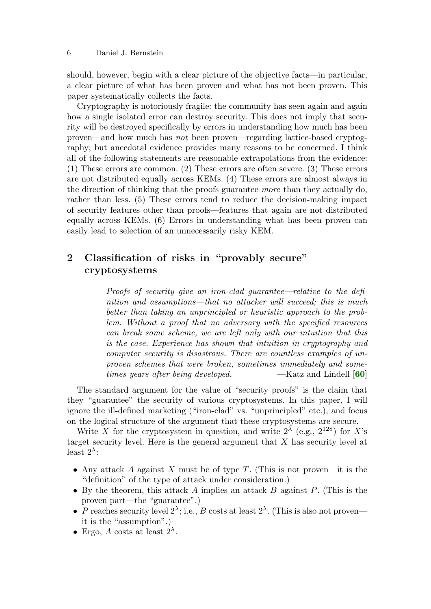should, however, begin with a clear picture of the objective facts—in particular, a clear picture of what has been proven and what has not been proven. This paper systematically collects the facts.

Cryptography is notoriously fragile: the community has seen again and again how a single isolated error can destroy security. This does not imply that security will be destroyed specifically by errors in understanding how much has been proven—and how much has not been proven—regarding lattice-based cryptography; but anecdotal evidence provides many reasons to be concerned. I think all of the following statements are reasonable extrapolations from the evidence: (1) These errors are common. (2) These errors are often severe. (3) These errors are not distributed equally across KEMs. (4) These errors are almost always in the direction of thinking that the proofs guarantee more than they actually do, rather than less. (5) These errors tend to reduce the decision-making impact of security features other than proofs—features that again are not distributed equally across KEMs. (6) Errors in understanding what has been proven can easily lead to selection of an unnecessarily risky KEM.

# 2 Classification of risks in "provably secure" cryptosystems

<span id="page-5-0"></span>Proofs of security give an iron-clad guarantee—relative to the definition and assumptions—that no attacker will succeed; this is much better than taking an unprincipled or heuristic approach to the problem. Without a proof that no adversary with the specified resources can break some scheme, we are left only with our intuition that this is the case. Experience has shown that intuition in cryptography and computer security is disastrous. There are countless examples of unproven schemes that were broken, sometimes immediately and sometimes years after being developed.  $-Katz$  and Lindell [[60](#page-37-2)]

The standard argument for the value of "security proofs" is the claim that they "guarantee" the security of various cryptosystems. In this paper, I will ignore the ill-defined marketing ("iron-clad" vs. "unprincipled" etc.), and focus on the logical structure of the argument that these cryptosystems are secure.

Write X for the cryptosystem in question, and write  $2^{\lambda}$  (e.g.,  $2^{128}$ ) for X's target security level. Here is the general argument that X has security level at least  $2^{\lambda}$ :

- Any attack A against X must be of type T. (This is not proven—it is the "definition" of the type of attack under consideration.)
- By the theorem, this attack A implies an attack B against  $P$ . (This is the proven part—the "guarantee".)
- P reaches security level  $2^{\lambda}$ ; i.e., B costs at least  $2^{\lambda}$ . (This is also not proven it is the "assumption".)
- Ergo, A costs at least  $2^{\lambda}$ .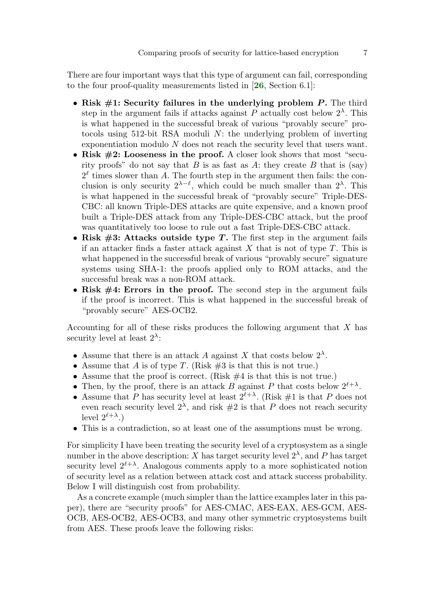There are four important ways that this type of argument can fail, corresponding to the four proof-quality measurements listed in [[26](#page-34-2), Section 6.1]:

- <span id="page-6-0"></span>• Risk  $\#1$ : Security failures in the underlying problem P. The third step in the argument fails if attacks against P actually cost below  $2^{\lambda}$ . This is what happened in the successful break of various "provably secure" protocols using 512-bit RSA moduli N: the underlying problem of inverting exponentiation modulo N does not reach the security level that users want.
- Risk  $#2$ : Looseness in the proof. A closer look shows that most "security proofs" do not say that  $B$  is as fast as  $A$ : they create  $B$  that is (say)  $2^{\ell}$  times slower than A. The fourth step in the argument then fails: the conclusion is only security  $2^{\lambda-\ell}$ , which could be much smaller than  $2^{\lambda}$ . This is what happened in the successful break of "provably secure" Triple-DES-CBC: all known Triple-DES attacks are quite expensive, and a known proof built a Triple-DES attack from any Triple-DES-CBC attack, but the proof was quantitatively too loose to rule out a fast Triple-DES-CBC attack.
- Risk  $#3$ : Attacks outside type T. The first step in the argument fails if an attacker finds a faster attack against  $X$  that is not of type  $T$ . This is what happened in the successful break of various "provably secure" signature systems using SHA-1: the proofs applied only to ROM attacks, and the successful break was a non-ROM attack.
- Risk  $#4$ : Errors in the proof. The second step in the argument fails if the proof is incorrect. This is what happened in the successful break of "provably secure" AES-OCB2.

Accounting for all of these risks produces the following argument that X has security level at least  $2^{\lambda}$ :

- Assume that there is an attack A against X that costs below  $2^{\lambda}$ .
- Assume that A is of type T. (Risk  $#3$  is that this is not true.)
- Assume that the proof is correct. (Risk  $\#4$  is that this is not true.)
- Then, by the proof, there is an attack B against P that costs below  $2^{\ell+\lambda}$ .
- Assume that P has security level at least  $2^{\ell+\lambda}$ . (Risk #1 is that P does not even reach security level  $2^{\lambda}$ , and risk  $\#2$  is that P does not reach security level  $2^{\ell+\lambda}$ .)
- This is a contradiction, so at least one of the assumptions must be wrong.

For simplicity I have been treating the security level of a cryptosystem as a single number in the above description: X has target security level  $2^{\lambda}$ , and P has target security level  $2^{\ell+\lambda}$ . Analogous comments apply to a more sophisticated notion of security level as a relation between attack cost and attack success probability. Below I will distinguish cost from probability.

As a concrete example (much simpler than the lattice examples later in this paper), there are "security proofs" for AES-CMAC, AES-EAX, AES-GCM, AES-OCB, AES-OCB2, AES-OCB3, and many other symmetric cryptosystems built from AES. These proofs leave the following risks: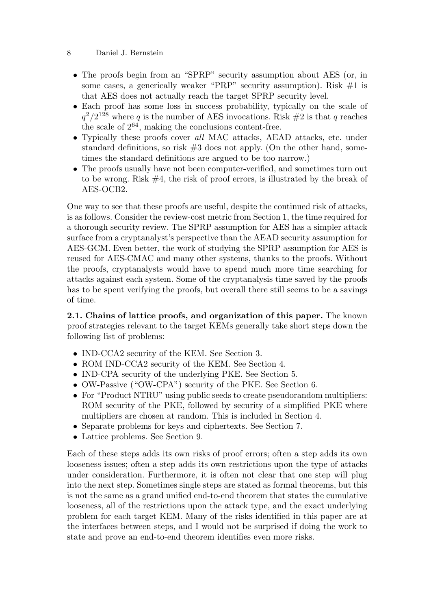- The proofs begin from an "SPRP" security assumption about AES (or, in some cases, a generically weaker "PRP" security assumption). Risk  $#1$  is that AES does not actually reach the target SPRP security level.
- Each proof has some loss in success probability, typically on the scale of  $q^2/2^{128}$  where q is the number of AES invocations. Risk #2 is that q reaches the scale of  $2^{64}$ , making the conclusions content-free.
- Typically these proofs cover all MAC attacks, AEAD attacks, etc. under standard definitions, so risk  $\#3$  does not apply. (On the other hand, sometimes the standard definitions are argued to be too narrow.)
- The proofs usually have not been computer-verified, and sometimes turn out to be wrong. Risk #4, the risk of proof errors, is illustrated by the break of AES-OCB2.

One way to see that these proofs are useful, despite the continued risk of attacks, is as follows. Consider the review-cost metric from Section 1, the time required for a thorough security review. The SPRP assumption for AES has a simpler attack surface from a cryptanalyst's perspective than the AEAD security assumption for AES-GCM. Even better, the work of studying the SPRP assumption for AES is reused for AES-CMAC and many other systems, thanks to the proofs. Without the proofs, cryptanalysts would have to spend much more time searching for attacks against each system. Some of the cryptanalysis time saved by the proofs has to be spent verifying the proofs, but overall there still seems to be a savings of time.

2.1. Chains of lattice proofs, and organization of this paper. The known proof strategies relevant to the target KEMs generally take short steps down the following list of problems:

- IND-CCA2 security of the KEM. See Section 3.
- ROM IND-CCA2 security of the KEM. See Section 4.
- IND-CPA security of the underlying PKE. See Section 5.
- OW-Passive ("OW-CPA") security of the PKE. See Section 6.
- For "Product NTRU" using public seeds to create pseudorandom multipliers: ROM security of the PKE, followed by security of a simplified PKE where multipliers are chosen at random. This is included in Section 4.
- Separate problems for keys and ciphertexts. See Section 7.
- Lattice problems. See Section 9.

Each of these steps adds its own risks of proof errors; often a step adds its own looseness issues; often a step adds its own restrictions upon the type of attacks under consideration. Furthermore, it is often not clear that one step will plug into the next step. Sometimes single steps are stated as formal theorems, but this is not the same as a grand unified end-to-end theorem that states the cumulative looseness, all of the restrictions upon the attack type, and the exact underlying problem for each target KEM. Many of the risks identified in this paper are at the interfaces between steps, and I would not be surprised if doing the work to state and prove an end-to-end theorem identifies even more risks.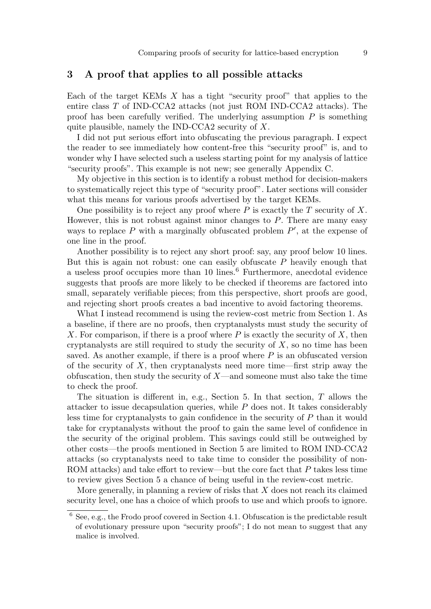# 3 A proof that applies to all possible attacks

Each of the target KEMs  $X$  has a tight "security proof" that applies to the entire class T of IND-CCA2 attacks (not just ROM IND-CCA2 attacks). The proof has been carefully verified. The underlying assumption  $P$  is something quite plausible, namely the IND-CCA2 security of X.

I did not put serious effort into obfuscating the previous paragraph. I expect the reader to see immediately how content-free this "security proof" is, and to wonder why I have selected such a useless starting point for my analysis of lattice "security proofs". This example is not new; see generally Appendix C.

My objective in this section is to identify a robust method for decision-makers to systematically reject this type of "security proof". Later sections will consider what this means for various proofs advertised by the target KEMs.

One possibility is to reject any proof where  $P$  is exactly the  $T$  security of  $X$ . However, this is not robust against minor changes to  $P$ . There are many easy ways to replace  $P$  with a marginally obfuscated problem  $P'$ , at the expense of one line in the proof.

Another possibility is to reject any short proof: say, any proof below 10 lines. But this is again not robust: one can easily obfuscate  $P$  heavily enough that a useless proof occupies more than 10 lines.<sup>6</sup> Furthermore, anecdotal evidence suggests that proofs are more likely to be checked if theorems are factored into small, separately verifiable pieces; from this perspective, short proofs are good, and rejecting short proofs creates a bad incentive to avoid factoring theorems.

What I instead recommend is using the review-cost metric from Section 1. As a baseline, if there are no proofs, then cryptanalysts must study the security of X. For comparison, if there is a proof where  $P$  is exactly the security of  $X$ , then cryptanalysts are still required to study the security of  $X$ , so no time has been saved. As another example, if there is a proof where  $P$  is an obfuscated version of the security of  $X$ , then cryptanalysts need more time—first strip away the obfuscation, then study the security of  $X$ —and someone must also take the time to check the proof.

The situation is different in, e.g., Section 5. In that section,  $T$  allows the attacker to issue decapsulation queries, while P does not. It takes considerably less time for cryptanalysts to gain confidence in the security of P than it would take for cryptanalysts without the proof to gain the same level of confidence in the security of the original problem. This savings could still be outweighed by other costs—the proofs mentioned in Section 5 are limited to ROM IND-CCA2 attacks (so cryptanalysts need to take time to consider the possibility of non-ROM attacks) and take effort to review—but the core fact that P takes less time to review gives Section 5 a chance of being useful in the review-cost metric.

More generally, in planning a review of risks that  $X$  does not reach its claimed security level, one has a choice of which proofs to use and which proofs to ignore.

 $6$  See, e.g., the Frodo proof covered in Section 4.1. Obfuscation is the predictable result of evolutionary pressure upon "security proofs"; I do not mean to suggest that any malice is involved.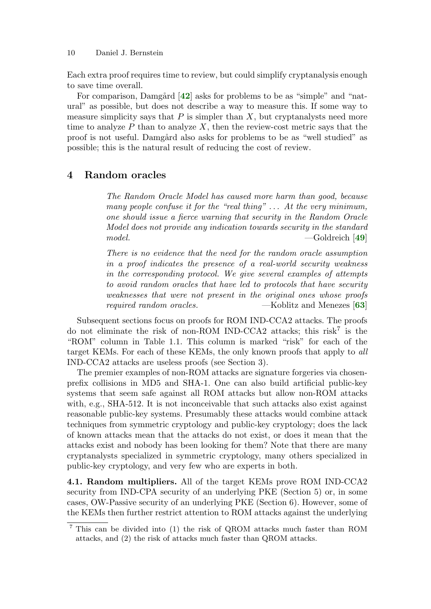Each extra proof requires time to review, but could simplify cryptanalysis enough to save time overall.

<span id="page-9-0"></span>For comparison, Damgård  $[42]$  $[42]$  $[42]$  asks for problems to be as "simple" and "natural" as possible, but does not describe a way to measure this. If some way to measure simplicity says that  $P$  is simpler than  $X$ , but cryptanalysts need more time to analyze  $P$  than to analyze  $X$ , then the review-cost metric says that the proof is not useful. Damgård also asks for problems to be as "well studied" as possible; this is the natural result of reducing the cost of review.

# 4 Random oracles

The Random Oracle Model has caused more harm than good, because many people confuse it for the "real thing"  $\dots$  At the very minimum, one should issue a fierce warning that security in the Random Oracle Model does not provide any indication towards security in the standard model. — Goldreich [[49](#page-36-2)]

<span id="page-9-2"></span><span id="page-9-1"></span>There is no evidence that the need for the random oracle assumption in a proof indicates the presence of a real-world security weakness in the corresponding protocol. We give several examples of attempts to avoid random oracles that have led to protocols that have security weaknesses that were not present in the original ones whose proofs required random oracles.  $-$ Koblitz and Menezes [[63](#page-37-3)]

Subsequent sections focus on proofs for ROM IND-CCA2 attacks. The proofs do not eliminate the risk of non-ROM IND-CCA2 attacks; this risk<sup>7</sup> is the "ROM" column in Table 1.1. This column is marked "risk" for each of the target KEMs. For each of these KEMs, the only known proofs that apply to all IND-CCA2 attacks are useless proofs (see Section 3).

The premier examples of non-ROM attacks are signature forgeries via chosenprefix collisions in MD5 and SHA-1. One can also build artificial public-key systems that seem safe against all ROM attacks but allow non-ROM attacks with, e.g., SHA-512. It is not inconceivable that such attacks also exist against reasonable public-key systems. Presumably these attacks would combine attack techniques from symmetric cryptology and public-key cryptology; does the lack of known attacks mean that the attacks do not exist, or does it mean that the attacks exist and nobody has been looking for them? Note that there are many cryptanalysts specialized in symmetric cryptology, many others specialized in public-key cryptology, and very few who are experts in both.

4.1. Random multipliers. All of the target KEMs prove ROM IND-CCA2 security from IND-CPA security of an underlying PKE (Section 5) or, in some cases, OW-Passive security of an underlying PKE (Section 6). However, some of the KEMs then further restrict attention to ROM attacks against the underlying

<sup>7</sup> This can be divided into (1) the risk of QROM attacks much faster than ROM attacks, and (2) the risk of attacks much faster than QROM attacks.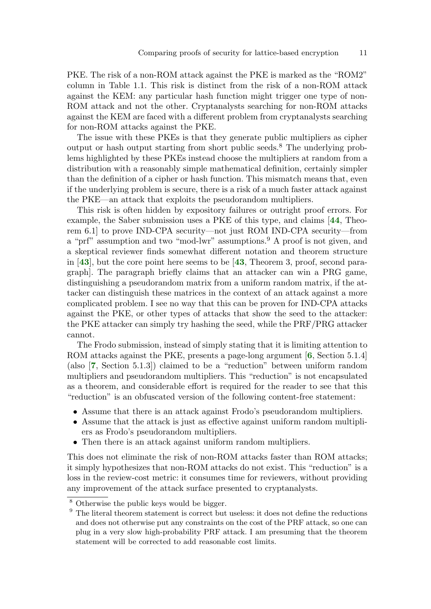PKE. The risk of a non-ROM attack against the PKE is marked as the "ROM2" column in Table 1.1. This risk is distinct from the risk of a non-ROM attack against the KEM: any particular hash function might trigger one type of non-ROM attack and not the other. Cryptanalysts searching for non-ROM attacks against the KEM are faced with a different problem from cryptanalysts searching for non-ROM attacks against the PKE.

The issue with these PKEs is that they generate public multipliers as cipher output or hash output starting from short public seeds.<sup>8</sup> The underlying problems highlighted by these PKEs instead choose the multipliers at random from a distribution with a reasonably simple mathematical definition, certainly simpler than the definition of a cipher or hash function. This mismatch means that, even if the underlying problem is secure, there is a risk of a much faster attack against the PKE—an attack that exploits the pseudorandom multipliers.

<span id="page-10-3"></span><span id="page-10-2"></span>This risk is often hidden by expository failures or outright proof errors. For example, the Saber submission uses a PKE of this type, and claims [[44](#page-35-2), Theorem 6.1] to prove IND-CPA security—not just ROM IND-CPA security—from a "prf" assumption and two "mod-lwr" assumptions.<sup>9</sup> A proof is not given, and a skeptical reviewer finds somewhat different notation and theorem structure in [[43](#page-35-4)], but the core point here seems to be [[43](#page-35-4), Theorem 3, proof, second paragraph]. The paragraph briefly claims that an attacker can win a PRG game, distinguishing a pseudorandom matrix from a uniform random matrix, if the attacker can distinguish these matrices in the context of an attack against a more complicated problem. I see no way that this can be proven for IND-CPA attacks against the PKE, or other types of attacks that show the seed to the attacker: the PKE attacker can simply try hashing the seed, while the PRF/PRG attacker cannot.

<span id="page-10-1"></span><span id="page-10-0"></span>The Frodo submission, instead of simply stating that it is limiting attention to ROM attacks against the PKE, presents a page-long argument [[6](#page-32-0), Section 5.1.4] (also [[7](#page-33-2), Section 5.1.3]) claimed to be a "reduction" between uniform random multipliers and pseudorandom multipliers. This "reduction" is not encapsulated as a theorem, and considerable effort is required for the reader to see that this "reduction" is an obfuscated version of the following content-free statement:

- Assume that there is an attack against Frodo's pseudorandom multipliers.
- Assume that the attack is just as effective against uniform random multipliers as Frodo's pseudorandom multipliers.
- Then there is an attack against uniform random multipliers.

This does not eliminate the risk of non-ROM attacks faster than ROM attacks; it simply hypothesizes that non-ROM attacks do not exist. This "reduction" is a loss in the review-cost metric: it consumes time for reviewers, without providing any improvement of the attack surface presented to cryptanalysts.

<span id="page-10-4"></span>

<sup>8</sup> Otherwise the public keys would be bigger.

 $9$  The literal theorem statement is correct but useless: it does not define the reductions and does not otherwise put any constraints on the cost of the PRF attack, so one can plug in a very slow high-probability PRF attack. I am presuming that the theorem statement will be corrected to add reasonable cost limits.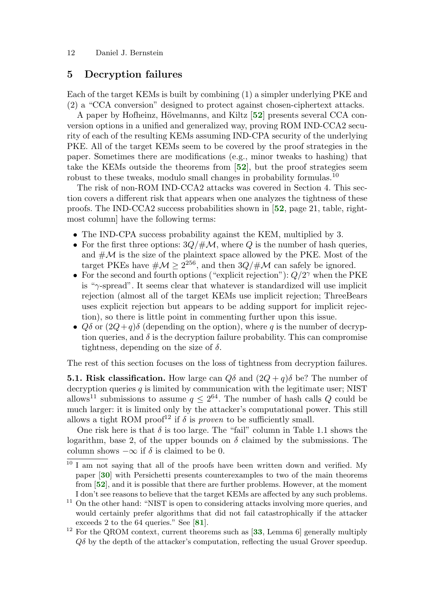# 5 Decryption failures

Each of the target KEMs is built by combining (1) a simpler underlying PKE and (2) a "CCA conversion" designed to protect against chosen-ciphertext attacks.

<span id="page-11-2"></span>A paper by Hofheinz, Hövelmanns, and Kiltz [[52](#page-36-3)] presents several CCA conversion options in a unified and generalized way, proving ROM IND-CCA2 security of each of the resulting KEMs assuming IND-CPA security of the underlying PKE. All of the target KEMs seem to be covered by the proof strategies in the paper. Sometimes there are modifications (e.g., minor tweaks to hashing) that take the KEMs outside the theorems from [[52](#page-36-3)], but the proof strategies seem robust to these tweaks, modulo small changes in probability formulas.<sup>10</sup>

<span id="page-11-3"></span>The risk of non-ROM IND-CCA2 attacks was covered in Section 4. This section covers a different risk that appears when one analyzes the tightness of these proofs. The IND-CCA2 success probabilities shown in [[52](#page-36-3), page 21, table, rightmost column] have the following terms:

- <span id="page-11-5"></span>• The IND-CPA success probability against the KEM, multiplied by 3.
- For the first three options:  $3Q/\text{\#M}$ , where Q is the number of hash queries, and  $\#\mathcal{M}$  is the size of the plaintext space allowed by the PKE. Most of the target PKEs have  $\#\mathcal{M} > 2^{256}$ , and then  $3Q/\#\mathcal{M}$  can safely be ignored.
- For the second and fourth options ("explicit rejection"):  $Q/2^{\gamma}$  when the PKE is " $\gamma$ -spread". It seems clear that whatever is standardized will use implicit rejection (almost all of the target KEMs use implicit rejection; ThreeBears uses explicit rejection but appears to be adding support for implicit rejection), so there is little point in commenting further upon this issue.
- $Q\delta$  or  $(2Q+q)\delta$  (depending on the option), where q is the number of decryption queries, and  $\delta$  is the decryption failure probability. This can compromise tightness, depending on the size of  $\delta$ .

The rest of this section focuses on the loss of tightness from decryption failures.

**5.1. Risk classification.** How large can  $Q\delta$  and  $(2Q + q)\delta$  be? The number of decryption queries  $q$  is limited by communication with the legitimate user; NIST allows<sup>11</sup> submissions to assume  $q \leq 2^{64}$ . The number of hash calls Q could be much larger: it is limited only by the attacker's computational power. This still allows a tight ROM proof<sup>12</sup> if  $\delta$  is proven to be sufficiently small.

One risk here is that  $\delta$  is too large. The "fail" column in Table 1.1 shows the logarithm, base 2, of the upper bounds on  $\delta$  claimed by the submissions. The column shows  $-\infty$  if  $\delta$  is claimed to be 0.

<span id="page-11-4"></span><span id="page-11-0"></span><sup>&</sup>lt;sup>10</sup> I am not saying that all of the proofs have been written down and verified. My paper [[30](#page-34-3)] with Persichetti presents counterexamples to two of the main theorems from [[52](#page-36-3)], and it is possible that there are further problems. However, at the moment I don't see reasons to believe that the target KEMs are affected by any such problems.

<sup>&</sup>lt;sup>11</sup> On the other hand: "NIST is open to considering attacks involving more queries, and would certainly prefer algorithms that did not fail catastrophically if the attacker exceeds 2 to the 64 queries." See [[81](#page-38-3)].

<span id="page-11-6"></span><span id="page-11-1"></span> $12$  For the QROM context, current theorems such as [[33](#page-34-4), Lemma 6] generally multiply  $Q\delta$  by the depth of the attacker's computation, reflecting the usual Grover speedup.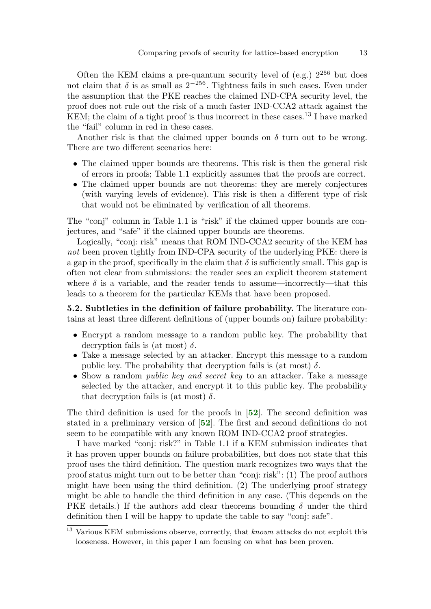Often the KEM claims a pre-quantum security level of (e.g.)  $2^{256}$  but does not claim that  $\delta$  is as small as  $2^{-256}$ . Tightness fails in such cases. Even under the assumption that the PKE reaches the claimed IND-CPA security level, the proof does not rule out the risk of a much faster IND-CCA2 attack against the KEM; the claim of a tight proof is thus incorrect in these cases.<sup>13</sup> I have marked the "fail" column in red in these cases.

Another risk is that the claimed upper bounds on  $\delta$  turn out to be wrong. There are two different scenarios here:

- The claimed upper bounds are theorems. This risk is then the general risk of errors in proofs; Table 1.1 explicitly assumes that the proofs are correct.
- The claimed upper bounds are not theorems: they are merely conjectures (with varying levels of evidence). This risk is then a different type of risk that would not be eliminated by verification of all theorems.

The "conj" column in Table 1.1 is "risk" if the claimed upper bounds are conjectures, and "safe" if the claimed upper bounds are theorems.

Logically, "conj: risk" means that ROM IND-CCA2 security of the KEM has not been proven tightly from IND-CPA security of the underlying PKE: there is a gap in the proof, specifically in the claim that  $\delta$  is sufficiently small. This gap is often not clear from submissions: the reader sees an explicit theorem statement where  $\delta$  is a variable, and the reader tends to assume—incorrectly—that this leads to a theorem for the particular KEMs that have been proposed.

5.2. Subtleties in the definition of failure probability. The literature contains at least three different definitions of (upper bounds on) failure probability:

- Encrypt a random message to a random public key. The probability that decryption fails is (at most)  $\delta$ .
- Take a message selected by an attacker. Encrypt this message to a random public key. The probability that decryption fails is (at most)  $\delta$ .
- <span id="page-12-0"></span>• Show a random *public key and secret key* to an attacker. Take a message selected by the attacker, and encrypt it to this public key. The probability that decryption fails is (at most)  $\delta$ .

<span id="page-12-1"></span>The third definition is used for the proofs in [[52](#page-36-3)]. The second definition was stated in a preliminary version of [[52](#page-36-3)]. The first and second definitions do not seem to be compatible with any known ROM IND-CCA2 proof strategies.

I have marked "conj: risk?" in Table 1.1 if a KEM submission indicates that it has proven upper bounds on failure probabilities, but does not state that this proof uses the third definition. The question mark recognizes two ways that the proof status might turn out to be better than "conj: risk": (1) The proof authors might have been using the third definition. (2) The underlying proof strategy might be able to handle the third definition in any case. (This depends on the PKE details.) If the authors add clear theorems bounding  $\delta$  under the third definition then I will be happy to update the table to say "conj: safe".

<sup>&</sup>lt;sup>13</sup> Various KEM submissions observe, correctly, that *known* attacks do not exploit this looseness. However, in this paper I am focusing on what has been proven.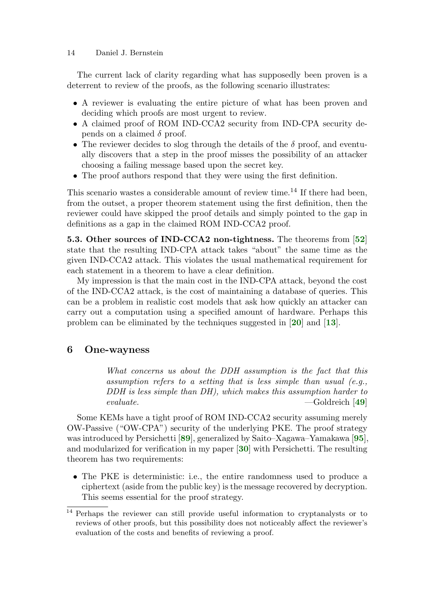The current lack of clarity regarding what has supposedly been proven is a deterrent to review of the proofs, as the following scenario illustrates:

- A reviewer is evaluating the entire picture of what has been proven and deciding which proofs are most urgent to review.
- A claimed proof of ROM IND-CCA2 security from IND-CPA security depends on a claimed  $\delta$  proof.
- The reviewer decides to slog through the details of the  $\delta$  proof, and eventually discovers that a step in the proof misses the possibility of an attacker choosing a failing message based upon the secret key.
- The proof authors respond that they were using the first definition.

This scenario wastes a considerable amount of review time.<sup>14</sup> If there had been, from the outset, a proper theorem statement using the first definition, then the reviewer could have skipped the proof details and simply pointed to the gap in definitions as a gap in the claimed ROM IND-CCA2 proof.

5.3. Other sources of IND-CCA2 non-tightness. The theorems from [[52](#page-36-3)] state that the resulting IND-CPA attack takes "about" the same time as the given IND-CCA2 attack. This violates the usual mathematical requirement for each statement in a theorem to have a clear definition.

My impression is that the main cost in the IND-CPA attack, beyond the cost of the IND-CCA2 attack, is the cost of maintaining a database of queries. This can be a problem in realistic cost models that ask how quickly an attacker can carry out a computation using a specified amount of hardware. Perhaps this problem can be eliminated by the techniques suggested in [[20](#page-34-5)] and [[13](#page-33-3)].

### 6 One-wayness

<span id="page-13-6"></span><span id="page-13-5"></span><span id="page-13-4"></span><span id="page-13-3"></span><span id="page-13-2"></span><span id="page-13-1"></span><span id="page-13-0"></span>What concerns us about the DDH assumption is the fact that this assumption refers to a setting that is less simple than usual (e.g., DDH is less simple than DH), which makes this assumption harder to evaluate. —Goldreich [[49](#page-36-2)]

Some KEMs have a tight proof of ROM IND-CCA2 security assuming merely OW-Passive ("OW-CPA") security of the underlying PKE. The proof strategy was introduced by Persichetti [[89](#page-39-1)], generalized by Saito–Xagawa–Yamakawa [[95](#page-39-2)], and modularized for verification in my paper [[30](#page-34-3)] with Persichetti. The resulting theorem has two requirements:

• The PKE is deterministic: i.e., the entire randomness used to produce a ciphertext (aside from the public key) is the message recovered by decryption. This seems essential for the proof strategy.

<sup>&</sup>lt;sup>14</sup> Perhaps the reviewer can still provide useful information to cryptanalysts or to reviews of other proofs, but this possibility does not noticeably affect the reviewer's evaluation of the costs and benefits of reviewing a proof.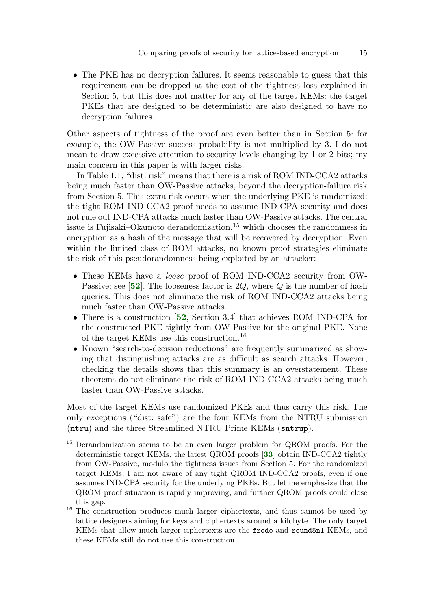• The PKE has no decryption failures. It seems reasonable to guess that this requirement can be dropped at the cost of the tightness loss explained in Section 5, but this does not matter for any of the target KEMs: the target PKEs that are designed to be deterministic are also designed to have no decryption failures.

Other aspects of tightness of the proof are even better than in Section 5: for example, the OW-Passive success probability is not multiplied by 3. I do not mean to draw excessive attention to security levels changing by 1 or 2 bits; my main concern in this paper is with larger risks.

In Table 1.1, "dist: risk" means that there is a risk of ROM IND-CCA2 attacks being much faster than OW-Passive attacks, beyond the decryption-failure risk from Section 5. This extra risk occurs when the underlying PKE is randomized: the tight ROM IND-CCA2 proof needs to assume IND-CPA security and does not rule out IND-CPA attacks much faster than OW-Passive attacks. The central issue is Fujisaki–Okamoto derandomization, $15$  which chooses the randomness in encryption as a hash of the message that will be recovered by decryption. Even within the limited class of ROM attacks, no known proof strategies eliminate the risk of this pseudorandomness being exploited by an attacker:

- <span id="page-14-1"></span>• These KEMs have a loose proof of ROM IND-CCA2 security from OW-Passive; see [[52](#page-36-3)]. The looseness factor is  $2Q$ , where Q is the number of hash queries. This does not eliminate the risk of ROM IND-CCA2 attacks being much faster than OW-Passive attacks.
- <span id="page-14-2"></span>• There is a construction [[52](#page-36-3), Section 3.4] that achieves ROM IND-CPA for the constructed PKE tightly from OW-Passive for the original PKE. None of the target KEMs use this construction.<sup>16</sup>
- Known "search-to-decision reductions" are frequently summarized as showing that distinguishing attacks are as difficult as search attacks. However, checking the details shows that this summary is an overstatement. These theorems do not eliminate the risk of ROM IND-CCA2 attacks being much faster than OW-Passive attacks.

Most of the target KEMs use randomized PKEs and thus carry this risk. The only exceptions ("dist: safe") are the four KEMs from the NTRU submission (ntru) and the three Streamlined NTRU Prime KEMs (sntrup).

<span id="page-14-0"></span><sup>&</sup>lt;sup>15</sup> Derandomization seems to be an even larger problem for QROM proofs. For the deterministic target KEMs, the latest QROM proofs [[33](#page-34-4)] obtain IND-CCA2 tightly from OW-Passive, modulo the tightness issues from Section 5. For the randomized target KEMs, I am not aware of any tight QROM IND-CCA2 proofs, even if one assumes IND-CPA security for the underlying PKEs. But let me emphasize that the QROM proof situation is rapidly improving, and further QROM proofs could close this gap.

<sup>&</sup>lt;sup>16</sup> The construction produces much larger ciphertexts, and thus cannot be used by lattice designers aiming for keys and ciphertexts around a kilobyte. The only target KEMs that allow much larger ciphertexts are the frodo and round5n1 KEMs, and these KEMs still do not use this construction.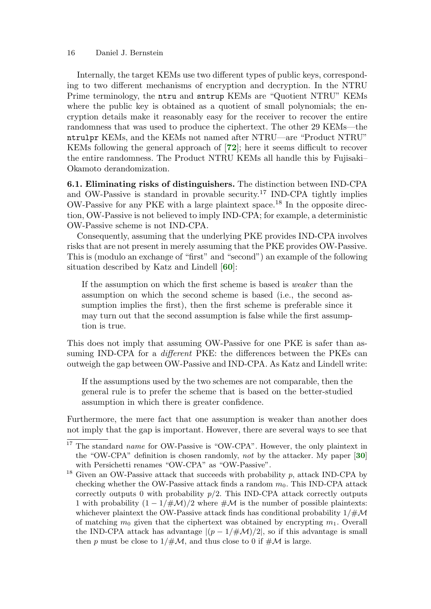Internally, the target KEMs use two different types of public keys, corresponding to two different mechanisms of encryption and decryption. In the NTRU Prime terminology, the ntru and sntrup KEMs are "Quotient NTRU" KEMs where the public key is obtained as a quotient of small polynomials; the encryption details make it reasonably easy for the receiver to recover the entire randomness that was used to produce the ciphertext. The other 29 KEMs—the ntrulpr KEMs, and the KEMs not named after NTRU—are "Product NTRU" KEMs following the general approach of [[72](#page-37-4)]; here it seems difficult to recover the entire randomness. The Product NTRU KEMs all handle this by Fujisaki– Okamoto derandomization.

<span id="page-15-2"></span>6.1. Eliminating risks of distinguishers. The distinction between IND-CPA and OW-Passive is standard in provable security.<sup>17</sup> IND-CPA tightly implies OW-Passive for any PKE with a large plaintext space.<sup>18</sup> In the opposite direction, OW-Passive is not believed to imply IND-CPA; for example, a deterministic OW-Passive scheme is not IND-CPA.

Consequently, assuming that the underlying PKE provides IND-CPA involves risks that are not present in merely assuming that the PKE provides OW-Passive. This is (modulo an exchange of "first" and "second") an example of the following situation described by Katz and Lindell [[60](#page-37-2)]:

<span id="page-15-1"></span>If the assumption on which the first scheme is based is weaker than the assumption on which the second scheme is based (i.e., the second assumption implies the first), then the first scheme is preferable since it may turn out that the second assumption is false while the first assumption is true.

This does not imply that assuming OW-Passive for one PKE is safer than assuming IND-CPA for a *different* PKE: the differences between the PKEs can outweigh the gap between OW-Passive and IND-CPA. As Katz and Lindell write:

<span id="page-15-0"></span>If the assumptions used by the two schemes are not comparable, then the general rule is to prefer the scheme that is based on the better-studied assumption in which there is greater confidence.

Furthermore, the mere fact that one assumption is weaker than another does not imply that the gap is important. However, there are several ways to see that

 $17$  The standard name for OW-Passive is "OW-CPA". However, the only plaintext in the "OW-CPA" definition is chosen randomly, not by the attacker. My paper [[30](#page-34-3)] with Persichetti renames "OW-CPA" as "OW-Passive".

 $18$  Given an OW-Passive attack that succeeds with probability p, attack IND-CPA by checking whether the OW-Passive attack finds a random  $m_0$ . This IND-CPA attack correctly outputs 0 with probability  $p/2$ . This IND-CPA attack correctly outputs 1 with probability  $(1 - 1/\#\mathcal{M})/2$  where  $\#\mathcal{M}$  is the number of possible plaintexts: whichever plaintext the OW-Passive attack finds has conditional probability  $1/\#\mathcal{M}$ of matching  $m_0$  given that the ciphertext was obtained by encrypting  $m_1$ . Overall the IND-CPA attack has advantage  $|(p-1/\#M)/2|$ , so if this advantage is small then p must be close to  $1/\#M$ , and thus close to 0 if  $\#M$  is large.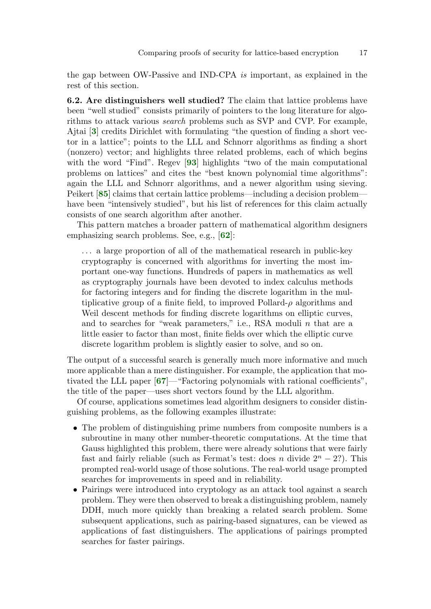the gap between OW-Passive and IND-CPA is important, as explained in the rest of this section.

<span id="page-16-4"></span><span id="page-16-0"></span>6.2. Are distinguishers well studied? The claim that lattice problems have been "well studied" consists primarily of pointers to the long literature for algorithms to attack various search problems such as SVP and CVP. For example, Ajtai [[3](#page-32-2)] credits Dirichlet with formulating "the question of finding a short vector in a lattice"; points to the LLL and Schnorr algorithms as finding a short (nonzero) vector; and highlights three related problems, each of which begins with the word "Find". Regev [[93](#page-39-3)] highlights "two of the main computational problems on lattices" and cites the "best known polynomial time algorithms": again the LLL and Schnorr algorithms, and a newer algorithm using sieving. Peikert [[85](#page-38-1)] claims that certain lattice problems—including a decision problem have been "intensively studied", but his list of references for this claim actually consists of one search algorithm after another.

<span id="page-16-3"></span>This pattern matches a broader pattern of mathematical algorithm designers emphasizing search problems. See, e.g., [[62](#page-37-5)]:

<span id="page-16-1"></span>... a large proportion of all of the mathematical research in public-key cryptography is concerned with algorithms for inverting the most important one-way functions. Hundreds of papers in mathematics as well as cryptography journals have been devoted to index calculus methods for factoring integers and for finding the discrete logarithm in the multiplicative group of a finite field, to improved Pollard- $\rho$  algorithms and Weil descent methods for finding discrete logarithms on elliptic curves, and to searches for "weak parameters," i.e., RSA moduli n that are a little easier to factor than most, finite fields over which the elliptic curve discrete logarithm problem is slightly easier to solve, and so on.

<span id="page-16-2"></span>The output of a successful search is generally much more informative and much more applicable than a mere distinguisher. For example, the application that motivated the LLL paper [[67](#page-37-6)]—"Factoring polynomials with rational coefficients", the title of the paper—uses short vectors found by the LLL algorithm.

Of course, applications sometimes lead algorithm designers to consider distinguishing problems, as the following examples illustrate:

- The problem of distinguishing prime numbers from composite numbers is a subroutine in many other number-theoretic computations. At the time that Gauss highlighted this problem, there were already solutions that were fairly fast and fairly reliable (such as Fermat's test: does n divide  $2^{n} - 2$ ?). This prompted real-world usage of those solutions. The real-world usage prompted searches for improvements in speed and in reliability.
- Pairings were introduced into cryptology as an attack tool against a search problem. They were then observed to break a distinguishing problem, namely DDH, much more quickly than breaking a related search problem. Some subsequent applications, such as pairing-based signatures, can be viewed as applications of fast distinguishers. The applications of pairings prompted searches for faster pairings.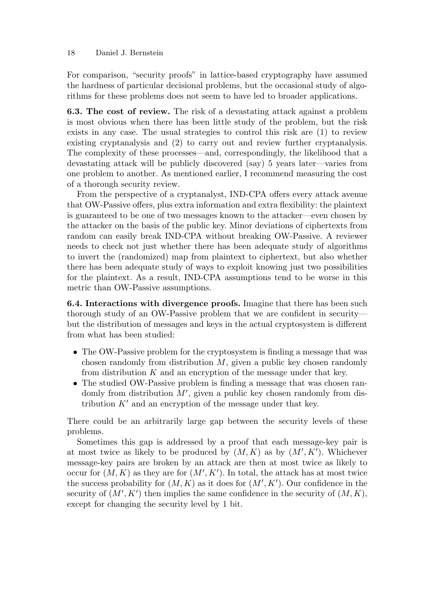For comparison, "security proofs" in lattice-based cryptography have assumed the hardness of particular decisional problems, but the occasional study of algorithms for these problems does not seem to have led to broader applications.

6.3. The cost of review. The risk of a devastating attack against a problem is most obvious when there has been little study of the problem, but the risk exists in any case. The usual strategies to control this risk are (1) to review existing cryptanalysis and (2) to carry out and review further cryptanalysis. The complexity of these processes—and, correspondingly, the likelihood that a devastating attack will be publicly discovered (say) 5 years later—varies from one problem to another. As mentioned earlier, I recommend measuring the cost of a thorough security review.

From the perspective of a cryptanalyst, IND-CPA offers every attack avenue that OW-Passive offers, plus extra information and extra flexibility: the plaintext is guaranteed to be one of two messages known to the attacker—even chosen by the attacker on the basis of the public key. Minor deviations of ciphertexts from random can easily break IND-CPA without breaking OW-Passive. A reviewer needs to check not just whether there has been adequate study of algorithms to invert the (randomized) map from plaintext to ciphertext, but also whether there has been adequate study of ways to exploit knowing just two possibilities for the plaintext. As a result, IND-CPA assumptions tend to be worse in this metric than OW-Passive assumptions.

6.4. Interactions with divergence proofs. Imagine that there has been such thorough study of an OW-Passive problem that we are confident in security but the distribution of messages and keys in the actual cryptosystem is different from what has been studied:

- The OW-Passive problem for the cryptosystem is finding a message that was chosen randomly from distribution  $M$ , given a public key chosen randomly from distribution  $K$  and an encryption of the message under that key.
- The studied OW-Passive problem is finding a message that was chosen randomly from distribution  $M'$ , given a public key chosen randomly from distribution  $K'$  and an encryption of the message under that key.

There could be an arbitrarily large gap between the security levels of these problems.

Sometimes this gap is addressed by a proof that each message-key pair is at most twice as likely to be produced by  $(M, K)$  as by  $(M', K')$ . Whichever message-key pairs are broken by an attack are then at most twice as likely to occur for  $(M, K)$  as they are for  $(M', K')$ . In total, the attack has at most twice the success probability for  $(M, K)$  as it does for  $(M', K')$ . Our confidence in the security of  $(M', K')$  then implies the same confidence in the security of  $(M, K)$ , except for changing the security level by 1 bit.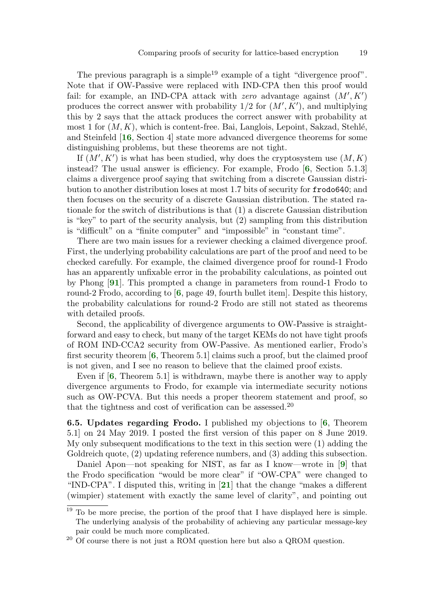The previous paragraph is a simple<sup>19</sup> example of a tight "divergence proof". Note that if OW-Passive were replaced with IND-CPA then this proof would fail: for example, an IND-CPA attack with zero advantage against  $(M', K')$ produces the correct answer with probability  $1/2$  for  $(M', K')$ , and multiplying this by 2 says that the attack produces the correct answer with probability at most 1 for  $(M, K)$ , which is content-free. Bai, Langlois, Lepoint, Sakzad, Stehlé, and Steinfeld [[16](#page-33-4), Section 4] state more advanced divergence theorems for some distinguishing problems, but these theorems are not tight.

<span id="page-18-6"></span><span id="page-18-0"></span>If  $(M', K')$  is what has been studied, why does the cryptosystem use  $(M, K)$ instead? The usual answer is efficiency. For example, Frodo [[6](#page-32-0), Section 5.1.3] claims a divergence proof saying that switching from a discrete Gaussian distribution to another distribution loses at most 1.7 bits of security for frodo640; and then focuses on the security of a discrete Gaussian distribution. The stated rationale for the switch of distributions is that (1) a discrete Gaussian distribution is "key" to part of the security analysis, but (2) sampling from this distribution is "difficult" on a "finite computer" and "impossible" in "constant time".

<span id="page-18-8"></span>There are two main issues for a reviewer checking a claimed divergence proof. First, the underlying probability calculations are part of the proof and need to be checked carefully. For example, the claimed divergence proof for round-1 Frodo has an apparently unfixable error in the probability calculations, as pointed out by Phong [[91](#page-39-4)]. This prompted a change in parameters from round-1 Frodo to round-2 Frodo, according to  $\left[6\right]$  $\left[6\right]$  $\left[6\right]$ , page 49, fourth bullet item. Despite this history, the probability calculations for round-2 Frodo are still not stated as theorems with detailed proofs.

<span id="page-18-1"></span>Second, the applicability of divergence arguments to OW-Passive is straightforward and easy to check, but many of the target KEMs do not have tight proofs of ROM IND-CCA2 security from OW-Passive. As mentioned earlier, Frodo's first security theorem  $[6,$  $[6,$  $[6,$  Theorem 5.1 claims such a proof, but the claimed proof is not given, and I see no reason to believe that the claimed proof exists.

<span id="page-18-3"></span><span id="page-18-2"></span>Even if [[6](#page-32-0), Theorem 5.1] is withdrawn, maybe there is another way to apply divergence arguments to Frodo, for example via intermediate security notions such as OW-PCVA. But this needs a proper theorem statement and proof, so that the tightness and cost of verification can be assessed.<sup>20</sup>

<span id="page-18-4"></span>6.5. Updates regarding Frodo. I published my objections to [[6](#page-32-0), Theorem 5.1] on 24 May 2019. I posted the first version of this paper on 8 June 2019. My only subsequent modifications to the text in this section were (1) adding the Goldreich quote, (2) updating reference numbers, and (3) adding this subsection.

<span id="page-18-7"></span><span id="page-18-5"></span>Daniel Apon—not speaking for NIST, as far as I know—wrote in [[9](#page-33-5)] that the Frodo specification "would be more clear" if "OW-CPA" were changed to "IND-CPA". I disputed this, writing in [[21](#page-34-6)] that the change "makes a different (wimpier) statement with exactly the same level of clarity", and pointing out

 $19$  To be more precise, the portion of the proof that I have displayed here is simple. The underlying analysis of the probability of achieving any particular message-key pair could be much more complicated.

 $20$  Of course there is not just a ROM question here but also a QROM question.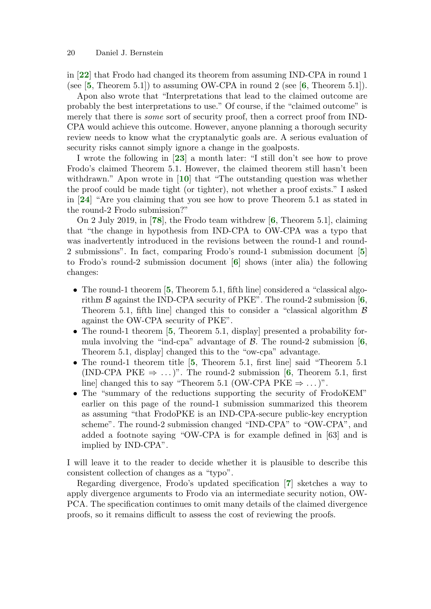<span id="page-19-13"></span><span id="page-19-5"></span><span id="page-19-0"></span>in [[22](#page-34-7)] that Frodo had changed its theorem from assuming IND-CPA in round 1 (see  $[5,$  $[5,$  $[5,$  Theorem 5.1]) to assuming OW-CPA in round 2 (see  $[6,$  $[6,$  $[6,$  Theorem 5.1]).

Apon also wrote that "Interpretations that lead to the claimed outcome are probably the best interpretations to use." Of course, if the "claimed outcome" is merely that there is some sort of security proof, then a correct proof from IND-CPA would achieve this outcome. However, anyone planning a thorough security review needs to know what the cryptanalytic goals are. A serious evaluation of security risks cannot simply ignore a change in the goalposts.

<span id="page-19-14"></span><span id="page-19-12"></span>I wrote the following in [[23](#page-34-8)] a month later: "I still don't see how to prove Frodo's claimed Theorem 5.1. However, the claimed theorem still hasn't been withdrawn." Apon wrote in [[10](#page-33-6)] that "The outstanding question was whether the proof could be made tight (or tighter), not whether a proof exists." I asked in [[24](#page-34-9)] "Are you claiming that you see how to prove Theorem 5.1 as stated in the round-2 Frodo submission?"

<span id="page-19-16"></span><span id="page-19-15"></span><span id="page-19-6"></span>On 2 July 2019, in [[78](#page-38-4)], the Frodo team withdrew [[6](#page-32-0), Theorem 5.1], claiming that "the change in hypothesis from IND-CPA to OW-CPA was a typo that was inadvertently introduced in the revisions between the round-1 and round-2 submissions". In fact, comparing Frodo's round-1 submission document [[5](#page-32-3)] to Frodo's round-2 submission document [[6](#page-32-0)] shows (inter alia) the following changes:

- <span id="page-19-8"></span><span id="page-19-7"></span><span id="page-19-2"></span><span id="page-19-1"></span>• The round-1 theorem [[5](#page-32-3), Theorem 5.1, fifth line] considered a "classical algorithm  $\beta$  against the IND-CPA security of PKE". The round-2 submission [[6](#page-32-0), Theorem 5.1, fifth line] changed this to consider a "classical algorithm  $\beta$ against the OW-CPA security of PKE".
- <span id="page-19-9"></span><span id="page-19-3"></span>• The round-1 theorem [[5](#page-32-3), Theorem 5.1, display] presented a probability formula involving the "ind-cpa" advantage of  $\beta$ . The round-2 submission [[6](#page-32-0), Theorem 5.1, display] changed this to the "ow-cpa" advantage.
- <span id="page-19-10"></span><span id="page-19-4"></span>• The round-1 theorem title [[5](#page-32-3), Theorem 5.1, first line] said "Theorem 5.1 (IND-CPA PKE  $\Rightarrow$  ...)". The round-2 submission [[6](#page-32-0), Theorem 5.1, first line] changed this to say "Theorem 5.1 (OW-CPA PKE  $\Rightarrow$  ...)".
- The "summary of the reductions supporting the security of FrodoKEM" earlier on this page of the round-1 submission summarized this theorem as assuming "that FrodoPKE is an IND-CPA-secure public-key encryption scheme". The round-2 submission changed "IND-CPA" to "OW-CPA", and added a footnote saying "OW-CPA is for example defined in [63] and is implied by IND-CPA".

I will leave it to the reader to decide whether it is plausible to describe this consistent collection of changes as a "typo".

<span id="page-19-11"></span>Regarding divergence, Frodo's updated specification [[7](#page-33-2)] sketches a way to apply divergence arguments to Frodo via an intermediate security notion, OW-PCA. The specification continues to omit many details of the claimed divergence proofs, so it remains difficult to assess the cost of reviewing the proofs.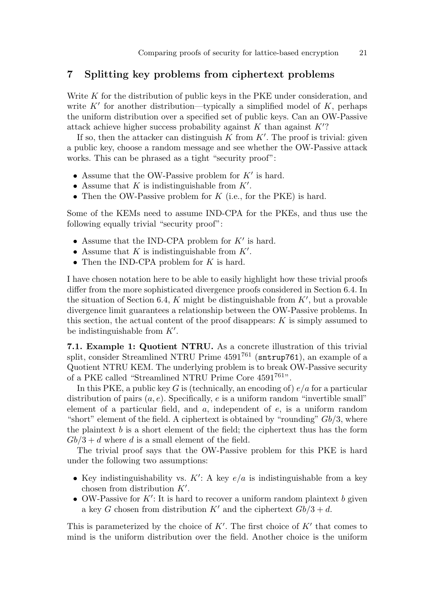# 7 Splitting key problems from ciphertext problems

Write  $K$  for the distribution of public keys in the PKE under consideration, and write  $K'$  for another distribution—typically a simplified model of  $K$ , perhaps the uniform distribution over a specified set of public keys. Can an OW-Passive attack achieve higher success probability against  $K$  than against  $K'$ ?

If so, then the attacker can distinguish  $K$  from  $K'$ . The proof is trivial: given a public key, choose a random message and see whether the OW-Passive attack works. This can be phrased as a tight "security proof":

- Assume that the OW-Passive problem for  $K'$  is hard.
- Assume that  $K$  is indistinguishable from  $K'$ .
- Then the OW-Passive problem for  $K$  (i.e., for the PKE) is hard.

Some of the KEMs need to assume IND-CPA for the PKEs, and thus use the following equally trivial "security proof":

- Assume that the IND-CPA problem for  $K'$  is hard.
- Assume that  $K$  is indistinguishable from  $K'$ .
- Then the IND-CPA problem for  $K$  is hard.

I have chosen notation here to be able to easily highlight how these trivial proofs differ from the more sophisticated divergence proofs considered in Section 6.4. In the situation of Section 6.4,  $K$  might be distinguishable from  $K'$ , but a provable divergence limit guarantees a relationship between the OW-Passive problems. In this section, the actual content of the proof disappears:  $K$  is simply assumed to be indistinguishable from  $K'$ .

7.1. Example 1: Quotient NTRU. As a concrete illustration of this trivial split, consider Streamlined NTRU Prime  $4591^{761}$  (sntrup761), an example of a Quotient NTRU KEM. The underlying problem is to break OW-Passive security of a PKE called "Streamlined NTRU Prime Core 4591761".

In this PKE, a public key G is (technically, an encoding of)  $e/a$  for a particular distribution of pairs  $(a, e)$ . Specifically, e is a uniform random "invertible small" element of a particular field, and  $a$ , independent of  $e$ , is a uniform random "short" element of the field. A ciphertext is obtained by "rounding"  $Gb/3$ , where the plaintext  $b$  is a short element of the field; the ciphertext thus has the form  $Gb/3 + d$  where d is a small element of the field.

The trivial proof says that the OW-Passive problem for this PKE is hard under the following two assumptions:

- Key indistinguishability vs.  $K'$ : A key  $e/a$  is indistinguishable from a key chosen from distribution  $K'$ .
- OW-Passive for  $K'$ : It is hard to recover a uniform random plaintext b given a key G chosen from distribution K' and the ciphertext  $Gb/3 + d$ .

This is parameterized by the choice of  $K'$ . The first choice of  $K'$  that comes to mind is the uniform distribution over the field. Another choice is the uniform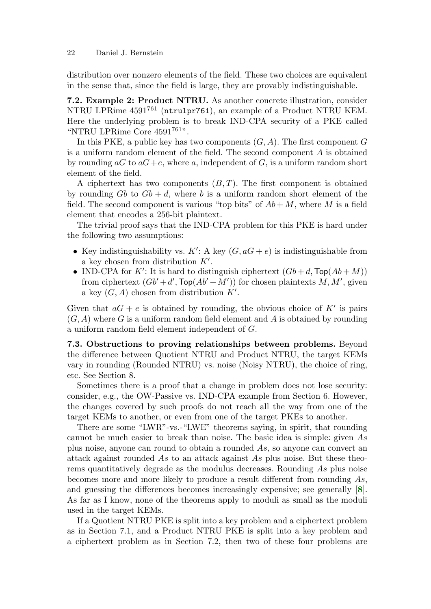distribution over nonzero elements of the field. These two choices are equivalent in the sense that, since the field is large, they are provably indistinguishable.

7.2. Example 2: Product NTRU. As another concrete illustration, consider NTRU LPRime 4591<sup>761</sup> (ntrulpr761), an example of a Product NTRU KEM. Here the underlying problem is to break IND-CPA security of a PKE called "NTRU LPRime Core  $4591^{761}$ ".

In this PKE, a public key has two components  $(G, A)$ . The first component G is a uniform random element of the field. The second component A is obtained by rounding  $aG$  to  $aG+e$ , where a, independent of G, is a uniform random short element of the field.

A ciphertext has two components  $(B, T)$ . The first component is obtained by rounding Gb to  $Gb + d$ , where b is a uniform random short element of the field. The second component is various "top bits" of  $Ab + M$ , where M is a field element that encodes a 256-bit plaintext.

The trivial proof says that the IND-CPA problem for this PKE is hard under the following two assumptions:

- Key indistinguishability vs.  $K'$ : A key  $(G, aG + e)$  is indistinguishable from a key chosen from distribution  $K'$ .
- IND-CPA for K': It is hard to distinguish ciphertext  $(Gb + d, \text{Top}(Ab + M))$ from ciphertext  $(Gb' + d', \text{Top}(Ab' + M'))$  for chosen plaintexts M, M', given a key  $(G, A)$  chosen from distribution  $K'$ .

Given that  $aG + e$  is obtained by rounding, the obvious choice of K' is pairs  $(G, A)$  where G is a uniform random field element and A is obtained by rounding a uniform random field element independent of G.

7.3. Obstructions to proving relationships between problems. Beyond the difference between Quotient NTRU and Product NTRU, the target KEMs vary in rounding (Rounded NTRU) vs. noise (Noisy NTRU), the choice of ring, etc. See Section 8.

Sometimes there is a proof that a change in problem does not lose security: consider, e.g., the OW-Passive vs. IND-CPA example from Section 6. However, the changes covered by such proofs do not reach all the way from one of the target KEMs to another, or even from one of the target PKEs to another.

There are some "LWR"-vs.-"LWE" theorems saying, in spirit, that rounding cannot be much easier to break than noise. The basic idea is simple: given As plus noise, anyone can round to obtain a rounded As, so anyone can convert an attack against rounded As to an attack against As plus noise. But these theorems quantitatively degrade as the modulus decreases. Rounding As plus noise becomes more and more likely to produce a result different from rounding As, and guessing the differences becomes increasingly expensive; see generally [[8](#page-33-7)]. As far as I know, none of the theorems apply to moduli as small as the moduli used in the target KEMs.

<span id="page-21-0"></span>If a Quotient NTRU PKE is split into a key problem and a ciphertext problem as in Section 7.1, and a Product NTRU PKE is split into a key problem and a ciphertext problem as in Section 7.2, then two of these four problems are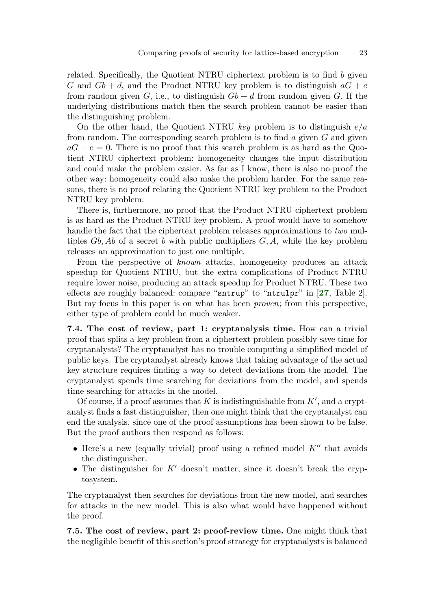related. Specifically, the Quotient NTRU ciphertext problem is to find b given G and  $Gb + d$ , and the Product NTRU key problem is to distinguish  $aG + e$ from random given G, i.e., to distinguish  $Gb + d$  from random given G. If the underlying distributions match then the search problem cannot be easier than the distinguishing problem.

On the other hand, the Quotient NTRU key problem is to distinguish  $e/a$ from random. The corresponding search problem is to find  $a$  given  $G$  and given  $aG - e = 0$ . There is no proof that this search problem is as hard as the Quotient NTRU ciphertext problem: homogeneity changes the input distribution and could make the problem easier. As far as I know, there is also no proof the other way: homogeneity could also make the problem harder. For the same reasons, there is no proof relating the Quotient NTRU key problem to the Product NTRU key problem.

There is, furthermore, no proof that the Product NTRU ciphertext problem is as hard as the Product NTRU key problem. A proof would have to somehow handle the fact that the ciphertext problem releases approximations to two multiples  $Gb$ , Ab of a secret b with public multipliers  $G$ , A, while the key problem releases an approximation to just one multiple.

<span id="page-22-0"></span>From the perspective of known attacks, homogeneity produces an attack speedup for Quotient NTRU, but the extra complications of Product NTRU require lower noise, producing an attack speedup for Product NTRU. These two effects are roughly balanced: compare "sntrup" to "ntrulpr" in [[27](#page-34-1), Table 2]. But my focus in this paper is on what has been proven; from this perspective, either type of problem could be much weaker.

7.4. The cost of review, part 1: cryptanalysis time. How can a trivial proof that splits a key problem from a ciphertext problem possibly save time for cryptanalysts? The cryptanalyst has no trouble computing a simplified model of public keys. The cryptanalyst already knows that taking advantage of the actual key structure requires finding a way to detect deviations from the model. The cryptanalyst spends time searching for deviations from the model, and spends time searching for attacks in the model.

Of course, if a proof assumes that  $K$  is indistinguishable from  $K'$ , and a cryptanalyst finds a fast distinguisher, then one might think that the cryptanalyst can end the analysis, since one of the proof assumptions has been shown to be false. But the proof authors then respond as follows:

- Here's a new (equally trivial) proof using a refined model  $K''$  that avoids the distinguisher.
- The distinguisher for  $K'$  doesn't matter, since it doesn't break the cryptosystem.

The cryptanalyst then searches for deviations from the new model, and searches for attacks in the new model. This is also what would have happened without the proof.

7.5. The cost of review, part 2: proof-review time. One might think that the negligible benefit of this section's proof strategy for cryptanalysts is balanced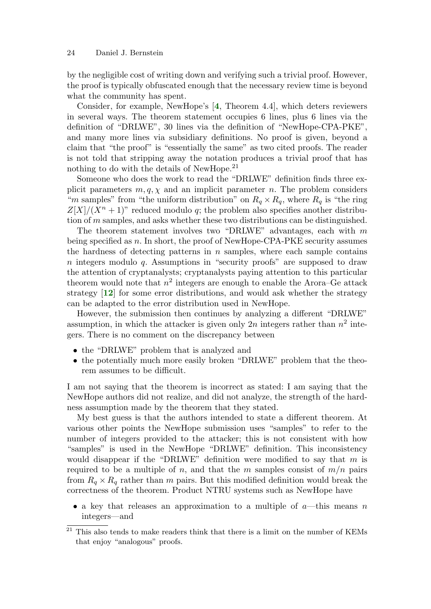by the negligible cost of writing down and verifying such a trivial proof. However, the proof is typically obfuscated enough that the necessary review time is beyond what the community has spent.

<span id="page-23-0"></span>Consider, for example, NewHope's [[4](#page-32-1), Theorem 4.4], which deters reviewers in several ways. The theorem statement occupies 6 lines, plus 6 lines via the definition of "DRLWE", 30 lines via the definition of "NewHope-CPA-PKE", and many more lines via subsidiary definitions. No proof is given, beyond a claim that "the proof" is "essentially the same" as two cited proofs. The reader is not told that stripping away the notation produces a trivial proof that has nothing to do with the details of NewHope.<sup>21</sup>

Someone who does the work to read the "DRLWE" definition finds three explicit parameters  $m, q, \chi$  and an implicit parameter n. The problem considers "m samples" from "the uniform distribution" on  $R_q \times R_q$ , where  $R_q$  is "the ring"  $Z[X]/(X^{n}+1)$ " reduced modulo q; the problem also specifies another distribution of m samples, and asks whether these two distributions can be distinguished.

The theorem statement involves two "DRLWE" advantages, each with  $m$ being specified as  $n$ . In short, the proof of NewHope-CPA-PKE security assumes the hardness of detecting patterns in  $n$  samples, where each sample contains n integers modulo q. Assumptions in "security proofs" are supposed to draw the attention of cryptanalysts; cryptanalysts paying attention to this particular theorem would note that  $n^2$  integers are enough to enable the Arora–Ge attack strategy [[12](#page-33-8)] for some error distributions, and would ask whether the strategy can be adapted to the error distribution used in NewHope.

<span id="page-23-1"></span>However, the submission then continues by analyzing a different "DRLWE" assumption, in which the attacker is given only 2n integers rather than  $n^2$  integers. There is no comment on the discrepancy between

- the "DRLWE" problem that is analyzed and
- the potentially much more easily broken "DRLWE" problem that the theorem assumes to be difficult.

I am not saying that the theorem is incorrect as stated: I am saying that the NewHope authors did not realize, and did not analyze, the strength of the hardness assumption made by the theorem that they stated.

My best guess is that the authors intended to state a different theorem. At various other points the NewHope submission uses "samples" to refer to the number of integers provided to the attacker; this is not consistent with how "samples" is used in the NewHope "DRLWE" definition. This inconsistency would disappear if the "DRLWE" definition were modified to say that  $m$  is required to be a multiple of n, and that the m samples consist of  $m/n$  pairs from  $R_q \times R_q$  rather than m pairs. But this modified definition would break the correctness of the theorem. Product NTRU systems such as NewHope have

• a key that releases an approximation to a multiple of  $a$ —this means n integers—and

 $21$  This also tends to make readers think that there is a limit on the number of KEMs that enjoy "analogous" proofs.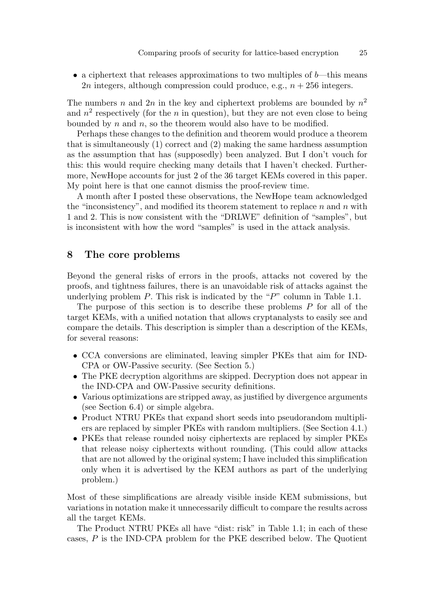• a ciphertext that releases approximations to two multiples of  $b$ —this means 2n integers, although compression could produce, e.g.,  $n + 256$  integers.

The numbers n and  $2n$  in the key and ciphertext problems are bounded by  $n^2$ and  $n^2$  respectively (for the n in question), but they are not even close to being bounded by  $n$  and  $n$ , so the theorem would also have to be modified.

Perhaps these changes to the definition and theorem would produce a theorem that is simultaneously (1) correct and (2) making the same hardness assumption as the assumption that has (supposedly) been analyzed. But I don't vouch for this: this would require checking many details that I haven't checked. Furthermore, NewHope accounts for just 2 of the 36 target KEMs covered in this paper. My point here is that one cannot dismiss the proof-review time.

A month after I posted these observations, the NewHope team acknowledged the "inconsistency", and modified its theorem statement to replace  $n$  and  $n$  with 1 and 2. This is now consistent with the "DRLWE" definition of "samples", but is inconsistent with how the word "samples" is used in the attack analysis.

### 8 The core problems

Beyond the general risks of errors in the proofs, attacks not covered by the proofs, and tightness failures, there is an unavoidable risk of attacks against the underlying problem  $P$ . This risk is indicated by the " $P$ " column in Table 1.1.

The purpose of this section is to describe these problems P for all of the target KEMs, with a unified notation that allows cryptanalysts to easily see and compare the details. This description is simpler than a description of the KEMs, for several reasons:

- CCA conversions are eliminated, leaving simpler PKEs that aim for IND-CPA or OW-Passive security. (See Section 5.)
- The PKE decryption algorithms are skipped. Decryption does not appear in the IND-CPA and OW-Passive security definitions.
- Various optimizations are stripped away, as justified by divergence arguments (see Section 6.4) or simple algebra.
- Product NTRU PKEs that expand short seeds into pseudorandom multipliers are replaced by simpler PKEs with random multipliers. (See Section 4.1.)
- PKEs that release rounded noisy ciphertexts are replaced by simpler PKEs that release noisy ciphertexts without rounding. (This could allow attacks that are not allowed by the original system; I have included this simplification only when it is advertised by the KEM authors as part of the underlying problem.)

Most of these simplifications are already visible inside KEM submissions, but variations in notation make it unnecessarily difficult to compare the results across all the target KEMs.

The Product NTRU PKEs all have "dist: risk" in Table 1.1; in each of these cases, P is the IND-CPA problem for the PKE described below. The Quotient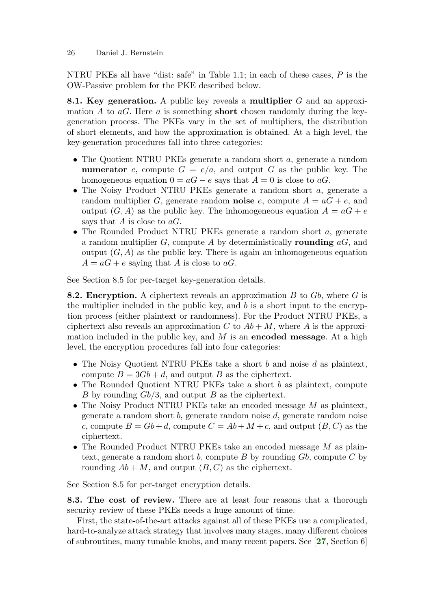NTRU PKEs all have "dist: safe" in Table 1.1; in each of these cases, P is the OW-Passive problem for the PKE described below.

8.1. Key generation. A public key reveals a multiplier G and an approximation A to  $aG$ . Here a is something **short** chosen randomly during the keygeneration process. The PKEs vary in the set of multipliers, the distribution of short elements, and how the approximation is obtained. At a high level, the key-generation procedures fall into three categories:

- The Quotient NTRU PKEs generate a random short a, generate a random numerator e, compute  $G = e/a$ , and output G as the public key. The homogeneous equation  $0 = aG - e$  says that  $A = 0$  is close to aG.
- The Noisy Product NTRU PKEs generate a random short a, generate a random multiplier G, generate random **noise** e, compute  $A = aG + e$ , and output  $(G, A)$  as the public key. The inhomogeneous equation  $A = aG + e$ says that A is close to  $aG$ .
- The Rounded Product NTRU PKEs generate a random short a, generate a random multiplier  $G$ , compute  $A$  by deterministically **rounding**  $aG$ , and output  $(G, A)$  as the public key. There is again an inhomogeneous equation  $A = aG + e$  saying that A is close to aG.

See Section 8.5 for per-target key-generation details.

**8.2. Encryption.** A ciphertext reveals an approximation  $B$  to  $Gb$ , where  $G$  is the multiplier included in the public key, and b is a short input to the encryption process (either plaintext or randomness). For the Product NTRU PKEs, a ciphertext also reveals an approximation C to  $Ab + M$ , where A is the approximation included in the public key, and  $M$  is an **encoded message**. At a high level, the encryption procedures fall into four categories:

- The Noisy Quotient NTRU PKEs take a short  $b$  and noise  $d$  as plaintext, compute  $B = 3Gb + d$ , and output B as the ciphertext.
- The Rounded Quotient NTRU PKEs take a short b as plaintext, compute B by rounding  $Gb/3$ , and output B as the ciphertext.
- The Noisy Product NTRU PKEs take an encoded message  $M$  as plaintext, generate a random short b, generate random noise d, generate random noise c, compute  $B = Gb + d$ , compute  $C = Ab + M + c$ , and output  $(B, C)$  as the ciphertext.
- The Rounded Product NTRU PKEs take an encoded message  $M$  as plaintext, generate a random short b, compute B by rounding  $Gb$ , compute C by rounding  $Ab + M$ , and output  $(B, C)$  as the ciphertext.

See Section 8.5 for per-target encryption details.

8.3. The cost of review. There are at least four reasons that a thorough security review of these PKEs needs a huge amount of time.

<span id="page-25-0"></span>First, the state-of-the-art attacks against all of these PKEs use a complicated, hard-to-analyze attack strategy that involves many stages, many different choices of subroutines, many tunable knobs, and many recent papers. See [[27](#page-34-1), Section 6]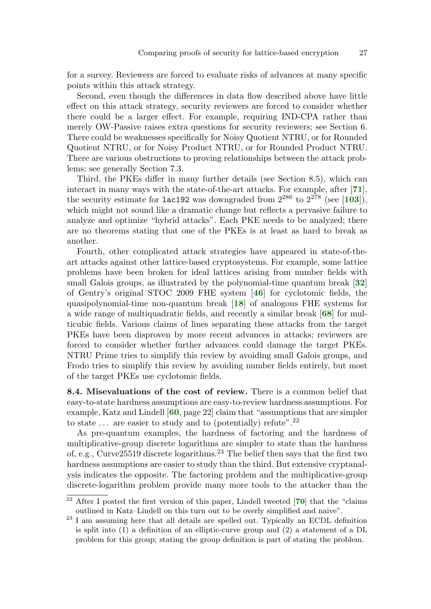for a survey. Reviewers are forced to evaluate risks of advances at many specific points within this attack strategy.

Second, even though the differences in data flow described above have little effect on this attack strategy, security reviewers are forced to consider whether there could be a larger effect. For example, requiring IND-CPA rather than merely OW-Passive raises extra questions for security reviewers; see Section 6. There could be weaknesses specifically for Noisy Quotient NTRU, or for Rounded Quotient NTRU, or for Noisy Product NTRU, or for Rounded Product NTRU. There are various obstructions to proving relationships between the attack problems; see generally Section 7.3.

<span id="page-26-7"></span><span id="page-26-6"></span>Third, the PKEs differ in many further details (see Section 8.5), which can interact in many ways with the state-of-the-art attacks. For example, after [[71](#page-37-1)], the security estimate for lac192 was downgraded from  $2^{286}$  to  $2^{278}$  (see [[103](#page-40-0)]), which might not sound like a dramatic change but reflects a pervasive failure to analyze and optimize "hybrid attacks". Each PKE needs to be analyzed; there are no theorems stating that one of the PKEs is at least as hard to break as another.

<span id="page-26-4"></span><span id="page-26-2"></span><span id="page-26-1"></span><span id="page-26-0"></span>Fourth, other complicated attack strategies have appeared in state-of-theart attacks against other lattice-based cryptosystems. For example, some lattice problems have been broken for ideal lattices arising from number fields with small Galois groups, as illustrated by the polynomial-time quantum break [[32](#page-34-10)] of Gentry's original STOC 2009 FHE system [[46](#page-36-4)] for cyclotomic fields, the quasipolynomial-time non-quantum break [[18](#page-33-9)] of analogous FHE systems for a wide range of multiquadratic fields, and recently a similar break [[68](#page-37-7)] for multicubic fields. Various claims of lines separating these attacks from the target PKEs have been disproven by more recent advances in attacks; reviewers are forced to consider whether further advances could damage the target PKEs. NTRU Prime tries to simplify this review by avoiding small Galois groups, and Frodo tries to simplify this review by avoiding number fields entirely, but most of the target PKEs use cyclotomic fields.

<span id="page-26-3"></span>8.4. Misevaluations of the cost of review. There is a common belief that easy-to-state hardness assumptions are easy-to-review hardness assumptions. For example, Katz and Lindell [[60](#page-37-2), page 22] claim that "assumptions that are simpler to state  $\ldots$  are easier to study and to (potentially) refute".<sup>22</sup>

As pre-quantum examples, the hardness of factoring and the hardness of multiplicative-group discrete logarithms are simpler to state than the hardness of, e.g., Curve 25519 discrete logarithms.<sup>23</sup> The belief then says that the first two hardness assumptions are easier to study than the third. But extensive cryptanalysis indicates the opposite. The factoring problem and the multiplicative-group discrete-logarithm problem provide many more tools to the attacker than the

<span id="page-26-5"></span> $22$  After I posted the first version of this paper, Lindell tweeted [[70](#page-37-8)] that the "claims outlined in Katz–Lindell on this turn out to be overly simplified and naive".

<sup>&</sup>lt;sup>23</sup> I am assuming here that all details are spelled out. Typically an ECDL definition is split into (1) a definition of an elliptic-curve group and (2) a statement of a DL problem for this group; stating the group definition is part of stating the problem.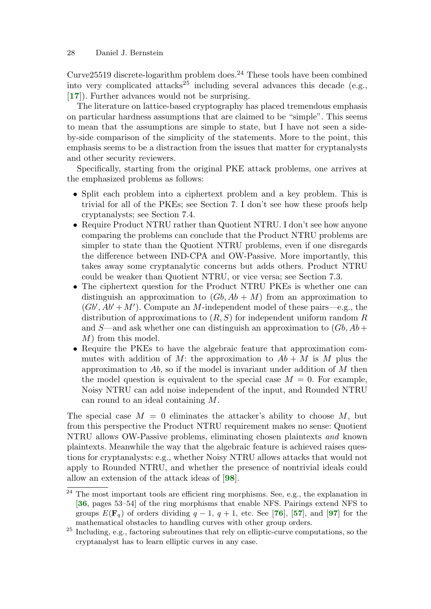Curve $25519$  discrete-logarithm problem does.<sup>24</sup> These tools have been combined into very complicated attacks<sup>25</sup> including several advances this decade (e.g., [[17](#page-33-10)]). Further advances would not be surprising.

<span id="page-27-0"></span>The literature on lattice-based cryptography has placed tremendous emphasis on particular hardness assumptions that are claimed to be "simple". This seems to mean that the assumptions are simple to state, but I have not seen a sideby-side comparison of the simplicity of the statements. More to the point, this emphasis seems to be a distraction from the issues that matter for cryptanalysts and other security reviewers.

Specifically, starting from the original PKE attack problems, one arrives at the emphasized problems as follows:

- Split each problem into a ciphertext problem and a key problem. This is trivial for all of the PKEs; see Section 7. I don't see how these proofs help cryptanalysts; see Section 7.4.
- Require Product NTRU rather than Quotient NTRU. I don't see how anyone comparing the problems can conclude that the Product NTRU problems are simpler to state than the Quotient NTRU problems, even if one disregards the difference between IND-CPA and OW-Passive. More importantly, this takes away some cryptanalytic concerns but adds others. Product NTRU could be weaker than Quotient NTRU, or vice versa; see Section 7.3.
- The ciphertext question for the Product NTRU PKEs is whether one can distinguish an approximation to  $(Gb, Ab + M)$  from an approximation to  $(Gb', Ab'+M')$ . Compute an M-independent model of these pairs—e.g., the distribution of approximations to  $(R, S)$  for independent uniform random R and S—and ask whether one can distinguish an approximation to  $(Gb, Ab +$ M) from this model.
- Require the PKEs to have the algebraic feature that approximation commutes with addition of M: the approximation to  $Ab + M$  is M plus the approximation to  $Ab$ , so if the model is invariant under addition of M then the model question is equivalent to the special case  $M = 0$ . For example, Noisy NTRU can add noise independent of the input, and Rounded NTRU can round to an ideal containing M.

The special case  $M = 0$  eliminates the attacker's ability to choose M, but from this perspective the Product NTRU requirement makes no sense: Quotient NTRU allows OW-Passive problems, eliminating chosen plaintexts and known plaintexts. Meanwhile the way that the algebraic feature is achieved raises questions for cryptanalysts: e.g., whether Noisy NTRU allows attacks that would not apply to Rounded NTRU, and whether the presence of nontrivial ideals could allow an extension of the attack ideas of [[98](#page-39-5)].

<span id="page-27-5"></span><span id="page-27-4"></span><span id="page-27-3"></span><span id="page-27-2"></span><span id="page-27-1"></span> $24$  The most important tools are efficient ring morphisms. See, e.g., the explanation in [[36](#page-35-5), pages 53–54] of the ring morphisms that enable NFS. Pairings extend NFS to groups  $E(\mathbf{F}_q)$  of orders dividing  $q-1$ ,  $q+1$ , etc. See [[76](#page-38-5)], [[57](#page-36-5)], and [[97](#page-39-6)] for the mathematical obstacles to handling curves with other group orders.

<sup>&</sup>lt;sup>25</sup> Including, e.g., factoring subroutines that rely on elliptic-curve computations, so the cryptanalyst has to learn elliptic curves in any case.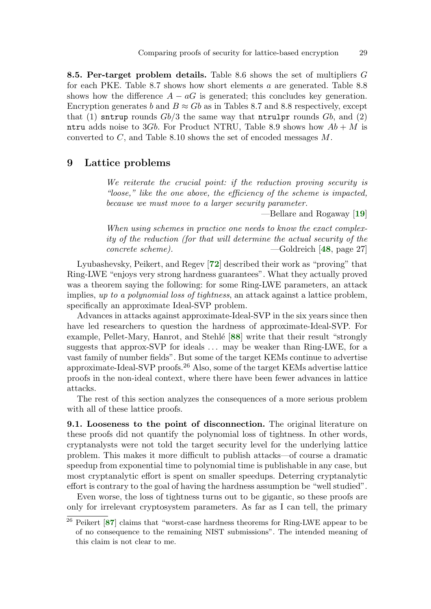8.5. Per-target problem details. Table 8.6 shows the set of multipliers G for each PKE. Table 8.7 shows how short elements a are generated. Table 8.8 shows how the difference  $A - aG$  is generated; this concludes key generation. Encryption generates b and  $B \approx Gb$  as in Tables 8.7 and 8.8 respectively, except that (1) sntrup rounds  $Gb/3$  the same way that ntrulpr rounds  $Gb$ , and (2) ntru adds noise to 3Gb. For Product NTRU, Table 8.9 shows how  $Ab + M$  is converted to C, and Table 8.10 shows the set of encoded messages M.

# 9 Lattice problems

We reiterate the crucial point: if the reduction proving security is "loose," like the one above, the efficiency of the scheme is impacted, because we must move to a larger security parameter.

<span id="page-28-4"></span><span id="page-28-2"></span><span id="page-28-1"></span><span id="page-28-0"></span>—Bellare and Rogaway [[19](#page-33-11)]

When using schemes in practice one needs to know the exact complexity of the reduction (for that will determine the actual security of the concrete scheme). ——Goldreich [[48](#page-36-6), page 27]

Lyubashevsky, Peikert, and Regev [[72](#page-37-4)] described their work as "proving" that Ring-LWE "enjoys very strong hardness guarantees". What they actually proved was a theorem saying the following: for some Ring-LWE parameters, an attack implies, up to a polynomial loss of tightness, an attack against a lattice problem, specifically an approximate Ideal-SVP problem.

Advances in attacks against approximate-Ideal-SVP in the six years since then have led researchers to question the hardness of approximate-Ideal-SVP. For example, Pellet-Mary, Hanrot, and Stehlé [[88](#page-39-7)] write that their result "strongly suggests that approx-SVP for ideals  $\dots$  may be weaker than Ring-LWE, for a vast family of number fields". But some of the target KEMs continue to advertise approximate-Ideal-SVP proofs.<sup>26</sup> Also, some of the target KEMs advertise lattice proofs in the non-ideal context, where there have been fewer advances in lattice attacks.

The rest of this section analyzes the consequences of a more serious problem with all of these lattice proofs.

9.1. Looseness to the point of disconnection. The original literature on these proofs did not quantify the polynomial loss of tightness. In other words, cryptanalysts were not told the target security level for the underlying lattice problem. This makes it more difficult to publish attacks—of course a dramatic speedup from exponential time to polynomial time is publishable in any case, but most cryptanalytic effort is spent on smaller speedups. Deterring cryptanalytic effort is contrary to the goal of having the hardness assumption be "well studied".

Even worse, the loss of tightness turns out to be gigantic, so these proofs are only for irrelevant cryptosystem parameters. As far as I can tell, the primary

<span id="page-28-3"></span> $26$  Peikert [[87](#page-38-2)] claims that "worst-case hardness theorems for Ring-LWE appear to be of no consequence to the remaining NIST submissions". The intended meaning of this claim is not clear to me.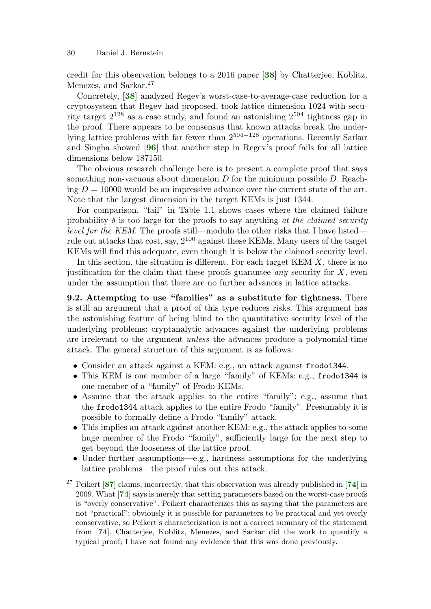<span id="page-29-0"></span>credit for this observation belongs to a 2016 paper [[38](#page-35-6)] by Chatterjee, Koblitz, Menezes, and Sarkar.<sup>27</sup>

<span id="page-29-1"></span>Concretely, [[38](#page-35-6)] analyzed Regev's worst-case-to-average-case reduction for a cryptosystem that Regev had proposed, took lattice dimension 1024 with security target  $2^{128}$  as a case study, and found an astonishing  $2^{504}$  tightness gap in the proof. There appears to be consensus that known attacks break the underlying lattice problems with far fewer than 2504+128 operations. Recently Sarkar and Singha showed [[96](#page-39-8)] that another step in Regev's proof fails for all lattice dimensions below 187150.

<span id="page-29-6"></span>The obvious research challenge here is to present a complete proof that says something non-vacuous about dimension  $D$  for the minimum possible  $D$ . Reaching  $D = 10000$  would be an impressive advance over the current state of the art. Note that the largest dimension in the target KEMs is just 1344.

For comparison, "fail" in Table 1.1 shows cases where the claimed failure probability  $\delta$  is too large for the proofs to say anything at the claimed security level for the KEM. The proofs still—modulo the other risks that I have listed rule out attacks that cost, say, 2<sup>100</sup> against these KEMs. Many users of the target KEMs will find this adequate, even though it is below the claimed security level.

In this section, the situation is different. For each target KEM  $X$ , there is no justification for the claim that these proofs guarantee *any* security for  $X$ , even under the assumption that there are no further advances in lattice attacks.

9.2. Attempting to use "families" as a substitute for tightness. There is still an argument that a proof of this type reduces risks. This argument has the astonishing feature of being blind to the quantitative security level of the underlying problems: cryptanalytic advances against the underlying problems are irrelevant to the argument unless the advances produce a polynomial-time attack. The general structure of this argument is as follows:

- Consider an attack against a KEM: e.g., an attack against frodo1344.
- This KEM is one member of a large "family" of KEMs: e.g., frodo1344 is one member of a "family" of Frodo KEMs.
- Assume that the attack applies to the entire "family": e.g., assume that the frodo1344 attack applies to the entire Frodo "family". Presumably it is possible to formally define a Frodo "family" attack.
- This implies an attack against another KEM: e.g., the attack applies to some huge member of the Frodo "family", sufficiently large for the next step to get beyond the looseness of the lattice proof.
- <span id="page-29-2"></span>• Under further assumptions—e.g., hardness assumptions for the underlying lattice problems—the proof rules out this attack.

<span id="page-29-5"></span><span id="page-29-4"></span><span id="page-29-3"></span> $27$  Peikert [[87](#page-38-2)] claims, incorrectly, that this observation was already published in [[74](#page-38-6)] in 2009. What [[74](#page-38-6)] says is merely that setting parameters based on the worst-case proofs is "overly conservative". Peikert characterizes this as saying that the parameters are not "practical"; obviously it is possible for parameters to be practical and yet overly conservative, so Peikert's characterization is not a correct summary of the statement from [[74](#page-38-6)]. Chatterjee, Koblitz, Menezes, and Sarkar did the work to quantify a typical proof; I have not found any evidence that this was done previously.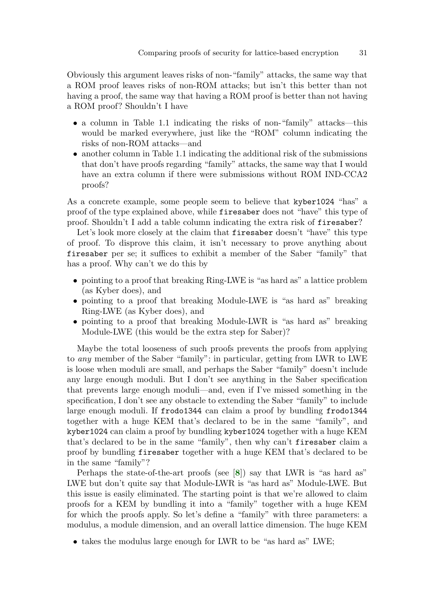Obviously this argument leaves risks of non-"family" attacks, the same way that a ROM proof leaves risks of non-ROM attacks; but isn't this better than not having a proof, the same way that having a ROM proof is better than not having a ROM proof? Shouldn't I have

- a column in Table 1.1 indicating the risks of non-"family" attacks—this would be marked everywhere, just like the "ROM" column indicating the risks of non-ROM attacks—and
- another column in Table 1.1 indicating the additional risk of the submissions that don't have proofs regarding "family" attacks, the same way that I would have an extra column if there were submissions without ROM IND-CCA2 proofs?

As a concrete example, some people seem to believe that kyber1024 "has" a proof of the type explained above, while firesaber does not "have" this type of proof. Shouldn't I add a table column indicating the extra risk of firesaber?

Let's look more closely at the claim that firesaber doesn't "have" this type of proof. To disprove this claim, it isn't necessary to prove anything about firesaber per se; it suffices to exhibit a member of the Saber "family" that has a proof. Why can't we do this by

- pointing to a proof that breaking Ring-LWE is "as hard as" a lattice problem (as Kyber does), and
- pointing to a proof that breaking Module-LWE is "as hard as" breaking Ring-LWE (as Kyber does), and
- pointing to a proof that breaking Module-LWR is "as hard as" breaking Module-LWE (this would be the extra step for Saber)?

Maybe the total looseness of such proofs prevents the proofs from applying to any member of the Saber "family": in particular, getting from LWR to LWE is loose when moduli are small, and perhaps the Saber "family" doesn't include any large enough moduli. But I don't see anything in the Saber specification that prevents large enough moduli—and, even if I've missed something in the specification, I don't see any obstacle to extending the Saber "family" to include large enough moduli. If frodo1344 can claim a proof by bundling frodo1344 together with a huge KEM that's declared to be in the same "family", and kyber1024 can claim a proof by bundling kyber1024 together with a huge KEM that's declared to be in the same "family", then why can't firesaber claim a proof by bundling firesaber together with a huge KEM that's declared to be in the same "family"?

<span id="page-30-0"></span>Perhaps the state-of-the-art proofs (see [[8](#page-33-7)]) say that LWR is "as hard as" LWE but don't quite say that Module-LWR is "as hard as" Module-LWE. But this issue is easily eliminated. The starting point is that we're allowed to claim proofs for a KEM by bundling it into a "family" together with a huge KEM for which the proofs apply. So let's define a "family" with three parameters: a modulus, a module dimension, and an overall lattice dimension. The huge KEM

• takes the modulus large enough for LWR to be "as hard as" LWE;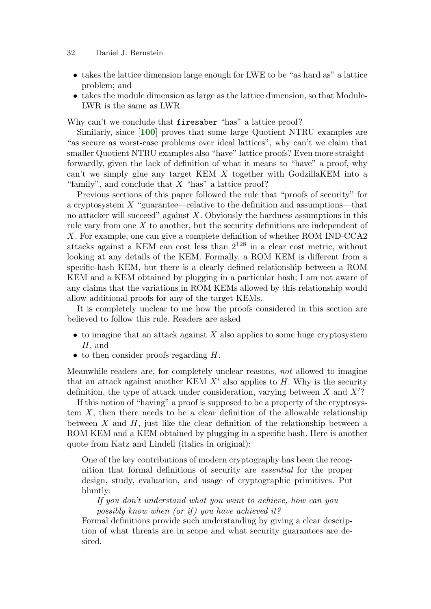- takes the lattice dimension large enough for LWE to be "as hard as" a lattice problem; and
- takes the module dimension as large as the lattice dimension, so that Module-LWR is the same as LWR.

<span id="page-31-0"></span>Why can't we conclude that firesaber "has" a lattice proof?

Similarly, since [[100](#page-39-9)] proves that some large Quotient NTRU examples are "as secure as worst-case problems over ideal lattices", why can't we claim that smaller Quotient NTRU examples also "have" lattice proofs? Even more straightforwardly, given the lack of definition of what it means to "have" a proof, why can't we simply glue any target KEM X together with GodzillaKEM into a "family", and conclude that  $X$  "has" a lattice proof?

Previous sections of this paper followed the rule that "proofs of security" for a cryptosystem  $X$  "guarantee—relative to the definition and assumptions—that no attacker will succeed" against  $X$ . Obviously the hardness assumptions in this rule vary from one X to another, but the security definitions are independent of X. For example, one can give a complete definition of whether ROM IND-CCA2 attacks against a KEM can cost less than 2<sup>128</sup> in a clear cost metric, without looking at any details of the KEM. Formally, a ROM KEM is different from a specific-hash KEM, but there is a clearly defined relationship between a ROM KEM and a KEM obtained by plugging in a particular hash; I am not aware of any claims that the variations in ROM KEMs allowed by this relationship would allow additional proofs for any of the target KEMs.

It is completely unclear to me how the proofs considered in this section are believed to follow this rule. Readers are asked

- $\bullet$  to imagine that an attack against X also applies to some huge cryptosystem H, and
- $\bullet$  to then consider proofs regarding  $H$ .

Meanwhile readers are, for completely unclear reasons, not allowed to imagine that an attack against another KEM  $X'$  also applies to H. Why is the security definition, the type of attack under consideration, varying between  $X$  and  $X$ ?

If this notion of "having" a proof is supposed to be a property of the cryptosystem X, then there needs to be a clear definition of the allowable relationship between  $X$  and  $H$ , just like the clear definition of the relationship between a ROM KEM and a KEM obtained by plugging in a specific hash. Here is another quote from Katz and Lindell (italics in original):

One of the key contributions of modern cryptography has been the recognition that formal definitions of security are essential for the proper design, study, evaluation, and usage of cryptographic primitives. Put bluntly:

If you don't understand what you want to achieve, how can you possibly know when (or if) you have achieved it?

Formal definitions provide such understanding by giving a clear description of what threats are in scope and what security guarantees are desired.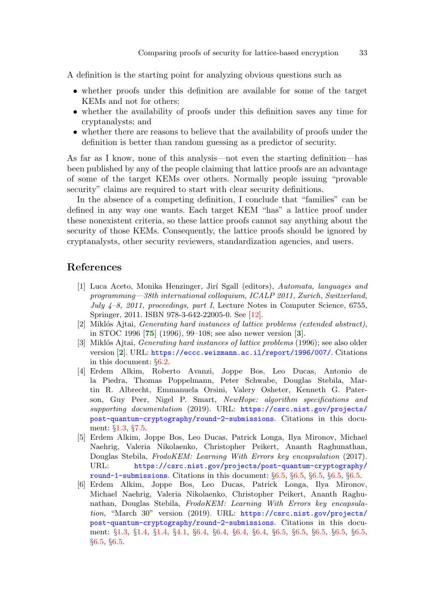A definition is the starting point for analyzing obvious questions such as

- whether proofs under this definition are available for some of the target KEMs and not for others;
- whether the availability of proofs under this definition saves any time for cryptanalysts; and
- whether there are reasons to believe that the availability of proofs under the definition is better than random guessing as a predictor of security.

As far as I know, none of this analysis—not even the starting definition—has been published by any of the people claiming that lattice proofs are an advantage of some of the target KEMs over others. Normally people issuing "provable security" claims are required to start with clear security definitions.

In the absence of a competing definition, I conclude that "families" can be defined in any way one wants. Each target KEM "has" a lattice proof under these nonexistent criteria, so these lattice proofs cannot say anything about the security of those KEMs. Consequently, the lattice proofs should be ignored by cryptanalysts, other security reviewers, standardization agencies, and users.

# References

- <span id="page-32-5"></span>[1] Luca Aceto, Monika Henzinger, Jir´ı Sgall (editors), Automata, languages and programming—38th international colloquium, ICALP 2011, Zurich, Switzerland, July  $4-8$ , 2011, proceedings, part I, Lecture Notes in Computer Science, 6755, Springer, 2011. ISBN 978-3-642-22005-0. See [[12\]](#page-33-12).
- <span id="page-32-6"></span><span id="page-32-4"></span>[2] Miklós Ajtai, *Generating hard instances of lattice problems (extended abstract)*, in STOC 1996 [[75](#page-38-7)] (1996), 99–108; see also newer version [[3](#page-32-2)].
- <span id="page-32-2"></span>[3] Miklós Ajtai, *Generating hard instances of lattice problems* (1996); see also older version [[2](#page-32-4)]. URL: <https://eccc.weizmann.ac.il/report/1996/007/>. Citations in this document: §[6.2.](#page-16-0)
- <span id="page-32-1"></span>[4] Erdem Alkim, Roberto Avanzi, Joppe Bos, Leo Ducas, Antonio de la Piedra, Thomas Poppelmann, Peter Schwabe, Douglas Stebila, Martin R. Albrecht, Emmanuela Orsini, Valery Osheter, Kenneth G. Paterson, Guy Peer, Nigel P. Smart, NewHope: algorithm specifications and supporting documentation (2019). URL: [https://csrc.nist.gov/projects/](https://csrc.nist.gov/projects/post-quantum-cryptography/round-2-submissions) [post-quantum-cryptography/round-2-submissions](https://csrc.nist.gov/projects/post-quantum-cryptography/round-2-submissions). Citations in this document: §[1.3](#page-3-0), §[7.5](#page-23-0).
- <span id="page-32-3"></span>[5] Erdem Alkim, Joppe Bos, Leo Ducas, Patrick Longa, Ilya Mironov, Michael Naehrig, Valeria Nikolaenko, Christopher Peikert, Ananth Raghunathan, Douglas Stebila, FrodoKEM: Learning With Errors key encapsulation (2017). URL: [https://csrc.nist.gov/projects/post-quantum-cryptography/](https://csrc.nist.gov/projects/post-quantum-cryptography/round-1-submissions) [round-1-submissions](https://csrc.nist.gov/projects/post-quantum-cryptography/round-1-submissions). Citations in this document: §[6.5,](#page-19-0) §[6.5,](#page-19-1) §[6.5,](#page-19-2) §[6.5](#page-19-3), §[6.5](#page-19-4).
- <span id="page-32-0"></span>[6] Erdem Alkim, Joppe Bos, Leo Ducas, Patrick Longa, Ilya Mironov, Michael Naehrig, Valeria Nikolaenko, Christopher Peikert, Ananth Raghunathan, Douglas Stebila, FrodoKEM: Learning With Errors key encapsulation, "March 30" version (2019). URL: [https://csrc.nist.gov/projects/](https://csrc.nist.gov/projects/post-quantum-cryptography/round-2-submissions) [post-quantum-cryptography/round-2-submissions](https://csrc.nist.gov/projects/post-quantum-cryptography/round-2-submissions). Citations in this document: §[1.3,](#page-3-1) §[1.4](#page-4-0), §[1.4,](#page-4-1) §[4.1](#page-10-0), §[6.4,](#page-18-0) §[6.4,](#page-18-1) §[6.4](#page-18-2), §[6.4,](#page-18-3) §[6.5,](#page-18-4) §[6.5](#page-19-5), §[6.5,](#page-19-6) §[6.5](#page-19-7), §[6.5,](#page-19-8) §[6.5](#page-19-9), §[6.5](#page-19-10).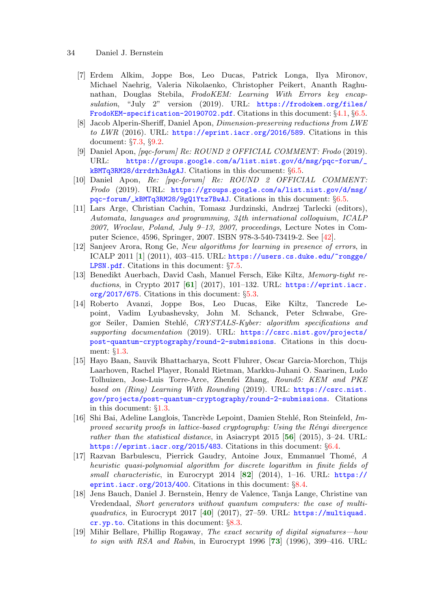- <span id="page-33-2"></span>[7] Erdem Alkim, Joppe Bos, Leo Ducas, Patrick Longa, Ilya Mironov, Michael Naehrig, Valeria Nikolaenko, Christopher Peikert, Ananth Raghunathan, Douglas Stebila, FrodoKEM: Learning With Errors key encapsulation, "July 2" version (2019). URL: [https://frodokem.org/files/](https://frodokem.org/files/FrodoKEM-specification-20190702.pdf) [FrodoKEM-specification-20190702.pdf](https://frodokem.org/files/FrodoKEM-specification-20190702.pdf). Citations in this document: §[4.1,](#page-10-1) §[6.5.](#page-19-11)
- <span id="page-33-7"></span>[8] Jacob Alperin-Sheriff, Daniel Apon, Dimension-preserving reductions from LWE to LWR (2016). URL: <https://eprint.iacr.org/2016/589>. Citations in this document: §[7.3](#page-21-0), §[9.2](#page-30-0).
- <span id="page-33-5"></span>[9] Daniel Apon, [pqc-forum] Re: ROUND 2 OFFICIAL COMMENT: Frodo (2019). URL: [https://groups.google.com/a/list.nist.gov/d/msg/pqc-forum/\\_](https://groups.google.com/a/list.nist.gov/d/msg/pqc-forum/_kBMTq3RM28/drrdrh3nAgAJ) [kBMTq3RM28/drrdrh3nAgAJ](https://groups.google.com/a/list.nist.gov/d/msg/pqc-forum/_kBMTq3RM28/drrdrh3nAgAJ). Citations in this document: §[6.5.](#page-18-5)
- <span id="page-33-6"></span>[10] Daniel Apon, Re: [pqc-forum] Re: ROUND 2 OFFICIAL COMMENT: Frodo (2019). URL: [https://groups.google.com/a/list.nist.gov/d/msg/](https://groups.google.com/a/list.nist.gov/d/msg/pqc-forum/_kBMTq3RM28/9gQ1Ytz7BwAJ) [pqc-forum/\\_kBMTq3RM28/9gQ1Ytz7BwAJ](https://groups.google.com/a/list.nist.gov/d/msg/pqc-forum/_kBMTq3RM28/9gQ1Ytz7BwAJ). Citations in this document: §[6.5.](#page-19-12)
- <span id="page-33-14"></span>[11] Lars Arge, Christian Cachin, Tomasz Jurdzinski, Andrzej Tarlecki (editors), Automata, languages and programming, 34th international colloquium, ICALP 2007, Wroclaw, Poland, July 9–13, 2007, proceedings, Lecture Notes in Computer Science, 4596, Springer, 2007. ISBN 978-3-540-73419-2. See [[42\]](#page-35-7).
- <span id="page-33-12"></span><span id="page-33-8"></span>[12] Sanjeev Arora, Rong Ge, New algorithms for learning in presence of errors, in ICALP 2011 [[1](#page-32-5)] (2011), 403–415. URL: [https://users.cs.duke.edu/~rongge/](https://users.cs.duke.edu/~rongge/LPSN.pdf) **[LPSN.pdf](https://users.cs.duke.edu/~rongge/LPSN.pdf).** Citations in this document:  $\S7.5$ .
- <span id="page-33-16"></span><span id="page-33-3"></span>[13] Benedikt Auerbach, David Cash, Manuel Fersch, Eike Kiltz, Memory-tight reductions, in Crypto 2017  $[61]$  $[61]$  $[61]$  (2017), 101-132. URL: [https://eprint.iacr.](https://eprint.iacr.org/2017/675) [org/2017/675](https://eprint.iacr.org/2017/675). Citations in this document: §[5.3](#page-13-0).
- <span id="page-33-0"></span>[14] Roberto Avanzi, Joppe Bos, Leo Ducas, Eike Kiltz, Tancrede Lepoint, Vadim Lyubashevsky, John M. Schanck, Peter Schwabe, Gregor Seiler, Damien Stehlé, CRYSTALS-Kyber: algorithm specifications and supporting documentation (2019). URL: [https://csrc.nist.gov/projects/](https://csrc.nist.gov/projects/post-quantum-cryptography/round-2-submissions) [post-quantum-cryptography/round-2-submissions](https://csrc.nist.gov/projects/post-quantum-cryptography/round-2-submissions). Citations in this document: §[1.3](#page-3-2).
- <span id="page-33-1"></span>[15] Hayo Baan, Sauvik Bhattacharya, Scott Fluhrer, Oscar Garcia-Morchon, Thijs Laarhoven, Rachel Player, Ronald Rietman, Markku-Juhani O. Saarinen, Ludo Tolhuizen, Jose-Luis Torre-Arce, Zhenfei Zhang, Round5: KEM and PKE based on (Ring) Learning With Rounding (2019). URL: [https://csrc.nist.](https://csrc.nist.gov/projects/post-quantum-cryptography/round-2-submissions) [gov/projects/post-quantum-cryptography/round-2-submissions](https://csrc.nist.gov/projects/post-quantum-cryptography/round-2-submissions). Citations in this document: §[1.3.](#page-3-3)
- <span id="page-33-15"></span><span id="page-33-4"></span>[16] Shi Bai, Adeline Langlois, Tancrède Lepoint, Damien Stehlé, Ron Steinfeld, Improved security proofs in lattice-based cryptography: Using the  $Rényi$  divergence rather than the statistical distance, in Asiacrypt 2015  $[56]$  $[56]$  $[56]$  (2015), 3-24. URL: <https://eprint.iacr.org/2015/483>. Citations in this document: §[6.4](#page-18-6).
- <span id="page-33-18"></span><span id="page-33-10"></span>[17] Razvan Barbulescu, Pierrick Gaudry, Antoine Joux, Emmanuel Thom´e, A heuristic quasi-polynomial algorithm for discrete logarithm in finite fields of small characteristic, in Eurocrypt 2014  $[82]$  $[82]$  $[82]$  (2014), 1–16. URL: [https://](https://eprint.iacr.org/2013/400) [eprint.iacr.org/2013/400](https://eprint.iacr.org/2013/400). Citations in this document: §[8.4](#page-27-0).
- <span id="page-33-13"></span><span id="page-33-9"></span>[18] Jens Bauch, Daniel J. Bernstein, Henry de Valence, Tanja Lange, Christine van Vredendaal, Short generators without quantum computers: the case of multi-quadratics, in Eurocrypt 2017 [[40](#page-35-8)] (2017), 27-59. URL: [https://multiquad.](https://multiquad.cr.yp.to) [cr.yp.to](https://multiquad.cr.yp.to). Citations in this document: §[8.3.](#page-26-0)
- <span id="page-33-17"></span><span id="page-33-11"></span>[19] Mihir Bellare, Phillip Rogaway, The exact security of digital signatures—how to sign with RSA and Rabin, in Eurocrypt 1996  $[73]$  $[73]$  $[73]$  (1996), 399–416. URL: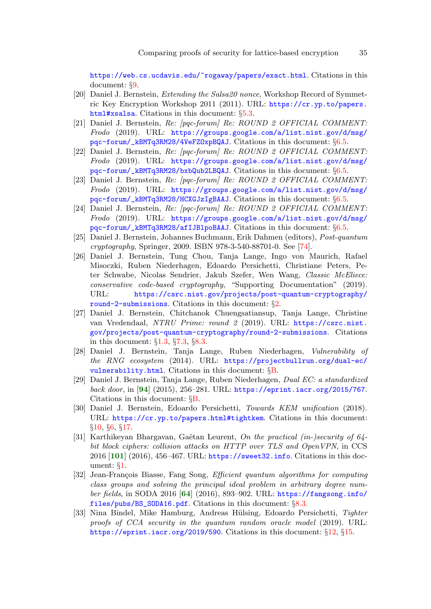<https://web.cs.ucdavis.edu/~rogaway/papers/exact.html>. Citations in this document: §[9.](#page-28-0)

- <span id="page-34-5"></span>[20] Daniel J. Bernstein, Extending the Salsa20 nonce, Workshop Record of Symmetric Key Encryption Workshop 2011 (2011). URL: [https://cr.yp.to/papers.](https://cr.yp.to/papers.html#xsalsa) [html#xsalsa](https://cr.yp.to/papers.html#xsalsa). Citations in this document: §[5.3.](#page-13-1)
- <span id="page-34-6"></span>[21] Daniel J. Bernstein, Re: [pqc-forum] Re: ROUND 2 OFFICIAL COMMENT: Frodo (2019). URL: [https://groups.google.com/a/list.nist.gov/d/msg/](https://groups.google.com/a/list.nist.gov/d/msg/pqc-forum/_kBMTq3RM28/4VeFZOxpBQAJ) [pqc-forum/\\_kBMTq3RM28/4VeFZOxpBQAJ](https://groups.google.com/a/list.nist.gov/d/msg/pqc-forum/_kBMTq3RM28/4VeFZOxpBQAJ). Citations in this document: §[6.5.](#page-18-7)
- <span id="page-34-7"></span>[22] Daniel J. Bernstein, Re: [pqc-forum] Re: ROUND 2 OFFICIAL COMMENT: Frodo (2019). URL: [https://groups.google.com/a/list.nist.gov/d/msg/](https://groups.google.com/a/list.nist.gov/d/msg/pqc-forum/_kBMTq3RM28/bxbQub2LBQAJ) [pqc-forum/\\_kBMTq3RM28/bxbQub2LBQAJ](https://groups.google.com/a/list.nist.gov/d/msg/pqc-forum/_kBMTq3RM28/bxbQub2LBQAJ). Citations in this document: §[6.5.](#page-19-13)
- <span id="page-34-8"></span>[23] Daniel J. Bernstein, Re: [pqc-forum] Re: ROUND 2 OFFICIAL COMMENT: Frodo (2019). URL: [https://groups.google.com/a/list.nist.gov/d/msg/](https://groups.google.com/a/list.nist.gov/d/msg/pqc-forum/_kBMTq3RM28/HCXGJzIgBAAJ) [pqc-forum/\\_kBMTq3RM28/HCXGJzIgBAAJ](https://groups.google.com/a/list.nist.gov/d/msg/pqc-forum/_kBMTq3RM28/HCXGJzIgBAAJ). Citations in this document: §[6.5.](#page-19-14)
- <span id="page-34-9"></span>[24] Daniel J. Bernstein, Re: [pqc-forum] Re: ROUND 2 OFFICIAL COMMENT: Frodo (2019). URL: [https://groups.google.com/a/list.nist.gov/d/msg/](https://groups.google.com/a/list.nist.gov/d/msg/pqc-forum/_kBMTq3RM28/afIJBlpoBAAJ) [pqc-forum/\\_kBMTq3RM28/afIJBlpoBAAJ](https://groups.google.com/a/list.nist.gov/d/msg/pqc-forum/_kBMTq3RM28/afIJBlpoBAAJ). Citations in this document: §[6.5.](#page-19-15)
- <span id="page-34-12"></span>[25] Daniel J. Bernstein, Johannes Buchmann, Erik Dahmen (editors), Post-quantum cryptography, Springer, 2009. ISBN 978-3-540-88701-0. See [\[74](#page-38-9)].
- <span id="page-34-2"></span>[26] Daniel J. Bernstein, Tung Chou, Tanja Lange, Ingo von Maurich, Rafael Misoczki, Ruben Niederhagen, Edoardo Persichetti, Christiane Peters, Peter Schwabe, Nicolas Sendrier, Jakub Szefer, Wen Wang, Classic McEliece: conservative code-based cryptography, "Supporting Documentation" (2019). URL: [https://csrc.nist.gov/projects/post-quantum-cryptography/](https://csrc.nist.gov/projects/post-quantum-cryptography/round-2-submissions) [round-2-submissions](https://csrc.nist.gov/projects/post-quantum-cryptography/round-2-submissions). Citations in this document: §[2](#page-6-0).
- <span id="page-34-1"></span>[27] Daniel J. Bernstein, Chitchanok Chuengsatiansup, Tanja Lange, Christine van Vredendaal, NTRU Prime: round 2 (2019). URL: [https://csrc.nist.](https://csrc.nist.gov/projects/post-quantum-cryptography/round-2-submissions) [gov/projects/post-quantum-cryptography/round-2-submissions](https://csrc.nist.gov/projects/post-quantum-cryptography/round-2-submissions). Citations in this document: §[1.3,](#page-3-4) §[7.3,](#page-22-0) §[8.3.](#page-25-0)
- <span id="page-34-15"></span>[28] Daniel J. Bernstein, Tanja Lange, Ruben Niederhagen, Vulnerability of the RNG ecosystem (2014). URL:  $https://projectbullrun.org/dual-ec/$ [vulnerability.html](https://projectbullrun.org/dual-ec/vulnerability.html). Citations in this document: §[B](#page-41-0).
- <span id="page-34-16"></span><span id="page-34-13"></span>[29] Daniel J. Bernstein, Tanja Lange, Ruben Niederhagen, Dual EC: a standardized back door, in  $[94]$  $[94]$  $[94]$  (2015), 256–281. URL: <https://eprint.iacr.org/2015/767>. Citations in this document:  $\S$ [B.](#page-41-1)
- <span id="page-34-3"></span>[30] Daniel J. Bernstein, Edoardo Persichetti, Towards KEM unification (2018). URL: <https://cr.yp.to/papers.html#tightkem>. Citations in this document: §[10](#page-11-0), §[6,](#page-13-2) §[17](#page-15-0).
- <span id="page-34-14"></span><span id="page-34-0"></span>[31] Karthikeyan Bhargavan, Gaëtan Leurent, On the practical (in-)security of 64bit block ciphers: collision attacks on HTTP over TLS and OpenVPN, in CCS 2016 [[101](#page-40-1)] (2016), 456–467. URL: <https://sweet32.info>. Citations in this document: §[1](#page-2-0).
- <span id="page-34-11"></span><span id="page-34-10"></span>[32] Jean-François Biasse, Fang Song, *Efficient quantum algorithms for computing* class groups and solving the principal ideal problem in arbitrary degree num-ber fields, in SODA 2016 [[64](#page-37-11)] (2016), 893-902. URL: [https://fangsong.info/](https://fangsong.info/files/pubs/BS_SODA16.pdf) [files/pubs/BS\\_SODA16.pdf](https://fangsong.info/files/pubs/BS_SODA16.pdf). Citations in this document: §[8.3](#page-26-1).
- <span id="page-34-4"></span>[33] Nina Bindel, Mike Hamburg, Andreas Hülsing, Edoardo Persichetti, Tighter proofs of CCA security in the quantum random oracle model (2019). URL: <https://eprint.iacr.org/2019/590>. Citations in this document: §[12](#page-11-1), §[15](#page-14-0).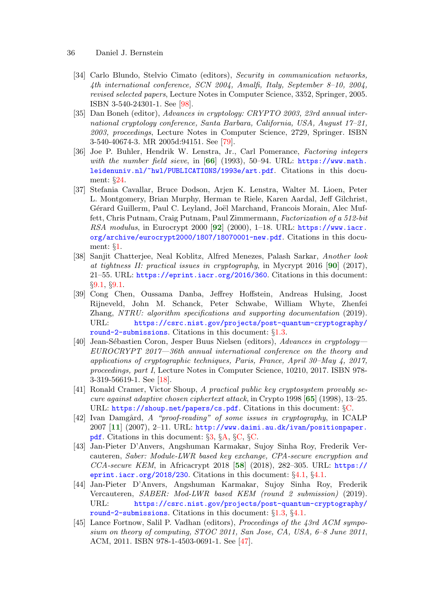- <span id="page-35-17"></span><span id="page-35-16"></span><span id="page-35-15"></span><span id="page-35-14"></span><span id="page-35-13"></span><span id="page-35-12"></span><span id="page-35-11"></span><span id="page-35-10"></span><span id="page-35-9"></span><span id="page-35-8"></span><span id="page-35-7"></span><span id="page-35-6"></span><span id="page-35-5"></span><span id="page-35-4"></span><span id="page-35-3"></span><span id="page-35-2"></span><span id="page-35-1"></span><span id="page-35-0"></span>36 Daniel J. Bernstein
	- [34] Carlo Blundo, Stelvio Cimato (editors), Security in communication networks, 4th international conference, SCN 2004, Amalfi, Italy, September 8–10, 2004, revised selected papers, Lecture Notes in Computer Science, 3352, Springer, 2005. ISBN 3-540-24301-1. See [\[98](#page-39-11)].
	- [35] Dan Boneh (editor), Advances in cryptology: CRYPTO 2003, 23rd annual international cryptology conference, Santa Barbara, California, USA, August 17–21, 2003, proceedings, Lecture Notes in Computer Science, 2729, Springer. ISBN 3-540-40674-3. MR 2005d:94151. See [[79\]](#page-38-10).
	- [36] Joe P. Buhler, Hendrik W. Lenstra, Jr., Carl Pomerance, Factoring integers with the number field sieve, in  $[66]$  $[66]$  $[66]$  (1993), 50–94. URL: [https://www.math.](https://www.math.leidenuniv.nl/~hwl/PUBLICATIONS/1993e/art.pdf) [leidenuniv.nl/~hwl/PUBLICATIONS/1993e/art.pdf](https://www.math.leidenuniv.nl/~hwl/PUBLICATIONS/1993e/art.pdf). Citations in this document: §[24](#page-27-1).
	- [37] Stefania Cavallar, Bruce Dodson, Arjen K. Lenstra, Walter M. Lioen, Peter L. Montgomery, Brian Murphy, Herman te Riele, Karen Aardal, Jeff Gilchrist, Gérard Guillerm, Paul C. Leyland, Joël Marchand, Francois Morain, Alec Muffett, Chris Putnam, Craig Putnam, Paul Zimmermann, Factorization of a 512-bit RSA modulus, in Eurocrypt 2000  $[92]$  $[92]$  $[92]$  (2000), 1-18. URL: [https://www.iacr.](https://www.iacr.org/archive/eurocrypt2000/1807/18070001-new.pdf) [org/archive/eurocrypt2000/1807/18070001-new.pdf](https://www.iacr.org/archive/eurocrypt2000/1807/18070001-new.pdf). Citations in this document: §[1.](#page-0-0)
	- [38] Sanjit Chatterjee, Neal Koblitz, Alfred Menezes, Palash Sarkar, Another look at tightness II: practical issues in cryptography, in Mycrypt  $2016$  [[90](#page-39-13)] (2017), 21–55. URL: <https://eprint.iacr.org/2016/360>. Citations in this document: §[9.1](#page-29-0), §[9.1](#page-29-1).
	- [39] Cong Chen, Oussama Danba, Jeffrey Hoffstein, Andreas Hulsing, Joost Rijneveld, John M. Schanck, Peter Schwabe, William Whyte, Zhenfei Zhang, NTRU: algorithm specifications and supporting documentation (2019). URL: [https://csrc.nist.gov/projects/post-quantum-cryptography/](https://csrc.nist.gov/projects/post-quantum-cryptography/round-2-submissions) [round-2-submissions](https://csrc.nist.gov/projects/post-quantum-cryptography/round-2-submissions). Citations in this document: §[1.3.](#page-3-5)
	- [40] Jean-Sébastien Coron, Jesper Buus Nielsen (editors), Advances in cryptology— EUROCRYPT 2017—36th annual international conference on the theory and applications of cryptographic techniques, Paris, France, April 30–May 4, 2017, proceedings, part I, Lecture Notes in Computer Science, 10210, 2017. ISBN 978- 3-319-56619-1. See [\[18](#page-33-13)].
	- [41] Ronald Cramer, Victor Shoup, A practical public key cryptosystem provably secure against adaptive chosen ciphertext attack, in Crypto 1998 [[65](#page-37-13)] (1998), 13–25. URL: <https://shoup.net/papers/cs.pdf>. Citations in this document: §[C.](#page-42-0)
	- [42] Ivan Damgård, A "proof-reading" of some issues in cryptography, in ICALP 2007 [[11](#page-33-14)] (2007), 2–11. URL: [http://www.daimi.au.dk/ivan/positionpaper.](http://www.daimi.au.dk/ivan/positionpaper.pdf) [pdf](http://www.daimi.au.dk/ivan/positionpaper.pdf). Citations in this document: §[3](#page-9-0), §[A,](#page-40-2) §[C,](#page-42-1) §[C](#page-42-2).
	- [43] Jan-Pieter D'Anvers, Angshuman Karmakar, Sujoy Sinha Roy, Frederik Vercauteren, Saber: Module-LWR based key exchange, CPA-secure encryption and  $CCA$ -secure KEM, in Africacrypt 2018 [[58](#page-36-8)] (2018), 282–305. URL: [https://](https://eprint.iacr.org/2018/230) [eprint.iacr.org/2018/230](https://eprint.iacr.org/2018/230). Citations in this document:  $\S 4.1$  $\S 4.1$ ,  $\S 4.1$ .
	- [44] Jan-Pieter D'Anvers, Angshuman Karmakar, Sujoy Sinha Roy, Frederik Vercauteren, SABER: Mod-LWR based KEM (round 2 submission) (2019). URL: [https://csrc.nist.gov/projects/post-quantum-cryptography/](https://csrc.nist.gov/projects/post-quantum-cryptography/round-2-submissions) [round-2-submissions](https://csrc.nist.gov/projects/post-quantum-cryptography/round-2-submissions). Citations in this document: §[1.3,](#page-3-6) §[4.1.](#page-10-4)
	- [45] Lance Fortnow, Salil P. Vadhan (editors), Proceedings of the 43rd ACM symposium on theory of computing, STOC 2011, San Jose, CA, USA, 6–8 June 2011, ACM, 2011. ISBN 978-1-4503-0691-1. See [\[47](#page-36-9)].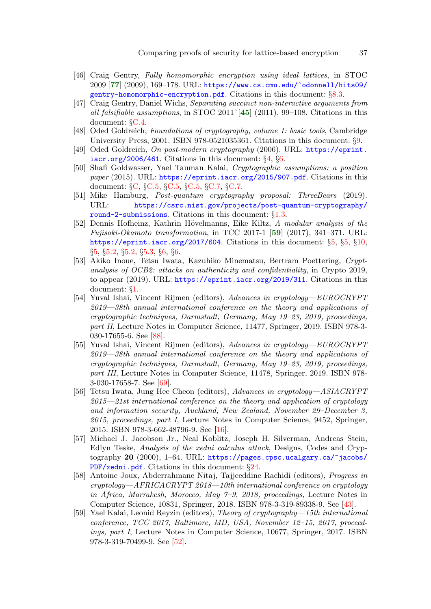- <span id="page-36-13"></span><span id="page-36-4"></span>[46] Craig Gentry, Fully homomorphic encryption using ideal lattices, in STOC 2009 [[77](#page-38-11)] (2009), 169–178. URL: [https://www.cs.cmu.edu/~odonnell/hits09/](https://www.cs.cmu.edu/~odonnell/hits09/gentry-homomorphic-encryption.pdf) [gentry-homomorphic-encryption.pdf](https://www.cs.cmu.edu/~odonnell/hits09/gentry-homomorphic-encryption.pdf). Citations in this document:  $\S 8.3$  $\S 8.3$ .
- <span id="page-36-16"></span><span id="page-36-9"></span>[47] Craig Gentry, Daniel Wichs, Separating succinct non-interactive arguments from all falsifiable assumptions, in STOC 2011<sup> $\lceil 45 \rceil$  $\lceil 45 \rceil$  $\lceil 45 \rceil$ </sup> (2011), 99–108. Citations in this document: §[C.4.](#page-44-0)
- <span id="page-36-6"></span>[48] Oded Goldreich, Foundations of cryptography, volume 1: basic tools, Cambridge University Press, 2001. ISBN 978-0521035361. Citations in this document: §[9.](#page-28-1)
- <span id="page-36-2"></span>[49] Oded Goldreich, On post-modern cryptography (2006). URL: [https://eprint.](https://eprint.iacr.org/2006/461) [iacr.org/2006/461](https://eprint.iacr.org/2006/461). Citations in this document:  $\S 4$  $\S 4$ ,  $\S 6$  $\S 6$ .
- <span id="page-36-15"></span>[50] Shafi Goldwasser, Yael Tauman Kalai, Cryptographic assumptions: a position paper (2015). URL: <https://eprint.iacr.org/2015/907.pdf>. Citations in this document: §[C](#page-42-3), §[C.5,](#page-45-0) §[C.5,](#page-45-1) §[C.5](#page-45-2), §[C.7](#page-46-0), §[C.7.](#page-46-1)
- <span id="page-36-1"></span>[51] Mike Hamburg, Post-quantum cryptography proposal: ThreeBears (2019). URL: [https://csrc.nist.gov/projects/post-quantum-cryptography/](https://csrc.nist.gov/projects/post-quantum-cryptography/round-2-submissions) [round-2-submissions](https://csrc.nist.gov/projects/post-quantum-cryptography/round-2-submissions). Citations in this document:  $\S1.3$ .
- <span id="page-36-11"></span><span id="page-36-3"></span>[52] Dennis Hofheinz, Kathrin Hövelmanns, Eike Kiltz, A modular analysis of the Fujisaki-Okamoto transformation, in TCC 2017-1 [[59](#page-36-10)] (2017), 341–371. URL: <https://eprint.iacr.org/2017/604>. Citations in this document:  $\S5$ ,  $\S5$ ,  $\S10$ , §[5,](#page-11-5) §[5.2,](#page-12-0) §[5.2](#page-12-1), §[5.3](#page-13-4), §[6](#page-14-1), §[6.](#page-14-2)
- <span id="page-36-0"></span>[53] Akiko Inoue, Tetsu Iwata, Kazuhiko Minematsu, Bertram Poettering, Cryptanalysis of OCB2: attacks on authenticity and confidentiality, in Crypto 2019, to appear (2019). URL: <https://eprint.iacr.org/2019/311>. Citations in this document: §[1.](#page-2-1)
- <span id="page-36-14"></span>[54] Yuval Ishai, Vincent Rijmen (editors), Advances in cryptology—EUROCRYPT 2019—38th annual international conference on the theory and applications of cryptographic techniques, Darmstadt, Germany, May 19–23, 2019, proceedings, part II, Lecture Notes in Computer Science, 11477, Springer, 2019. ISBN 978-3- 030-17655-6. See [[88](#page-39-14)].
- <span id="page-36-12"></span>[55] Yuval Ishai, Vincent Rijmen (editors), Advances in cryptology—EUROCRYPT 2019—38th annual international conference on the theory and applications of cryptographic techniques, Darmstadt, Germany, May 19–23, 2019, proceedings, part III, Lecture Notes in Computer Science, 11478, Springer, 2019. ISBN 978- 3-030-17658-7. See [\[69](#page-37-14)].
- <span id="page-36-7"></span>[56] Tetsu Iwata, Jung Hee Cheon (editors), Advances in cryptology—ASIACRYPT 2015—21st international conference on the theory and application of cryptology and information security, Auckland, New Zealand, November 29–December 3, 2015, proceedings, part I, Lecture Notes in Computer Science, 9452, Springer, 2015. ISBN 978-3-662-48796-9. See [\[16](#page-33-15)].
- <span id="page-36-5"></span>[57] Michael J. Jacobson Jr., Neal Koblitz, Joseph H. Silverman, Andreas Stein, Edlyn Teske, Analysis of the xedni calculus attack, Designs, Codes and Cryptography 20 (2000), 1–64. URL: [https://pages.cpsc.ucalgary.ca/~jacobs/](https://pages.cpsc.ucalgary.ca/~jacobs/PDF/xedni.pdf) [PDF/xedni.pdf](https://pages.cpsc.ucalgary.ca/~jacobs/PDF/xedni.pdf). Citations in this document: §[24](#page-27-2).
- <span id="page-36-8"></span>[58] Antoine Joux, Abderrahmane Nitaj, Tajjeeddine Rachidi (editors), Progress in cryptology—AFRICACRYPT 2018—10th international conference on cryptology in Africa, Marrakesh, Morocco, May  $7-9$ , 2018, proceedings, Lecture Notes in Computer Science, 10831, Springer, 2018. ISBN 978-3-319-89338-9. See [\[43](#page-35-10)].
- <span id="page-36-10"></span>[59] Yael Kalai, Leonid Reyzin (editors), Theory of cryptography—15th international conference, TCC 2017, Baltimore, MD, USA, November 12–15, 2017, proceedings, part I, Lecture Notes in Computer Science, 10677, Springer, 2017. ISBN 978-3-319-70499-9. See [\[52\]](#page-36-11).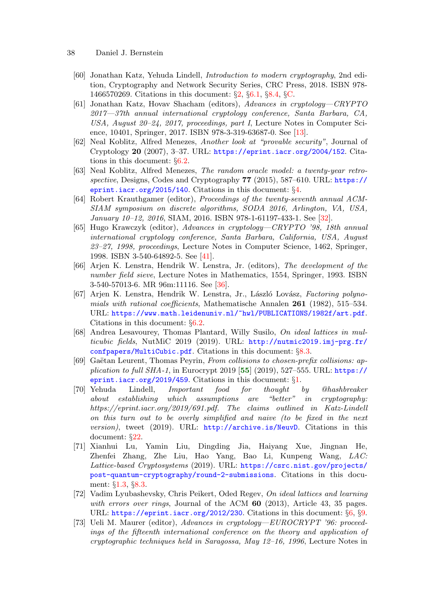- <span id="page-37-14"></span><span id="page-37-13"></span><span id="page-37-12"></span><span id="page-37-11"></span><span id="page-37-10"></span><span id="page-37-9"></span><span id="page-37-8"></span><span id="page-37-7"></span><span id="page-37-6"></span><span id="page-37-5"></span><span id="page-37-4"></span><span id="page-37-3"></span><span id="page-37-2"></span><span id="page-37-1"></span><span id="page-37-0"></span>38 Daniel J. Bernstein
	- [60] Jonathan Katz, Yehuda Lindell, Introduction to modern cryptography, 2nd edition, Cryptography and Network Security Series, CRC Press, 2018. ISBN 978- 1466570269. Citations in this document: §[2](#page-5-0), §[6.1](#page-15-1), §[8.4,](#page-26-3) §[C.](#page-42-4)
	- [61] Jonathan Katz, Hovav Shacham (editors), Advances in cryptology—CRYPTO 2017—37th annual international cryptology conference, Santa Barbara, CA, USA, August 20–24, 2017, proceedings, part I, Lecture Notes in Computer Science, 10401, Springer, 2017. ISBN 978-3-319-63687-0. See [[13\]](#page-33-16).
	- [62] Neal Koblitz, Alfred Menezes, Another look at "provable security", Journal of Cryptology 20 (2007), 3–37. URL: <https://eprint.iacr.org/2004/152>. Citations in this document: §[6.2](#page-16-1).
	- [63] Neal Koblitz, Alfred Menezes, The random oracle model: a twenty-year retrospective, Designs, Codes and Cryptography 77 (2015), 587–610. URL:  $\frac{https://}{https://}$  $\frac{https://}{https://}$  $\frac{https://}{https://}$ [eprint.iacr.org/2015/140](https://eprint.iacr.org/2015/140). Citations in this document:  $\S 4$ .
	- [64] Robert Krauthgamer (editor), Proceedings of the twenty-seventh annual ACM-SIAM symposium on discrete algorithms, SODA 2016, Arlington, VA, USA, January 10–12, 2016, SIAM, 2016. ISBN 978-1-61197-433-1. See [[32\]](#page-34-11).
	- [65] Hugo Krawczyk (editor), Advances in cryptology—CRYPTO '98, 18th annual international cryptology conference, Santa Barbara, California, USA, August 23–27, 1998, proceedings, Lecture Notes in Computer Science, 1462, Springer, 1998. ISBN 3-540-64892-5. See [\[41](#page-35-11)].
	- [66] Arjen K. Lenstra, Hendrik W. Lenstra, Jr. (editors), The development of the number field sieve, Lecture Notes in Mathematics, 1554, Springer, 1993. ISBN 3-540-57013-6. MR 96m:11116. See [[36\]](#page-35-12).
	- [67] Arjen K. Lenstra, Hendrik W. Lenstra, Jr., László Lovász, Factoring polynomials with rational coefficients, Mathematische Annalen  $261$  (1982), 515–534. URL: <https://www.math.leidenuniv.nl/~hwl/PUBLICATIONS/1982f/art.pdf>. Citations in this document: §[6.2.](#page-16-2)
	- [68] Andrea Lesavourey, Thomas Plantard, Willy Susilo, On ideal lattices in multicubic fields, NutMiC 2019 (2019). URL:  $http://number2019.inj-prg.fr/$ [confpapers/MultiCubic.pdf](http://nutmic2019.imj-prg.fr/confpapers/MultiCubic.pdf). Citations in this document: §[8.3.](#page-26-4)
	- [69] Gaëtan Leurent, Thomas Peyrin, From collisions to chosen-prefix collisions: application to full  $SHA-1$ , in Eurocrypt 2019 [[55](#page-36-12)] (2019), 527–555. URL: [https://](https://eprint.iacr.org/2019/459) [eprint.iacr.org/2019/459](https://eprint.iacr.org/2019/459). Citations in this document: §[1.](#page-2-2)
	- [70] Yehuda Lindell, Important food for thought by @hashbreaker about establishing which assumptions are "better" in cryptography: https://eprint.iacr.org/2019/691.pdf. The claims outlined in Katz-Lindell on this turn out to be overly simplified and naive (to be fixed in the next version), tweet (2019). URL: <http://archive.is/NeuvD>. Citations in this document: §[22](#page-26-5).
	- [71] Xianhui Lu, Yamin Liu, Dingding Jia, Haiyang Xue, Jingnan He, Zhenfei Zhang, Zhe Liu, Hao Yang, Bao Li, Kunpeng Wang, LAC: Lattice-based Cryptosystems (2019). URL: [https://csrc.nist.gov/projects/](https://csrc.nist.gov/projects/post-quantum-cryptography/round-2-submissions) [post-quantum-cryptography/round-2-submissions](https://csrc.nist.gov/projects/post-quantum-cryptography/round-2-submissions). Citations in this document: §[1.3](#page-3-8), §[8.3](#page-26-6).
	- [72] Vadim Lyubashevsky, Chris Peikert, Oded Regev, On ideal lattices and learning with errors over rings, Journal of the ACM  $60$  (2013), Article 43, 35 pages. URL: <https://eprint.iacr.org/2012/230>. Citations in this document: §[6,](#page-15-2) §[9.](#page-28-2)
	- [73] Ueli M. Maurer (editor), Advances in cryptology—EUROCRYPT '96: proceedings of the fifteenth international conference on the theory and application of cryptographic techniques held in Saragossa, May 12–16, 1996, Lecture Notes in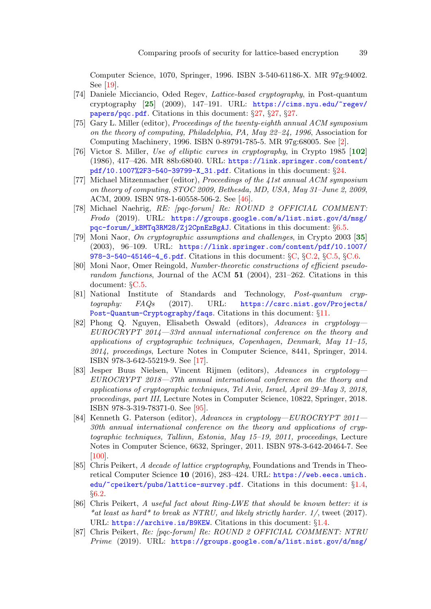<span id="page-38-9"></span>Computer Science, 1070, Springer, 1996. ISBN 3-540-61186-X. MR 97g:94002. See [\[19](#page-33-17)].

- <span id="page-38-6"></span>[74] Daniele Micciancio, Oded Regev, Lattice-based cryptography, in Post-quantum cryptography [[25](#page-34-12)] (2009), 147–191. URL: [https://cims.nyu.edu/~regev/](https://cims.nyu.edu/~regev/papers/pqc.pdf) [papers/pqc.pdf](https://cims.nyu.edu/~regev/papers/pqc.pdf). Citations in this document: §[27,](#page-29-2) §[27](#page-29-3), §[27](#page-29-4).
- <span id="page-38-7"></span>[75] Gary L. Miller (editor), Proceedings of the twenty-eighth annual ACM symposium on the theory of computing, Philadelphia, PA, May  $22-24$ , 1996, Association for Computing Machinery, 1996. ISBN 0-89791-785-5. MR 97g:68005. See [\[2\]](#page-32-6).
- <span id="page-38-5"></span>[76] Victor S. Miller, Use of elliptic curves in cryptography, in Crypto 1985 [[102](#page-40-3)] (1986), 417–426. MR 88b:68040. URL: [https://link.springer.com/content/](https://link.springer.com/content/pdf/10.1007%2F3-540-39799-X_31.pdf) [pdf/10.1007%2F3-540-39799-X\\_31.pdf](https://link.springer.com/content/pdf/10.1007%2F3-540-39799-X_31.pdf). Citations in this document: §[24.](#page-27-3)
- <span id="page-38-11"></span>[77] Michael Mitzenmacher (editor), Proceedings of the 41st annual ACM symposium on theory of computing, STOC 2009, Bethesda, MD, USA, May 31–June 2, 2009, ACM, 2009. ISBN 978-1-60558-506-2. See [\[46](#page-36-13)].
- <span id="page-38-4"></span>[78] Michael Naehrig, RE: [pqc-forum] Re: ROUND 2 OFFICIAL COMMENT: Frodo (2019). URL: [https://groups.google.com/a/list.nist.gov/d/msg/](https://groups.google.com/a/list.nist.gov/d/msg/pqc-forum/_kBMTq3RM28/Zj2CpnEzBgAJ) [pqc-forum/\\_kBMTq3RM28/Zj2CpnEzBgAJ](https://groups.google.com/a/list.nist.gov/d/msg/pqc-forum/_kBMTq3RM28/Zj2CpnEzBgAJ). Citations in this document: §[6.5.](#page-19-16)
- <span id="page-38-15"></span>[79] Moni Naor, On cryptographic assumptions and challenges, in Crypto 2003 [[35](#page-35-13)] (2003), 96–109. URL: [https://link.springer.com/content/pdf/10.1007/](https://link.springer.com/content/pdf/10.1007/978-3-540-45146-4_6.pdf) [978-3-540-45146-4\\_6.pdf](https://link.springer.com/content/pdf/10.1007/978-3-540-45146-4_6.pdf). Citations in this document: §[C](#page-42-5), §[C.2,](#page-44-1) §[C.5,](#page-45-3) §[C.6](#page-46-2).
- <span id="page-38-16"></span>[80] Moni Naor, Omer Reingold, Number-theoretic constructions of efficient pseudorandom functions, Journal of the ACM  $51$  (2004), 231–262. Citations in this document: §[C.5.](#page-45-4)
- <span id="page-38-3"></span>[81] National Institute of Standards and Technology, Post-quantum cryptography: FAQs (2017). URL: [https://csrc.nist.gov/Projects/](https://csrc.nist.gov/Projects/Post-Quantum-Cryptography/faqs) [Post-Quantum-Cryptography/faqs](https://csrc.nist.gov/Projects/Post-Quantum-Cryptography/faqs). Citations in this document: §[11](#page-11-6).
- <span id="page-38-8"></span>[82] Phong Q. Nguyen, Elisabeth Oswald (editors), Advances in cryptology— EUROCRYPT 2014—33rd annual international conference on the theory and applications of cryptographic techniques, Copenhagen, Denmark, May 11–15, 2014, proceedings, Lecture Notes in Computer Science, 8441, Springer, 2014. ISBN 978-3-642-55219-9. See [\[17\]](#page-33-18).
- <span id="page-38-12"></span>[83] Jesper Buus Nielsen, Vincent Rijmen (editors), Advances in cryptology— EUROCRYPT 2018—37th annual international conference on the theory and applications of cryptographic techniques, Tel Aviv, Israel, April 29–May 3, 2018, proceedings, part III, Lecture Notes in Computer Science, 10822, Springer, 2018. ISBN 978-3-319-78371-0. See [\[95\]](#page-39-15).
- <span id="page-38-13"></span>[84] Kenneth G. Paterson (editor), Advances in cryptology—EUROCRYPT 2011— 30th annual international conference on the theory and applications of cryptographic techniques, Tallinn, Estonia, May 15–19, 2011, proceedings, Lecture Notes in Computer Science, 6632, Springer, 2011. ISBN 978-3-642-20464-7. See [\[100](#page-39-16)].
- <span id="page-38-1"></span>[85] Chris Peikert, A decade of lattice cryptography, Foundations and Trends in Theoretical Computer Science 10 (2016), 283–424. URL: [https://web.eecs.umich.](https://web.eecs.umich.edu/~cpeikert/pubs/lattice-survey.pdf) [edu/~cpeikert/pubs/lattice-survey.pdf](https://web.eecs.umich.edu/~cpeikert/pubs/lattice-survey.pdf). Citations in this document: §[1.4,](#page-4-2) §[6.2](#page-16-3).
- <span id="page-38-0"></span>[86] Chris Peikert, A useful fact about Ring-LWE that should be known better: it is \*at least as hard\* to break as NTRU, and likely strictly harder.  $1/$ , tweet (2017). URL: <https://archive.is/B9KEW>. Citations in this document: §[1.4](#page-4-3).
- <span id="page-38-2"></span>[87] Chris Peikert, Re: [pqc-forum] Re: ROUND 2 OFFICIAL COMMENT: NTRU Prime (2019). URL: [https://groups.google.com/a/list.nist.gov/d/msg/](https://groups.google.com/a/list.nist.gov/d/msg/pqc-forum/V1RNjpio5Ng/uzEDmsogAgAJ)

<span id="page-38-14"></span><span id="page-38-10"></span>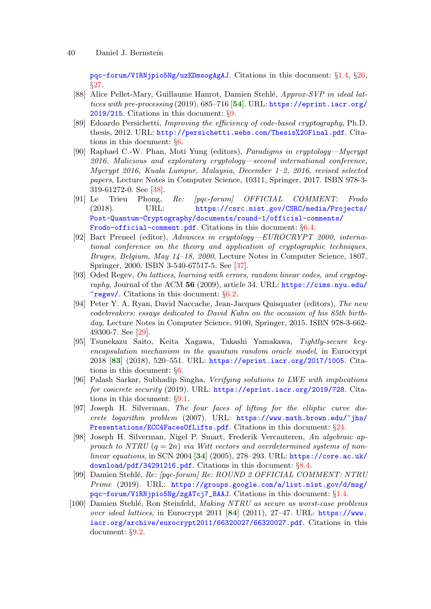<span id="page-39-14"></span>[pqc-forum/V1RNjpio5Ng/uzEDmsogAgAJ](https://groups.google.com/a/list.nist.gov/d/msg/pqc-forum/V1RNjpio5Ng/uzEDmsogAgAJ). Citations in this document: §[1.4](#page-4-4), §[26,](#page-28-3) §[27](#page-29-5).

- <span id="page-39-7"></span>[88] Alice Pellet-Mary, Guillaume Hanrot, Damien Stehlé, Approx-SVP in ideal lattices with pre-processing (2019), 685–716 [[54](#page-36-14)]. URL: [https://eprint.iacr.org/](https://eprint.iacr.org/2019/215) [2019/215](https://eprint.iacr.org/2019/215). Citations in this document: §[9](#page-28-4).
- <span id="page-39-1"></span>[89] Edoardo Persichetti, Improving the efficiency of code-based cryptography, Ph.D. thesis, 2012. URL: <http://persichetti.webs.com/Thesis%20Final.pdf>. Citations in this document: §[6](#page-13-5).
- <span id="page-39-13"></span>[90] Raphael C.-W. Phan, Moti Yung (editors), Paradigms in cryptology—Mycrypt 2016. Malicious and exploratory cryptology—second international conference, Mycrypt 2016, Kuala Lumpur, Malaysia, December 1–2, 2016, revised selected papers, Lecture Notes in Computer Science, 10311, Springer, 2017. ISBN 978-3- 319-61272-0. See [\[38](#page-35-14)].
- <span id="page-39-4"></span>[91] Le Trieu Phong, Re: [pqc-forum] OFFICIAL COMMENT: Frodo (2018). URL: [https://csrc.nist.gov/CSRC/media/Projects/](https://csrc.nist.gov/CSRC/media/Projects/Post-Quantum-Cryptography/documents/round-1/official-comments/Frodo-official-comment.pdf) [Post-Quantum-Cryptography/documents/round-1/official-comments/](https://csrc.nist.gov/CSRC/media/Projects/Post-Quantum-Cryptography/documents/round-1/official-comments/Frodo-official-comment.pdf) [Frodo-official-comment.pdf](https://csrc.nist.gov/CSRC/media/Projects/Post-Quantum-Cryptography/documents/round-1/official-comments/Frodo-official-comment.pdf). Citations in this document:  $\S6.4$ .
- <span id="page-39-12"></span>[92] Bart Preneel (editor), Advances in cryptology—EUROCRYPT 2000, international conference on the theory and application of cryptographic techniques, Bruges, Belgium, May 14–18, 2000, Lecture Notes in Computer Science, 1807, Springer, 2000. ISBN 3-540-67517-5. See [\[37](#page-35-15)].
- <span id="page-39-3"></span>[93] Oded Regev, On lattices, learning with errors, random linear codes, and cryptography, Journal of the ACM 56 (2009), article 34. URL: [https://cims.nyu.edu/](https://cims.nyu.edu/~regev/)  $\text{{}~regev/}.$  $\text{{}~regev/}.$  $\text{{}~regev/}.$  Citations in this document:  $\S6.2$  $\S6.2$ .
- <span id="page-39-10"></span>[94] Peter Y. A. Ryan, David Naccache, Jean-Jacques Quisquater (editors), The new codebreakers: essays dedicated to David Kahn on the occasion of his 85th birthday, Lecture Notes in Computer Science, 9100, Springer, 2015. ISBN 978-3-662-49300-7. See [[29\]](#page-34-13).
- <span id="page-39-15"></span><span id="page-39-2"></span>[95] Tsunekazu Saito, Keita Xagawa, Takashi Yamakawa, Tightly-secure keyencapsulation mechanism in the quantum random oracle model, in Eurocrypt 2018 [[83](#page-38-12)] (2018), 520–551. URL: <https://eprint.iacr.org/2017/1005>. Citations in this document: §[6](#page-13-6).
- <span id="page-39-8"></span>[96] Palash Sarkar, Subhadip Singha, Verifying solutions to LWE with implications for concrete security (2019). URL: <https://eprint.iacr.org/2019/728>. Citations in this document: §[9.1](#page-29-6).
- <span id="page-39-6"></span>[97] Joseph H. Silverman, The four faces of lifting for the elliptic curve dis- $\emph{crete logarithm problem}$  (2007). URL: [https://www.math.brown.edu/~jhs/](https://www.math.brown.edu/~jhs/Presentations/ECC4FacesOfLifts.pdf) [Presentations/ECC4FacesOfLifts.pdf](https://www.math.brown.edu/~jhs/Presentations/ECC4FacesOfLifts.pdf). Citations in this document: §[24.](#page-27-4)
- <span id="page-39-11"></span><span id="page-39-5"></span>[98] Joseph H. Silverman, Nigel P. Smart, Frederik Vercauteren, An algebraic approach to NTRU  $(q = 2n)$  via Witt vectors and overdetermined systems of nonlinear equations, in SCN 2004 [[34](#page-35-16)] (2005), 278–293. URL: [https://core.ac.uk/](https://core.ac.uk/download/pdf/34291216.pdf) [download/pdf/34291216.pdf](https://core.ac.uk/download/pdf/34291216.pdf). Citations in this document: §[8.4.](#page-27-5)
- <span id="page-39-16"></span><span id="page-39-0"></span>[99] Damien Stehl´e, Re: [pqc-forum] Re: ROUND 2 OFFICIAL COMMENT: NTRU Prime (2019). URL: [https://groups.google.com/a/list.nist.gov/d/msg/](https://groups.google.com/a/list.nist.gov/d/msg/pqc-forum/V1RNjpio5Ng/zgATcj7_BAAJ) [pqc-forum/V1RNjpio5Ng/zgATcj7\\_BAAJ](https://groups.google.com/a/list.nist.gov/d/msg/pqc-forum/V1RNjpio5Ng/zgATcj7_BAAJ). Citations in this document: §[1.4.](#page-4-5)
- <span id="page-39-9"></span>[100] Damien Stehlé, Ron Steinfeld, Making NTRU as secure as worst-case problems over ideal lattices, in Eurocrypt 2011 [[84](#page-38-13)] (2011), 27–47. URL: [https://www.](https://www.iacr.org/archive/eurocrypt2011/66320027/66320027.pdf) [iacr.org/archive/eurocrypt2011/66320027/66320027.pdf](https://www.iacr.org/archive/eurocrypt2011/66320027/66320027.pdf). Citations in this document: §[9.2](#page-31-0).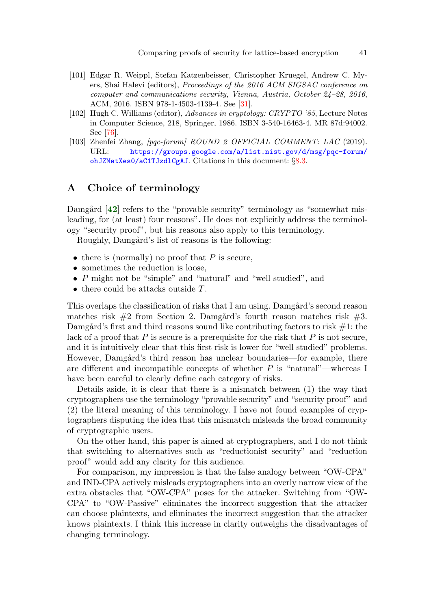- <span id="page-40-1"></span>[101] Edgar R. Weippl, Stefan Katzenbeisser, Christopher Kruegel, Andrew C. Myers, Shai Halevi (editors), Proceedings of the 2016 ACM SIGSAC conference on computer and communications security, Vienna, Austria, October 24–28, 2016, ACM, 2016. ISBN 978-1-4503-4139-4. See [\[31](#page-34-14)].
- <span id="page-40-3"></span>[102] Hugh C. Williams (editor), Advances in cryptology: CRYPTO '85, Lecture Notes in Computer Science, 218, Springer, 1986. ISBN 3-540-16463-4. MR 87d:94002. See [\[76](#page-38-14)].
- <span id="page-40-0"></span>[103] Zhenfei Zhang, [pqc-forum] ROUND 2 OFFICIAL COMMENT: LAC (2019). URL: [https://groups.google.com/a/list.nist.gov/d/msg/pqc-forum/](https://groups.google.com/a/list.nist.gov/d/msg/pqc-forum/ohJZMetXes0/aC1TJzdlCgAJ) [ohJZMetXes0/aC1TJzdlCgAJ](https://groups.google.com/a/list.nist.gov/d/msg/pqc-forum/ohJZMetXes0/aC1TJzdlCgAJ). Citations in this document: §[8.3](#page-26-7).

# A Choice of terminology

<span id="page-40-2"></span>Damgård  $[42]$  $[42]$  $[42]$  refers to the "provable security" terminology as "somewhat misleading, for (at least) four reasons". He does not explicitly address the terminology "security proof", but his reasons also apply to this terminology.

Roughly, Damgård's list of reasons is the following:

- there is (normally) no proof that  $P$  is secure,
- sometimes the reduction is loose,
- P might not be "simple" and "natural" and "well studied", and
- there could be attacks outside T.

This overlaps the classification of risks that I am using. Damgård's second reason matches risk  $#2$  from Section 2. Damgård's fourth reason matches risk  $#3$ . Damgård's first and third reasons sound like contributing factors to risk  $#1$ : the lack of a proof that  $P$  is secure is a prerequisite for the risk that  $P$  is not secure, and it is intuitively clear that this first risk is lower for "well studied" problems. However, Damgård's third reason has unclear boundaries—for example, there are different and incompatible concepts of whether  $P$  is "natural"—whereas I have been careful to clearly define each category of risks.

Details aside, it is clear that there is a mismatch between (1) the way that cryptographers use the terminology "provable security" and "security proof" and (2) the literal meaning of this terminology. I have not found examples of cryptographers disputing the idea that this mismatch misleads the broad community of cryptographic users.

On the other hand, this paper is aimed at cryptographers, and I do not think that switching to alternatives such as "reductionist security" and "reduction proof" would add any clarity for this audience.

For comparison, my impression is that the false analogy between "OW-CPA" and IND-CPA actively misleads cryptographers into an overly narrow view of the extra obstacles that "OW-CPA" poses for the attacker. Switching from "OW-CPA" to "OW-Passive" eliminates the incorrect suggestion that the attacker can choose plaintexts, and eliminates the incorrect suggestion that the attacker knows plaintexts. I think this increase in clarity outweighs the disadvantages of changing terminology.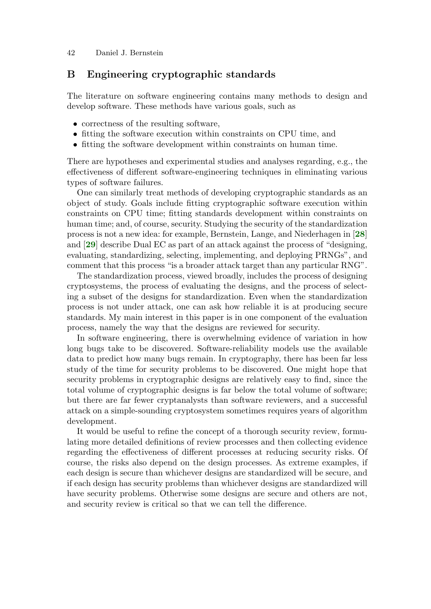# B Engineering cryptographic standards

The literature on software engineering contains many methods to design and develop software. These methods have various goals, such as

- correctness of the resulting software,
- fitting the software execution within constraints on CPU time, and
- fitting the software development within constraints on human time.

There are hypotheses and experimental studies and analyses regarding, e.g., the effectiveness of different software-engineering techniques in eliminating various types of software failures.

<span id="page-41-0"></span>One can similarly treat methods of developing cryptographic standards as an object of study. Goals include fitting cryptographic software execution within constraints on CPU time; fitting standards development within constraints on human time; and, of course, security. Studying the security of the standardization process is not a new idea: for example, Bernstein, Lange, and Niederhagen in [[28](#page-34-15)] and [[29](#page-34-16)] describe Dual EC as part of an attack against the process of "designing, evaluating, standardizing, selecting, implementing, and deploying PRNGs", and comment that this process "is a broader attack target than any particular RNG".

<span id="page-41-1"></span>The standardization process, viewed broadly, includes the process of designing cryptosystems, the process of evaluating the designs, and the process of selecting a subset of the designs for standardization. Even when the standardization process is not under attack, one can ask how reliable it is at producing secure standards. My main interest in this paper is in one component of the evaluation process, namely the way that the designs are reviewed for security.

In software engineering, there is overwhelming evidence of variation in how long bugs take to be discovered. Software-reliability models use the available data to predict how many bugs remain. In cryptography, there has been far less study of the time for security problems to be discovered. One might hope that security problems in cryptographic designs are relatively easy to find, since the total volume of cryptographic designs is far below the total volume of software; but there are far fewer cryptanalysts than software reviewers, and a successful attack on a simple-sounding cryptosystem sometimes requires years of algorithm development.

It would be useful to refine the concept of a thorough security review, formulating more detailed definitions of review processes and then collecting evidence regarding the effectiveness of different processes at reducing security risks. Of course, the risks also depend on the design processes. As extreme examples, if each design is secure than whichever designs are standardized will be secure, and if each design has security problems than whichever designs are standardized will have security problems. Otherwise some designs are secure and others are not, and security review is critical so that we can tell the difference.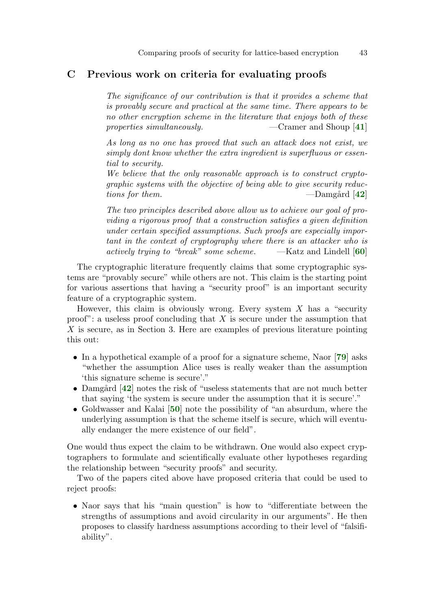# C Previous work on criteria for evaluating proofs

The significance of our contribution is that it provides a scheme that is provably secure and practical at the same time. There appears to be no other encryption scheme in the literature that enjoys both of these properties simultaneously.  $\qquad \qquad -C$ ramer and Shoup [[41](#page-35-17)]

<span id="page-42-0"></span>As long as no one has proved that such an attack does not exist, we simply dont know whether the extra ingredient is superfluous or essential to security.

<span id="page-42-1"></span>We believe that the only reasonable approach is to construct cryptographic systems with the objective of being able to give security reductions for them. —Damg˚ard [[42](#page-35-3)]

<span id="page-42-4"></span>The two principles described above allow us to achieve our goal of providing a rigorous proof that a construction satisfies a given definition under certain specified assumptions. Such proofs are especially important in the context of cryptography where there is an attacker who is actively trying to "break" some scheme.  $-$ Katz and Lindell [[60](#page-37-2)]

The cryptographic literature frequently claims that some cryptographic systems are "provably secure" while others are not. This claim is the starting point for various assertions that having a "security proof" is an important security feature of a cryptographic system.

However, this claim is obviously wrong. Every system  $X$  has a "security" proof": a useless proof concluding that  $X$  is secure under the assumption that X is secure, as in Section 3. Here are examples of previous literature pointing this out:

- <span id="page-42-5"></span>• In a hypothetical example of a proof for a signature scheme, Naor [[79](#page-38-15)] asks "whether the assumption Alice uses is really weaker than the assumption 'this signature scheme is secure'."
- <span id="page-42-2"></span>• Damgård  $[42]$  $[42]$  $[42]$  notes the risk of "useless statements that are not much better that saying 'the system is secure under the assumption that it is secure'."
- <span id="page-42-3"></span>• Goldwasser and Kalai [[50](#page-36-15)] note the possibility of "an absurdum, where the underlying assumption is that the scheme itself is secure, which will eventually endanger the mere existence of our field".

One would thus expect the claim to be withdrawn. One would also expect cryptographers to formulate and scientifically evaluate other hypotheses regarding the relationship between "security proofs" and security.

Two of the papers cited above have proposed criteria that could be used to reject proofs:

• Naor says that his "main question" is how to "differentiate between the strengths of assumptions and avoid circularity in our arguments". He then proposes to classify hardness assumptions according to their level of "falsifiability".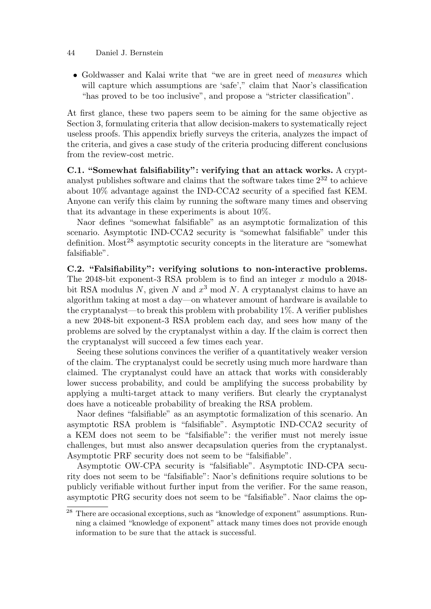• Goldwasser and Kalai write that "we are in greet need of *measures* which will capture which assumptions are 'safe'," claim that Naor's classification "has proved to be too inclusive", and propose a "stricter classification".

At first glance, these two papers seem to be aiming for the same objective as Section 3, formulating criteria that allow decision-makers to systematically reject useless proofs. This appendix briefly surveys the criteria, analyzes the impact of the criteria, and gives a case study of the criteria producing different conclusions from the review-cost metric.

C.1. "Somewhat falsifiability": verifying that an attack works. A cryptanalyst publishes software and claims that the software takes time  $2^{32}$  to achieve about 10% advantage against the IND-CCA2 security of a specified fast KEM. Anyone can verify this claim by running the software many times and observing that its advantage in these experiments is about 10%.

Naor defines "somewhat falsifiable" as an asymptotic formalization of this scenario. Asymptotic IND-CCA2 security is "somewhat falsifiable" under this definition. Most<sup>28</sup> asymptotic security concepts in the literature are "somewhat falsifiable".

C.2. "Falsifiability": verifying solutions to non-interactive problems. The 2048-bit exponent-3 RSA problem is to find an integer  $x$  modulo a 2048bit RSA modulus N, given N and  $x^3$  mod N. A cryptanalyst claims to have an algorithm taking at most a day—on whatever amount of hardware is available to the cryptanalyst—to break this problem with probability 1%. A verifier publishes a new 2048-bit exponent-3 RSA problem each day, and sees how many of the problems are solved by the cryptanalyst within a day. If the claim is correct then the cryptanalyst will succeed a few times each year.

Seeing these solutions convinces the verifier of a quantitatively weaker version of the claim. The cryptanalyst could be secretly using much more hardware than claimed. The cryptanalyst could have an attack that works with considerably lower success probability, and could be amplifying the success probability by applying a multi-target attack to many verifiers. But clearly the cryptanalyst does have a noticeable probability of breaking the RSA problem.

Naor defines "falsifiable" as an asymptotic formalization of this scenario. An asymptotic RSA problem is "falsifiable". Asymptotic IND-CCA2 security of a KEM does not seem to be "falsifiable": the verifier must not merely issue challenges, but must also answer decapsulation queries from the cryptanalyst. Asymptotic PRF security does not seem to be "falsifiable".

Asymptotic OW-CPA security is "falsifiable". Asymptotic IND-CPA security does not seem to be "falsifiable": Naor's definitions require solutions to be publicly verifiable without further input from the verifier. For the same reason, asymptotic PRG security does not seem to be "falsifiable". Naor claims the op-

<sup>&</sup>lt;sup>28</sup> There are occasional exceptions, such as "knowledge of exponent" assumptions. Running a claimed "knowledge of exponent" attack many times does not provide enough information to be sure that the attack is successful.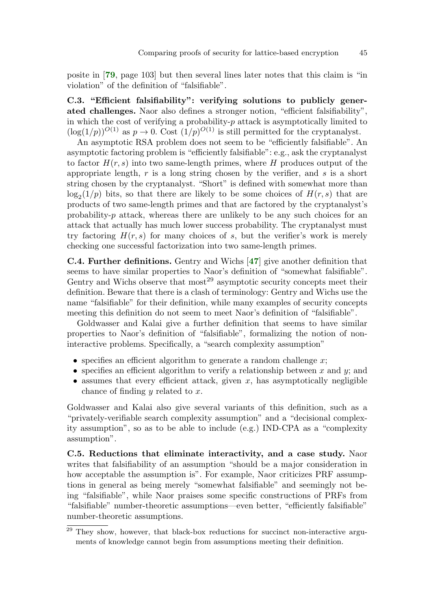<span id="page-44-1"></span>posite in [[79](#page-38-15), page 103] but then several lines later notes that this claim is "in violation" of the definition of "falsifiable".

C.3. "Efficient falsifiability": verifying solutions to publicly generated challenges. Naor also defines a stronger notion, "efficient falsifiability", in which the cost of verifying a probability- $p$  attack is asymptotically limited to  $(\log(1/p))^{O(1)}$  as  $p \to 0$ . Cost  $(1/p)^{O(1)}$  is still permitted for the cryptanalyst.

An asymptotic RSA problem does not seem to be "efficiently falsifiable". An asymptotic factoring problem is "efficiently falsifiable": e.g., ask the cryptanalyst to factor  $H(r, s)$  into two same-length primes, where H produces output of the appropriate length,  $r$  is a long string chosen by the verifier, and  $s$  is a short string chosen by the cryptanalyst. "Short" is defined with somewhat more than  $\log_2(1/p)$  bits, so that there are likely to be some choices of  $H(r, s)$  that are products of two same-length primes and that are factored by the cryptanalyst's probability-p attack, whereas there are unlikely to be any such choices for an attack that actually has much lower success probability. The cryptanalyst must try factoring  $H(r, s)$  for many choices of s, but the verifier's work is merely checking one successful factorization into two same-length primes.

<span id="page-44-0"></span>C.4. Further definitions. Gentry and Wichs [[47](#page-36-16)] give another definition that seems to have similar properties to Naor's definition of "somewhat falsifiable". Gentry and Wichs observe that  $most^{29}$  asymptotic security concepts meet their definition. Beware that there is a clash of terminology: Gentry and Wichs use the name "falsifiable" for their definition, while many examples of security concepts meeting this definition do not seem to meet Naor's definition of "falsifiable".

Goldwasser and Kalai give a further definition that seems to have similar properties to Naor's definition of "falsifiable", formalizing the notion of noninteractive problems. Specifically, a "search complexity assumption"

- specifies an efficient algorithm to generate a random challenge  $x$ ;
- specifies an efficient algorithm to verify a relationship between x and y; and
- assumes that every efficient attack, given  $x$ , has asymptotically negligible chance of finding  $y$  related to  $x$ .

Goldwasser and Kalai also give several variants of this definition, such as a "privately-verifiable search complexity assumption" and a "decisional complexity assumption", so as to be able to include (e.g.) IND-CPA as a "complexity assumption".

C.5. Reductions that eliminate interactivity, and a case study. Naor writes that falsifiability of an assumption "should be a major consideration in how acceptable the assumption is". For example, Naor criticizes PRF assumptions in general as being merely "somewhat falsifiable" and seemingly not being "falsifiable", while Naor praises some specific constructions of PRFs from "falsifiable" number-theoretic assumptions—even better, "efficiently falsifiable" number-theoretic assumptions.

<sup>&</sup>lt;sup>29</sup> They show, however, that black-box reductions for succinct non-interactive arguments of knowledge cannot begin from assumptions meeting their definition.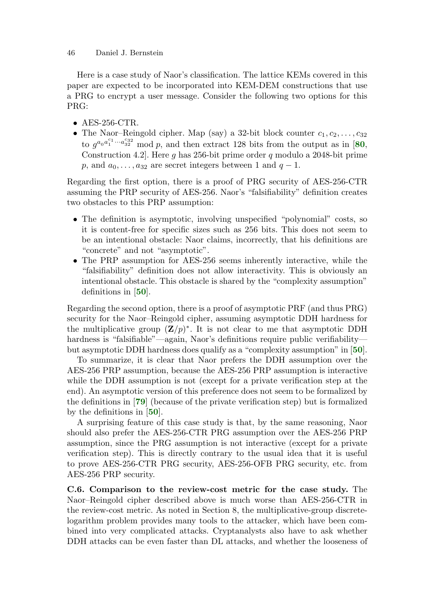Here is a case study of Naor's classification. The lattice KEMs covered in this paper are expected to be incorporated into KEM-DEM constructions that use a PRG to encrypt a user message. Consider the following two options for this PRG:

- <span id="page-45-4"></span>
- AES-256-CTR.<br>• The Naor-Reingold cipher. Map (say) a 32-bit block counter  $c_1, c_2, \ldots, c_{32}$ to  $q^{a_0 a_1^{c_1} \cdots a_{32}^{c_{32}}}$  mod p, and then extract 128 bits from the output as in [[80](#page-38-16), Construction 4.2. Here q has 256-bit prime order q modulo a 2048-bit prime p, and  $a_0, \ldots, a_{32}$  are secret integers between 1 and  $q-1$ .

Regarding the first option, there is a proof of PRG security of AES-256-CTR assuming the PRP security of AES-256. Naor's "falsifiability" definition creates two obstacles to this PRP assumption:

- The definition is asymptotic, involving unspecified "polynomial" costs, so it is content-free for specific sizes such as 256 bits. This does not seem to be an intentional obstacle: Naor claims, incorrectly, that his definitions are "concrete" and not "asymptotic".
- <span id="page-45-0"></span>• The PRP assumption for AES-256 seems inherently interactive, while the "falsifiability" definition does not allow interactivity. This is obviously an intentional obstacle. This obstacle is shared by the "complexity assumption" definitions in [[50](#page-36-15)].

Regarding the second option, there is a proof of asymptotic PRF (and thus PRG) security for the Naor–Reingold cipher, assuming asymptotic DDH hardness for the multiplicative group  $(\mathbf{Z}/p)^*$ . It is not clear to me that asymptotic DDH hardness is "falsifiable"—again, Naor's definitions require public verifiabilitybut asymptotic DDH hardness does qualify as a "complexity assumption" in [[50](#page-36-15)].

<span id="page-45-1"></span>To summarize, it is clear that Naor prefers the DDH assumption over the AES-256 PRP assumption, because the AES-256 PRP assumption is interactive while the DDH assumption is not (except for a private verification step at the end). An asymptotic version of this preference does not seem to be formalized by the definitions in [[79](#page-38-15)] (because of the private verification step) but is formalized by the definitions in [[50](#page-36-15)].

<span id="page-45-3"></span><span id="page-45-2"></span>A surprising feature of this case study is that, by the same reasoning, Naor should also prefer the AES-256-CTR PRG assumption over the AES-256 PRP assumption, since the PRG assumption is not interactive (except for a private verification step). This is directly contrary to the usual idea that it is useful to prove AES-256-CTR PRG security, AES-256-OFB PRG security, etc. from AES-256 PRP security.

C.6. Comparison to the review-cost metric for the case study. The Naor–Reingold cipher described above is much worse than AES-256-CTR in the review-cost metric. As noted in Section 8, the multiplicative-group discretelogarithm problem provides many tools to the attacker, which have been combined into very complicated attacks. Cryptanalysts also have to ask whether DDH attacks can be even faster than DL attacks, and whether the looseness of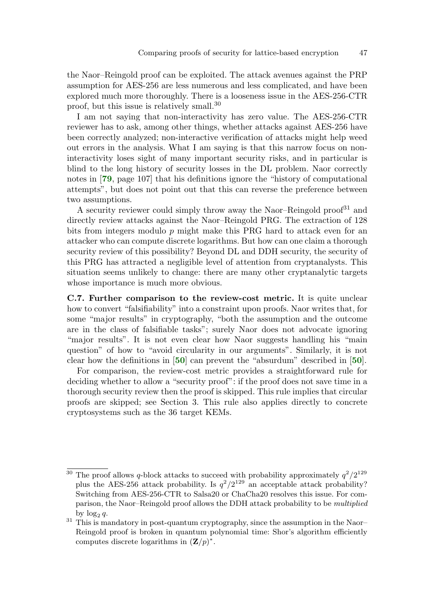the Naor–Reingold proof can be exploited. The attack avenues against the PRP assumption for AES-256 are less numerous and less complicated, and have been explored much more thoroughly. There is a looseness issue in the AES-256-CTR proof, but this issue is relatively small.<sup>30</sup>

I am not saying that non-interactivity has zero value. The AES-256-CTR reviewer has to ask, among other things, whether attacks against AES-256 have been correctly analyzed; non-interactive verification of attacks might help weed out errors in the analysis. What I am saying is that this narrow focus on noninteractivity loses sight of many important security risks, and in particular is blind to the long history of security losses in the DL problem. Naor correctly notes in [[79](#page-38-15), page 107] that his definitions ignore the "history of computational attempts", but does not point out that this can reverse the preference between two assumptions.

<span id="page-46-2"></span>A security reviewer could simply throw away the Naor–Reingold proof<sup>31</sup> and directly review attacks against the Naor–Reingold PRG. The extraction of 128 bits from integers modulo  $p$  might make this PRG hard to attack even for an attacker who can compute discrete logarithms. But how can one claim a thorough security review of this possibility? Beyond DL and DDH security, the security of this PRG has attracted a negligible level of attention from cryptanalysts. This situation seems unlikely to change: there are many other cryptanalytic targets whose importance is much more obvious.

C.7. Further comparison to the review-cost metric. It is quite unclear how to convert "falsifiability" into a constraint upon proofs. Naor writes that, for some "major results" in cryptography, "both the assumption and the outcome are in the class of falsifiable tasks"; surely Naor does not advocate ignoring "major results". It is not even clear how Naor suggests handling his "main question" of how to "avoid circularity in our arguments". Similarly, it is not clear how the definitions in [[50](#page-36-15)] can prevent the "absurdum" described in [[50](#page-36-15)].

<span id="page-46-1"></span><span id="page-46-0"></span>For comparison, the review-cost metric provides a straightforward rule for deciding whether to allow a "security proof": if the proof does not save time in a thorough security review then the proof is skipped. This rule implies that circular proofs are skipped; see Section 3. This rule also applies directly to concrete cryptosystems such as the 36 target KEMs.

<sup>&</sup>lt;sup>30</sup> The proof allows q-block attacks to succeed with probability approximately  $q^2/2^{129}$ plus the AES-256 attack probability. Is  $q^2/2^{129}$  an acceptable attack probability? Switching from AES-256-CTR to Salsa20 or ChaCha20 resolves this issue. For comparison, the Naor–Reingold proof allows the DDH attack probability to be multiplied

by  $\log_2 q$ .<br><sup>31</sup> This is mandatory in post-quantum cryptography, since the assumption in the Naor– Reingold proof is broken in quantum polynomial time: Shor's algorithm efficiently computes discrete logarithms in  $(\mathbf{Z}/p)^*$ .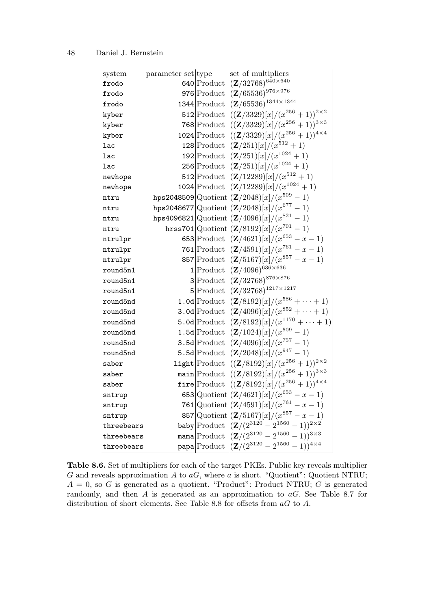| system     | parameter set type | set of multipliers                                                                                |
|------------|--------------------|---------------------------------------------------------------------------------------------------|
| frodo      |                    | 640 Product $\sqrt{\left(Z/32768\right)^{640\times640}}$                                          |
| frodo      |                    | 976 Product $\left\vert \left( \mathbf{Z}/65536\right) ^{976\times976}\right.$                    |
| frodo      |                    | 1344 Product $( Z / 65536 )^{1344 \times 1344}$                                                   |
| kyber      |                    | 512 Product $\left  ((\mathbf{Z}/3329)[x]/(x^{256}+1))^{2\times 2}\right $                        |
| kyber      |                    | 768 Product $((\mathbf{Z}/3329)[x]/(x^{256}+1))^{3\times 3}$                                      |
| kyber      |                    | 1024 Product $\left  ((\mathbf{Z}/3329)[x]/(x^{256}+1))^{4\times4}\right $                        |
| lac        |                    | 128 Product $[(\mathbf{Z}/251)[x]/(x^{512}+1)$                                                    |
| lac        |                    | 192 Product $\left  \frac{(\mathbf{Z}/251)[x]}{x^{1024}+1} \right $                               |
| <b>lac</b> |                    | 256 Product $ (Z/251)[x]/(x^{1024}+1)$                                                            |
| newhope    |                    | 512 Product $[(\mathbf{Z}/12289)[x]/(x^{512}+1)$                                                  |
| newhope    |                    | 1024 Product $ (Z/12289)[x]/(x^{1024}+1)$                                                         |
| ntru       |                    | hps2048509 $ $ Quotient $ (Z/2048)[x]/(x^{509}-1)$                                                |
| ntru       |                    | hps2048677 $ Quotient $ $(Z/2048)[x]/(x^{677} - 1)$                                               |
| ntru       |                    | hps4096821 $ Quotient $ (Z/4096)[x]/( $x^{821} - 1$ )                                             |
| ntru       |                    | hrss701 $ Quotient (Z/8192)[x]/(x^{701}-1)$                                                       |
| ntrulpr    |                    | 653 Product $( \mathbf{Z}/4621 ) [x] / (x^{653} - x - 1)$                                         |
| ntrulpr    |                    | 761 Product $ (Z/4591)[x]/(x^{761}-x-1)$                                                          |
| ntrulpr    |                    | 857 Product $( \mathbf{Z}/5167) [x]/(x^{857} - x - 1)$                                            |
| round5n1   |                    | 1 Product $\left  \left( \mathbf{Z}/4096 \right)^{636 \times 636} \right $                        |
| round5n1   |                    | $3\big \text{Product}\left (\mathbf{Z}/32768)^{876\times876}\right $                              |
| round5n1   |                    | $5 Product  (Z/32768)1217×1217$                                                                   |
| round5nd   |                    | 1.0d Product $ (Z/8192)[x]/(x^{586} + \cdots + 1)$                                                |
| round5nd   |                    | 3.0d Product $ (Z/4096)[x]/(x^{852} + \cdots + 1)$                                                |
| round5nd   |                    | 5.0d Product $((\mathbf{Z}/8192)[x]/(x^{1170} + \cdots + 1)$                                      |
| round5nd   |                    | 1.5d Product $( ( {\mathbf{Z}} /1024) [x] / (x^{509} - 1)$                                        |
| round5nd   |                    | 3.5d Product $\left  \frac{(Z/4096)}{x} \right  / (x^{757} - 1)$                                  |
| round5nd   |                    | 5.5d Product $( ( {\mathbf{Z}} / 2048 ) [x] / (x^{947} - 1)$                                      |
| saber      |                    | light Product $\left  ((\mathbf{Z}/8192) [x]/(x^{256}+1))^{2\times 2}\right $                     |
| saber      |                    | main Product $\left  ((\mathbf{Z}/8192) [x]/(x^{256}+1))^{3\times 3}\right $                      |
| saber      |                    | fire Product $((\mathbf{Z}/8192)[x]/(x^{256}+1))^{4\times 4}$                                     |
| sntrup     |                    | 653 Quotient $\left  \frac{(Z/4621)[x]}{(x^{653}-x-1)} \right $                                   |
| sntrup     |                    | 761 Quotient $\left  \left( \mathbf{Z}/4591 \right) \left[ x \right] / (x^{761} - x - 1) \right $ |
| sntrup     |                    | 857 Quotient $\left  \frac{(Z/5167)}{x} \right  / (x^{857} - x - 1)$                              |
| threebears |                    | baby Product $((\mathbf{Z}/(2^{3120}-2^{1560}-1))^{2\times 2})$                                   |
| threebears |                    | mama $ $ Product $ (Z/(2^{3120}-2^{1560}-1))^{3\times3}$                                          |
| threebears |                    | papa $ $ Product $ (Z/(2^{3120}-2^{1560}-1))^{4\times4}$                                          |

Table 8.6. Set of multipliers for each of the target PKEs. Public key reveals multiplier G and reveals approximation  $A$  to  $aG$ , where  $a$  is short. "Quotient": Quotient NTRU;  $A = 0$ , so G is generated as a quotient. "Product": Product NTRU; G is generated randomly, and then  $A$  is generated as an approximation to  $aG$ . See Table 8.7 for distribution of short elements. See Table 8.8 for offsets from  $aG$  to A.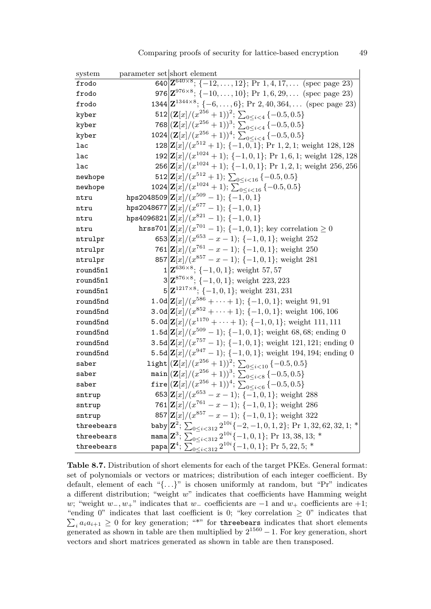| system     | parameter set short element |                                                                                                                                                                                                                                   |
|------------|-----------------------------|-----------------------------------------------------------------------------------------------------------------------------------------------------------------------------------------------------------------------------------|
| frodo      |                             | 640 $\mathbf{Z}^{640\times8}$ ; {-12,, 12}; Pr 1, 4, 17, (spec page 23)                                                                                                                                                           |
| frodo      |                             | 976 $\mathbf{Z}^{976\times8}$ ; {-10,, 10}; Pr 1, 6, 29, (spec page 23)                                                                                                                                                           |
| frodo      |                             | 1344 $\mathbf{Z}^{1344\times8}$ ; {-6,, 6}; Pr 2, 40, 364, (spec page 23)                                                                                                                                                         |
| kyber      |                             | 512 $\left \left(\mathbf{Z}[x]/(x^{256}+1)\right)^2;\ \sum_{0\leq i\leq 4}\{-0.5,0.5\}\right $                                                                                                                                    |
| kyber      |                             | 768 $(\mathbf{Z}[x]/(x^{256}+1))^3$ ; $\sum_{0 \le i \le 4} \{-0.5, 0.5\}$                                                                                                                                                        |
| kyber      |                             | 1024 $\left \left(\mathbf{Z}[x]/(x^{256}+1)\right)^4\right \sum_{0\leq i\leq 4}\left\{-0.5,0.5\right\}$                                                                                                                           |
| lac        |                             | $128 Z[x]/(x^{512}+1);$ {-1,0,1}; Pr 1,2,1; weight 128,128                                                                                                                                                                        |
| lac        |                             | $192 Z[x]/(x^{1024}+1);$ {-1,0,1}; Pr 1,6,1; weight 128,128                                                                                                                                                                       |
| lac        |                             | $256 Z[x]/(x^{1024}+1);$ {-1,0,1}; Pr 1,2,1; weight 256,256                                                                                                                                                                       |
| newhope    |                             | 512 $\mathbf{Z}[x]/(x^{512}+1); \sum_{0 \le i \le 16} \{-0.5, 0.5\}$                                                                                                                                                              |
| newhope    |                             | 1024 $\left \mathbf{Z}[x]/(x^{1024}+1); \sum_{0 \le i < 16}^{-} \{-0.5, 0.5\}\right $                                                                                                                                             |
| ntru       |                             | hps2048509 $\mathbf{Z}[x]/(x^{509} - 1); \{-1, 0, 1\}$                                                                                                                                                                            |
| ntru       |                             | hps2048677 $ \mathbf{Z} x /(x^{677}-1);$ {-1, 0, 1}                                                                                                                                                                               |
| ntru       |                             | hps4096821 $ \mathbf{Z}[x]/(x^{821}-1);$ {-1,0,1}                                                                                                                                                                                 |
| ntru       |                             | hrss701 $ Z x /(x^{701}-1)$ ; {-1,0,1}; key correlation $\geq 0$                                                                                                                                                                  |
| ntrulpr    |                             | 653 $\mathbf{Z}[x]/(x^{653} - x - 1);$ {-1, 0, 1}; weight 252                                                                                                                                                                     |
| ntrulpr    |                             | 761 $ \mathbf{Z}[x]/(x^{761} - x - 1);$ {-1, 0, 1}; weight 250                                                                                                                                                                    |
| ntrulpr    |                             | 857 $\mathbf{Z}[x]/(x^{857} - x - 1); \{-1,0,1\};$ weight 281                                                                                                                                                                     |
| round5n1   |                             | $1 \mathbf{Z}^{636\times8}; \{-1,0,1\};$ weight 57,57                                                                                                                                                                             |
| round5n1   |                             | $3 Z^{876\times8}; \{-1,0,1\};$ weight 223, 223                                                                                                                                                                                   |
| round5n1   |                             | $5 Z^{1217\times8}; \{-1,0,1\};$ weight 231, 231                                                                                                                                                                                  |
| round5nd   |                             | 1.0d $\mathbf{Z}[x]/(x^{586} + \cdots + 1); \{-1,0,1\};$ weight 91,91                                                                                                                                                             |
| round5nd   |                             | 3.0d $\mathbf{Z}[x]/(x^{852} + \cdots + 1); \{-1,0,1\};$ weight 106,106                                                                                                                                                           |
| round5nd   |                             | 5.0d $\mathbf{Z}[x]/(x^{1170} + \cdots + 1); \{-1,0,1\};$ weight 111, 111                                                                                                                                                         |
| round5nd   |                             | 1.5d $\mathbf{Z}[x]/(x^{509}-1)$ ; {-1,0,1}; weight 68,68; ending 0                                                                                                                                                               |
| round5nd   |                             | 3.5d $ Z[x]/(x^{757} - 1)$ ; {-1,0,1}; weight 121,121; ending 0                                                                                                                                                                   |
| round5nd   |                             | 5.5d $ Z[x]/(x^{947}-1)$ ; {-1,0,1}; weight 194,194; ending 0                                                                                                                                                                     |
| saber      |                             | light $ (\mathbf{Z}[x]/(x^{256}+1))^2; \sum_{0 \le i \le 10} \{-0.5, 0.5\}$                                                                                                                                                       |
| saber      |                             | main $(\mathbf{Z}[x]/(x^{256}+1))^3$ ; $\sum_{0 \le i < 8}$ {-0.5, 0.5}                                                                                                                                                           |
| saber      |                             | fire $ ( {\bf Z} [x]/(x^{256}+1))^4;$ $\sum_{0 \leq i < 6}^{-} \{-0.5,0.5\}$                                                                                                                                                      |
| sntrup     |                             | 653 $\mathbf{Z}[x]/(x^{653} - x - 1); \{-1, 0, 1\};$ weight 288                                                                                                                                                                   |
| sntrup     |                             | 761 $\left \mathbf{Z}[x]/(x^{761}-x-1); \{-1,0,1\};$ weight 286                                                                                                                                                                   |
| sntrup     |                             | 857 $ \mathbf{Z}[x]/(x^{857}-x-1);$ {-1,0,1}; weight 322                                                                                                                                                                          |
| threebears |                             |                                                                                                                                                                                                                                   |
| threebears |                             | baby $\left  \mathbf{Z}^2; \sum_{0 \le i < 312} 2^{10i} \{-2, -1, 0, 1, 2\}; \text{ Pr } 1, 32, 62, 32, 1; * \right $<br>mama $\left  \mathbf{Z}^3; \sum_{0 \le i < 312} 2^{10i} \{-1, 0, 1\}; \text{ Pr } 13, 38, 13; * \right $ |
| threebears |                             | papa $\left  \mathbf{Z}^4;\ \sum_{0\leq i\leq 312}^{\infty} 2^{10i} \{-1,0,1\};$ Pr 5, 22, 5; *                                                                                                                                   |

Table 8.7. Distribution of short elements for each of the target PKEs. General format: set of polynomials or vectors or matrices; distribution of each integer coefficient. By default, element of each "{. . .}" is chosen uniformly at random, but "Pr" indicates a different distribution; "weight  $w$ " indicates that coefficients have Hamming weight w; "weight  $w_-, w_+$ " indicates that  $w_-\$  coefficients are  $-1$  and  $w_+\$  coefficients are  $+1$ ;  $\sum$ "ending 0" indicates that last coefficient is 0; "key correlation  $\geq$  0" indicates that  $a_i a_{i+1} \geq 0$  for key generation; "\*" for three bears indicates that short elements generated as shown in table are then multiplied by  $2^{1560} - 1$ . For key generation, short vectors and short matrices generated as shown in table are then transposed.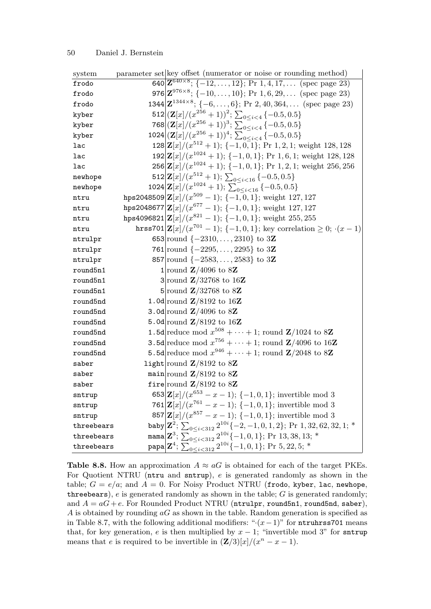| system     | parameter set key offset (numerator or noise or rounding method)                                        |
|------------|---------------------------------------------------------------------------------------------------------|
| frodo      | 640 $\mathbf{Z}^{640\times8}$ ; {-12,, 12}; Pr 1, 4, 17, (spec page 23)                                 |
| frodo      | 976 $\mathbf{Z}^{976\times8}$ ; {-10,, 10}; Pr 1, 6, 29, (spec page 23)                                 |
| frodo      | 1344 $\mathbf{Z}^{1344\times8}$ ; {-6,, 6}; Pr 2, 40, 364, (spec page 23)                               |
| kyber      | 512 $(\mathbf{Z}[x]/(x^{256}+1))^2$ ; $\sum_{0 \le i \le 4} \{-0.5, 0.5\}$                              |
| kyber      | 768 $(\mathbf{Z}[x]/(x^{256}+1))^3$ ; $\sum_{0 \le i \le 4} \{-0.5, 0.5\}$                              |
| kyber      | 1024 $ (Z[x]/(x^{256}+1))^4$ ; $\sum_{0 \le i \le 4}$ {-0.5, 0.5}                                       |
| lac        | $128 Z[x]/(x^{512}+1);$ {-1,0,1}; Pr 1,2,1; weight 128,128                                              |
| lac        | $192 Z[x]/(x^{1024}+1);$ {-1,0,1}; Pr 1,6,1; weight 128,128                                             |
| lac        | $256 {\bf Z} x /(x^{1024}+1);$ {-1,0,1}; Pr 1,2,1; weight 256,256                                       |
| newhope    | 512 $\left \mathbf{Z}[x]/(x^{512}+1); \sum_{0 \le i < 16} \{-0.5, 0.5\}\right $                         |
| newhope    | 1024 $\mathbf{Z}[x]/(x^{1024}+1)$ ; $\sum_{0 \le i < 16}^{-1} \{-0.5, 0.5\}$                            |
| ntru       | hps2048509 $\vert \mathbf{Z}[x]/(x^{509}-1); \{-1,0,1\};$ weight 127, 127                               |
| ntru       | hps2048677 $\mathbf{Z}[x]/(x^{677} - 1); \{-1,0,1\};$ weight 127, 127                                   |
| ntru       | hps4096821 $ {\bf Z}[x]/(x^{821}-1)$ ; {-1,0,1}; weight 255, 255                                        |
| ntru       | hrss701 $\left  \mathbf{Z}[x]/(x^{701}-1); \{-1,0,1\}; \text{key correlation} \geq 0; \{-x-1\} \right $ |
| ntrulpr    | 653 round $\{-2310, \ldots, 2310\}$ to 3Z                                                               |
| ntrulpr    | 761 round $\{-2295, \ldots, 2295\}$ to 3Z                                                               |
| ntrulpr    | 857 round $\{-2583, \ldots, 2583\}$ to 3Z                                                               |
| round5n1   | 1 round $\mathbb{Z}/4096$ to 8Z                                                                         |
| round5n1   | 3 round $\mathbb{Z}/32768$ to 16Z                                                                       |
| round5n1   | 5 round $\mathbf{Z}/32768$ to 8Z                                                                        |
| round5nd   | 1.0d round $\mathbb{Z}/8192$ to 16Z                                                                     |
| round5nd   | 3.0d round $\mathbb{Z}/4096$ to 8Z                                                                      |
| round5nd   | 5.0d round $\mathbf{Z}/8192$ to 16Z                                                                     |
| round5nd   | 1.5d reduce mod $x^{508} + \cdots + 1$ ; round $\mathbb{Z}/1024$ to 8Z                                  |
| round5nd   | <b>3.5d</b> reduce mod $x^{756} + \cdots + 1$ ; round <b>Z</b> /4096 to 16 <b>Z</b>                     |
| round5nd   | 5.5d reduce mod $x^{946} + \cdots + 1$ ; round $\mathbb{Z}/2048$ to 8Z                                  |
| saber      | light round $\mathbb{Z}/8192$ to 8Z                                                                     |
| saber      | main round $\mathbb{Z}/8192$ to 8Z                                                                      |
| saber      | fire round $\mathbf{Z}/8192$ to 8Z                                                                      |
| sntrup     | 653 $\left \mathbf{Z}[x]/(x^{653}-x-1); \{-1,0,1\};$ invertible mod 3                                   |
| sntrup     | 761 $\left \mathbf{Z}[x]/(x^{761}-x-1); \{-1,0,1\};$ invertible mod 3                                   |
| sntrup     | 857 $\left  \mathbf{Z}[x]/(x^{857}-x-1); \{-1,0,1\};$ invertible mod 3                                  |
| threebears | baby $\left  \mathbf{Z}^2;\ \sum_{0 \leq i < 312} 2^{10i} \{-2, -1, 0, 1, 2\};$ Pr 1, 32, 62, 32, 1; *  |
| threebears | mama $\left  \mathbf{Z}^3;\, \sum_{0\leq i < 312} 2^{10i} \{-1,0,1\};$ Pr 13, 38, 13; *                 |
| threebears | papa $\left  \mathbf{Z}^4;\ \sum_{0\leq i<312}^{-1210i}\{-1,0,1\};$ Pr 5, 22, 5; *                      |

Table 8.8. How an approximation  $A \approx aG$  is obtained for each of the target PKEs. For Quotient NTRU (ntru and sntrup), e is generated randomly as shown in the table;  $G = e/a$ ; and  $A = 0$ . For Noisy Product NTRU (frodo, kyber, lac, newhope, three bears),  $e$  is generated randomly as shown in the table;  $G$  is generated randomly; and  $A = aG + e$ . For Rounded Product NTRU (ntrulpr, round5n1, round5nd, saber), A is obtained by rounding  $aG$  as shown in the table. Random generation is specified as in Table 8.7, with the following additional modifiers: " $·(x-1)$ " for ntruhrss701 means that, for key generation, e is then multiplied by  $x - 1$ ; "invertible mod 3" for sntrup means that e is required to be invertible in  $(\mathbf{Z}/3)[x]/(x^n - x - 1)$ .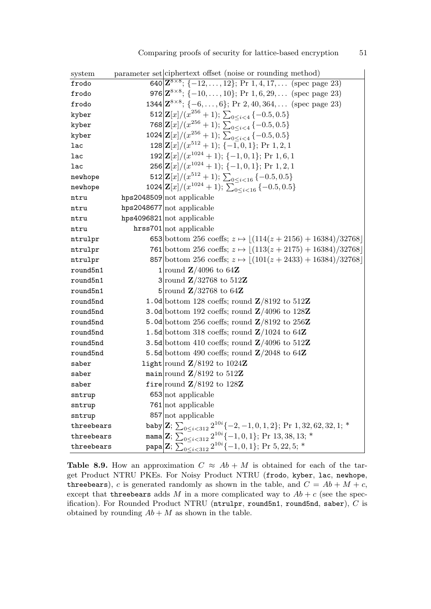| system     | parameter set ciphertext offset (noise or rounding method)                                                                                                    |
|------------|---------------------------------------------------------------------------------------------------------------------------------------------------------------|
| frodo      | 640 $\mathbf{Z}^{8\times 8}$ ; {-12,, 12}; Pr 1, 4, 17, (spec page 23)                                                                                        |
| frodo      | 976 $\mathbf{Z}^{8\times 8}$ ; {-10,, 10}; Pr 1, 6, 29, (spec page 23)                                                                                        |
| frodo      | $1344 Z^{8\times8};$ {-6,, 6}; Pr 2, 40, 364, (spec page 23)                                                                                                  |
| kyber      | 512 $\left \mathbf{Z}[x]/(x^{256}+1); \sum_{0 \le i \le 4} \{-0.5, 0.5\}\right $                                                                              |
| kyber      | 768 $\mathbf{Z}[x]/(x^{256}+1); \sum_{0 \leq i \leq 4} \{-0.5, 0.5\}$                                                                                         |
| kyber      | 1024 $\mathbf{Z}[x]/(x^{256}+1); \sum_{0 \leq i \leq 4}^{-1} \{-0.5, 0.5\}$                                                                                   |
| lac        | 128 $\mathbf{Z}[x]/(x^{512}+1); \{-1,0,1\};$ Pr 1, 2, 1                                                                                                       |
| lac        | 192 $\left \mathbf{Z}[x]/(x^{1024}+1); \{-1,0,1\};$ Pr 1, 6, 1                                                                                                |
| lac        | $256 Z[x]/(x^{1024}+1);$ {-1, 0, 1}; Pr 1, 2, 1                                                                                                               |
| newhope    | 512 $\mathbf{Z}[x]/(x^{512}+1); \sum_{0 \le i \le 16} \{-0.5, 0.5\}$                                                                                          |
| newhope    | 1024 $\mathbf{Z}[x]/(x^{1024}+1); \sum_{0 \leq i \leq 16}^{-} \{-0.5, 0.5\}$                                                                                  |
| ntru       | $hps2048509 not$ applicable                                                                                                                                   |
| ntru       | $hps2048677$ not applicable                                                                                                                                   |
| ntru       | hps4096821 not applicable                                                                                                                                     |
| ntru       | hrss701 not applicable                                                                                                                                        |
| ntrulpr    | 653 bottom 256 coeffs; $z \mapsto \lfloor (114(z + 2156) + 16384)/32768 \rfloor$                                                                              |
| ntrulpr    | 761 bottom 256 coeffs; $z \mapsto (113(z + 2175) + 16384)/32768$                                                                                              |
| ntrulpr    | 857 bottom 256 coeffs; $z \mapsto \lfloor (101(z + 2433) + 16384)/32768 \rfloor$                                                                              |
| round5n1   | 1 round $\mathbb{Z}/4096$ to 64Z                                                                                                                              |
| round5n1   | 3 round $\mathbf{Z}/32768$ to 512Z                                                                                                                            |
| round5n1   | 5 round $\mathbf{Z}/32768$ to 64Z                                                                                                                             |
| round5nd   | 1.0d bottom 128 coeffs; round $\mathbb{Z}/8192$ to 512Z                                                                                                       |
| round5nd   | 3.0d bottom 192 coeffs; round $\mathbb{Z}/4096$ to 128Z                                                                                                       |
| round5nd   | 5.0d bottom 256 coeffs; round $\mathbb{Z}/8192$ to 256Z                                                                                                       |
| round5nd   | 1.5d bottom 318 coeffs; round $\mathbb{Z}/1024$ to 64Z                                                                                                        |
| round5nd   | 3.5d bottom 410 coeffs; round $\mathbb{Z}/4096$ to 512Z                                                                                                       |
| round5nd   | 5.5d bottom 490 coeffs; round $\mathbb{Z}/2048$ to 64 $\mathbb{Z}$                                                                                            |
| saber      | light round $\mathbf{Z}/8192$ to $1024\mathbf{Z}$                                                                                                             |
| saber      | main round $\mathbf{Z}/8192$ to $512\mathbf{Z}$                                                                                                               |
| saber      | fire round $\mathbf{Z}/8192$ to 128Z                                                                                                                          |
| sntrup     | $653$ not applicable                                                                                                                                          |
| sntrup     | $761$ not applicable                                                                                                                                          |
| sntrup     | $857$ not applicable                                                                                                                                          |
| threebears | baby Z; $\sum_{0 \le i < 312} 2^{10i} \{-2, -1, 0, 1, 2\}$ ; Pr 1, 32, 62, 32, 1; *<br>mama Z; $\sum_{0 \le i < 312} 2^{10i} \{-1, 0, 1\}$ ; Pr 13, 38, 13; * |
| threebears |                                                                                                                                                               |
| threebears | papa Z; $\sum_{0 \le i < 312}^{0.24 \times 0.12} 2^{10i} (-1, 0, 1)$ ; Pr 5, 22, 5; *                                                                         |

 $\begin{pmatrix} 1 & 1 & 1 & 1 & 0 \\ 0 & 0 & 0 & 0 & 0 \\ 0 & 0 & 0 & 0 & 0 \\ 0 & 0 & 0 & 0 & 0 \\ 0 & 0 & 0 & 0 & 0 \\ 0 & 0 & 0 & 0 & 0 \\ 0 & 0 & 0 & 0 & 0 \\ 0 & 0 & 0 & 0 & 0 \\ 0 & 0 & 0 & 0 & 0 \\ 0 & 0 & 0 & 0 & 0 \\ 0 & 0 & 0 & 0 & 0 \\ 0 & 0 & 0 & 0 & 0 \\ 0 & 0 & 0 & 0 & 0 \\ 0 & 0 & 0 & 0 & 0 \\ 0 &$ 

Table 8.9. How an approximation  $C \approx Ab + M$  is obtained for each of the target Product NTRU PKEs. For Noisy Product NTRU (frodo, kyber, lac, newhope, three bears), c is generated randomly as shown in the table, and  $C = Ab + M + c$ , except that three bears adds M in a more complicated way to  $Ab + c$  (see the specification). For Rounded Product NTRU (ntrulpr, round5n1, round5nd, saber), C is obtained by rounding  $Ab + M$  as shown in the table.